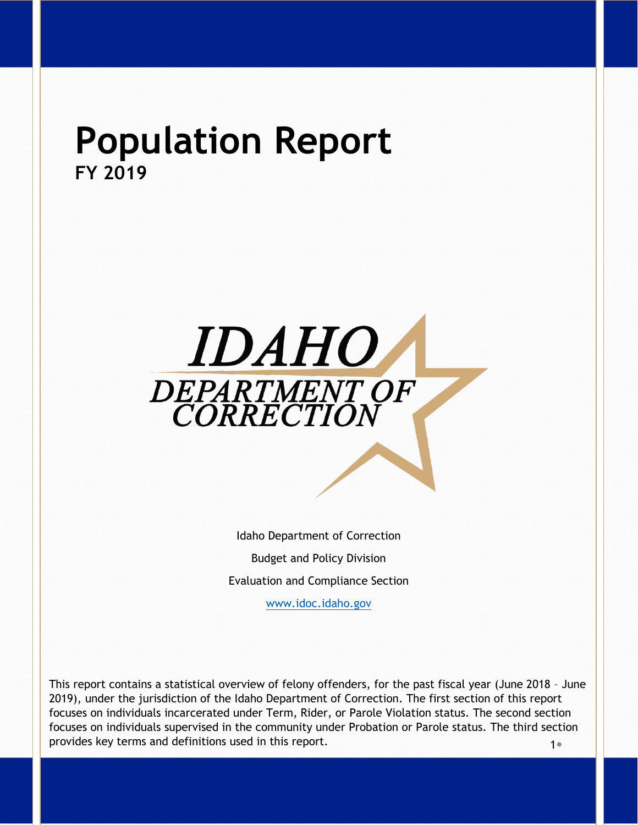# **Population Report FY 2019**



Idaho Department of Correction Budget and Policy Division Evaluation and Compliance Section

[www.idoc.idaho.gov](http://www.idoc.idaho.gov/)

 $1<sub>e</sub>$ This report contains a statistical overview of felony offenders, for the past fiscal year (June 2018 – June 2019), under the jurisdiction of the Idaho Department of Correction. The first section of this report focuses on individuals incarcerated under Term, Rider, or Parole Violation status. The second section focuses on individuals supervised in the community under Probation or Parole status. The third section provides key terms and definitions used in this report.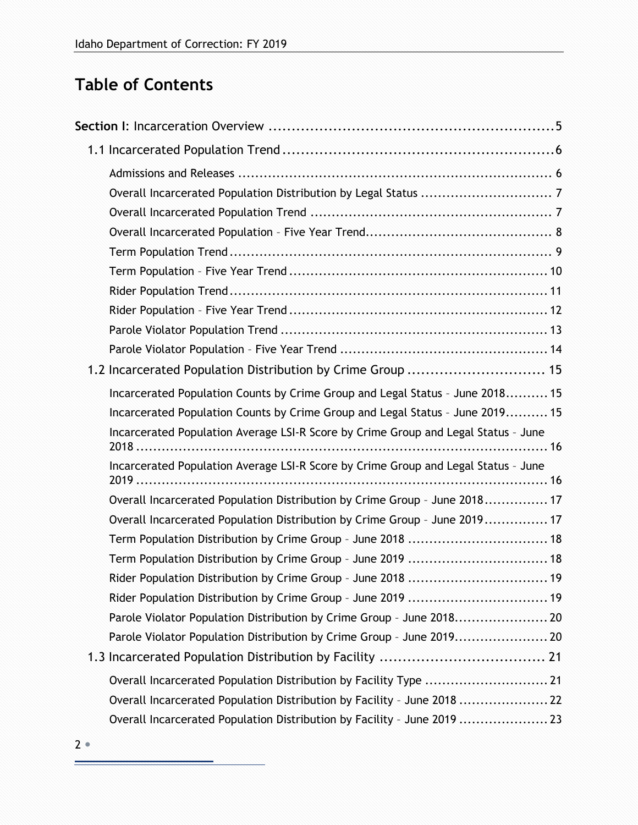# **Table of Contents**

| 1.2 Incarcerated Population Distribution by Crime Group  15                        |
|------------------------------------------------------------------------------------|
| Incarcerated Population Counts by Crime Group and Legal Status - June 2018 15      |
| Incarcerated Population Counts by Crime Group and Legal Status - June 2019 15      |
| Incarcerated Population Average LSI-R Score by Crime Group and Legal Status - June |
| Incarcerated Population Average LSI-R Score by Crime Group and Legal Status - June |
| Overall Incarcerated Population Distribution by Crime Group - June 2018 17         |
| Overall Incarcerated Population Distribution by Crime Group - June 2019 17         |
|                                                                                    |
| Term Population Distribution by Crime Group - June 2018  18                        |
| Term Population Distribution by Crime Group - June 2019  18                        |
| Rider Population Distribution by Crime Group - June 2018  19                       |
| Rider Population Distribution by Crime Group - June 2019  19                       |
| Parole Violator Population Distribution by Crime Group - June 2018 20              |
| Parole Violator Population Distribution by Crime Group - June 2019 20              |
|                                                                                    |
| Overall Incarcerated Population Distribution by Facility Type  21                  |
| Overall Incarcerated Population Distribution by Facility - June 2018  22           |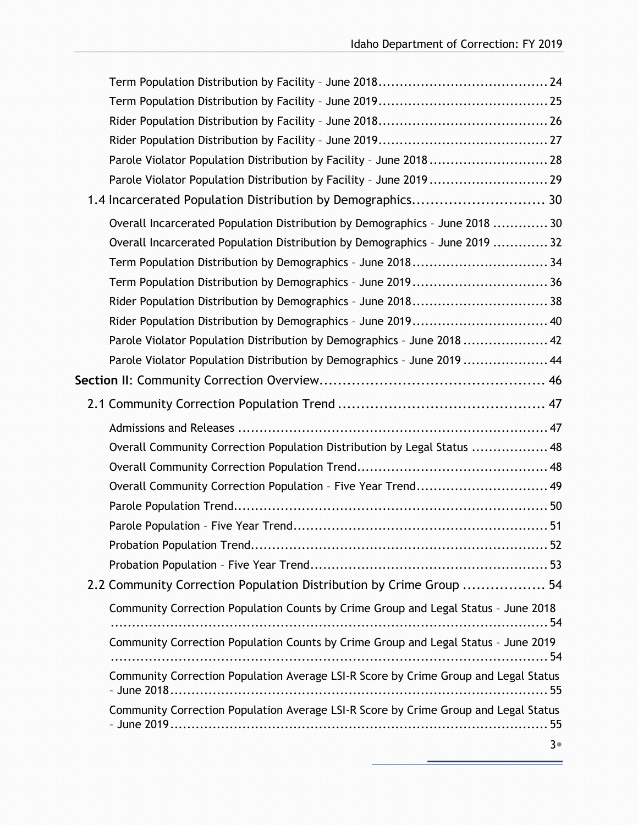| Parole Violator Population Distribution by Facility - June 2018 28                  |  |
|-------------------------------------------------------------------------------------|--|
| Parole Violator Population Distribution by Facility - June 2019  29                 |  |
| 1.4 Incarcerated Population Distribution by Demographics 30                         |  |
| Overall Incarcerated Population Distribution by Demographics - June 2018  30        |  |
| Overall Incarcerated Population Distribution by Demographics - June 2019  32        |  |
| Term Population Distribution by Demographics - June 201834                          |  |
| Term Population Distribution by Demographics - June 201936                          |  |
| Rider Population Distribution by Demographics - June 2018 38                        |  |
| Rider Population Distribution by Demographics - June 2019 40                        |  |
| Parole Violator Population Distribution by Demographics - June 2018  42             |  |
| Parole Violator Population Distribution by Demographics - June 2019  44             |  |
|                                                                                     |  |
|                                                                                     |  |
|                                                                                     |  |
| Overall Community Correction Population Distribution by Legal Status  48            |  |
|                                                                                     |  |
| Overall Community Correction Population - Five Year Trend 49                        |  |
|                                                                                     |  |
|                                                                                     |  |
|                                                                                     |  |
|                                                                                     |  |
| 2.2 Community Correction Population Distribution by Crime Group  54                 |  |
| Community Correction Population Counts by Crime Group and Legal Status - June 2018  |  |
| Community Correction Population Counts by Crime Group and Legal Status - June 2019  |  |
|                                                                                     |  |
| Community Correction Population Average LSI-R Score by Crime Group and Legal Status |  |
| Community Correction Population Average LSI-R Score by Crime Group and Legal Status |  |
|                                                                                     |  |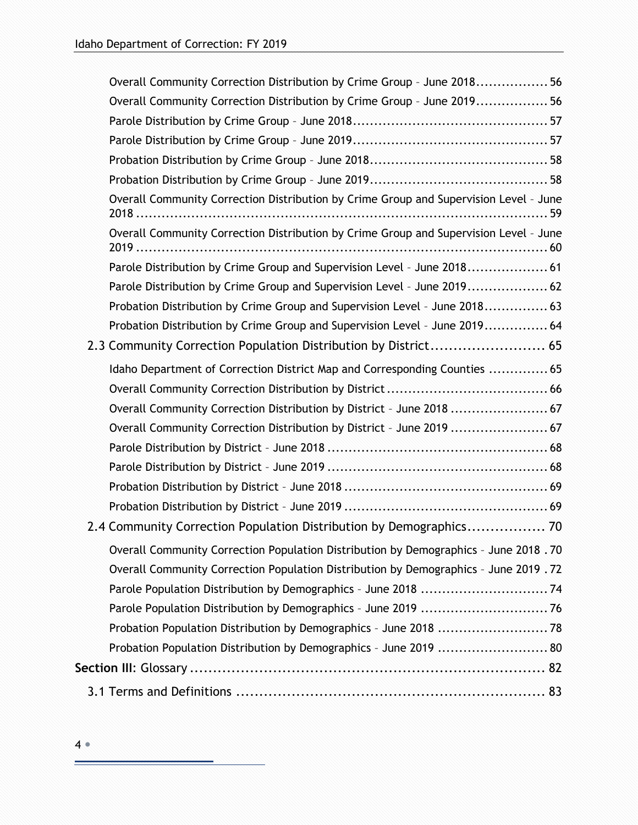| Overall Community Correction Distribution by Crime Group - June 2018 56               |
|---------------------------------------------------------------------------------------|
| Overall Community Correction Distribution by Crime Group - June 2019 56               |
|                                                                                       |
|                                                                                       |
|                                                                                       |
|                                                                                       |
| Overall Community Correction Distribution by Crime Group and Supervision Level - June |
| Overall Community Correction Distribution by Crime Group and Supervision Level - June |
| Parole Distribution by Crime Group and Supervision Level - June 2018 61               |
| Parole Distribution by Crime Group and Supervision Level - June 2019 62               |
| Probation Distribution by Crime Group and Supervision Level - June 2018 63            |
| Probation Distribution by Crime Group and Supervision Level - June 2019 64            |
| 2.3 Community Correction Population Distribution by District 65                       |
| Idaho Department of Correction District Map and Corresponding Counties  65            |
|                                                                                       |
| Overall Community Correction Distribution by District - June 2018  67                 |
| Overall Community Correction Distribution by District - June 2019  67                 |
|                                                                                       |
|                                                                                       |
|                                                                                       |
|                                                                                       |
| 2.4 Community Correction Population Distribution by Demographics 70                   |
| Overall Community Correction Population Distribution by Demographics - June 2018.70   |
| Overall Community Correction Population Distribution by Demographics - June 2019.72   |
|                                                                                       |
| Parole Population Distribution by Demographics - June 2019 76                         |
|                                                                                       |
| Probation Population Distribution by Demographics - June 2019  80                     |
|                                                                                       |
|                                                                                       |
|                                                                                       |

۳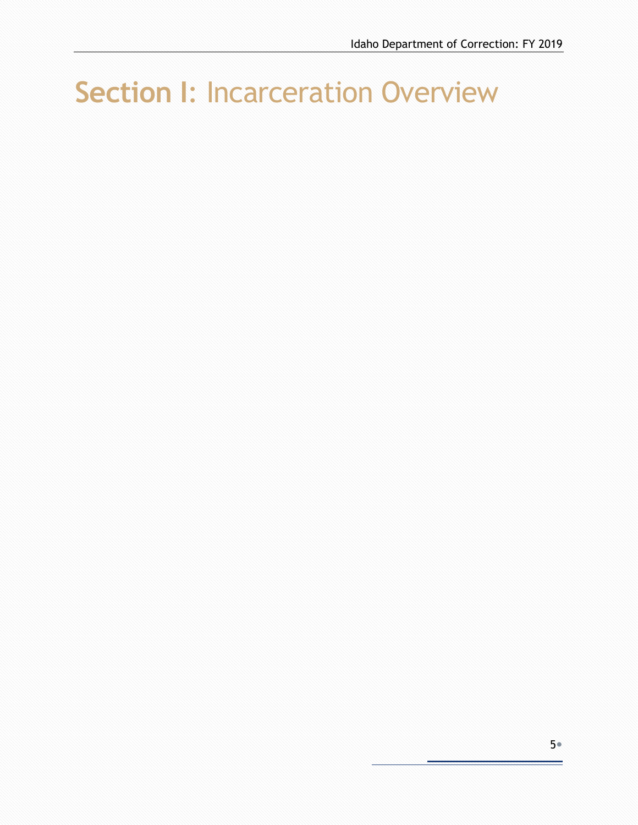# <span id="page-4-0"></span>**Section I**: Incarceration Overview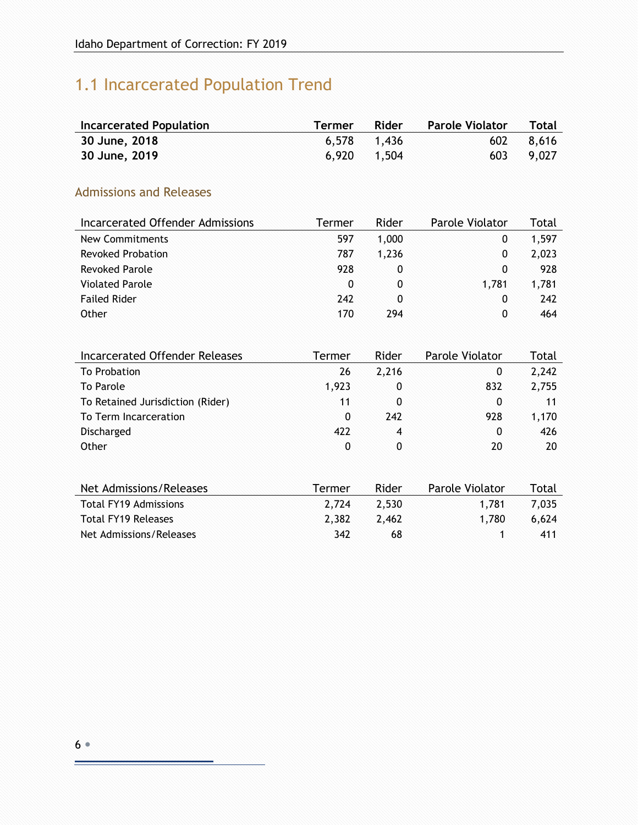# <span id="page-5-0"></span>1.1 Incarcerated Population Trend

| <b>Incarcerated Population</b> | <b>Termer</b> | Rider       | <b>Parole Violator</b> Total |           |
|--------------------------------|---------------|-------------|------------------------------|-----------|
| 30 June, 2018                  |               | 6,578 1,436 |                              | 602 8.616 |
| 30 June, 2019                  |               | 6,920 1,504 |                              | 603 9,027 |

#### <span id="page-5-1"></span>Admissions and Releases

| Incarcerated Offender Admissions | Termer | Rider | Parole Violator | Total |
|----------------------------------|--------|-------|-----------------|-------|
| New Commitments                  | 597    | 1,000 | 0               | 1,597 |
| <b>Revoked Probation</b>         | 787    | 1.236 | 0               | 2,023 |
| <b>Revoked Parole</b>            | 928    | 0     | 0               | 928   |
| <b>Violated Parole</b>           | 0      | 0     | 1.781           | 1,781 |
| <b>Failed Rider</b>              | 242    | 0     | $\Omega$        | 242   |
| Other                            | 170    | 294   | 0               | 464   |

| Incarcerated Offender Releases   | Termer | Rider | Parole Violator | Total |
|----------------------------------|--------|-------|-----------------|-------|
| To Probation                     | 26     | 2,216 | 0               | 2,242 |
| To Parole                        | 1,923  | 0     | 832             | 2,755 |
| To Retained Jurisdiction (Rider) | 11     | 0     | 0               | 11    |
| To Term Incarceration            | 0      | 242   | 928             | 1,170 |
| Discharged                       | 422    | 4     | $\mathbf{0}$    | 426   |
| Other                            | 0      | 0     | 20              | 20    |
|                                  |        |       |                 |       |
| Net Admissions/Releases          | Termer | Rider | Parole Violator | Total |
| <b>Total FY19 Admissions</b>     | 2,724  | 2,530 | 1,781           | 7,035 |
| <b>Total FY19 Releases</b>       | 2,382  | 2,462 | 1.780           | 6,624 |

Net Admissions/Releases 1 342 68 1 411

F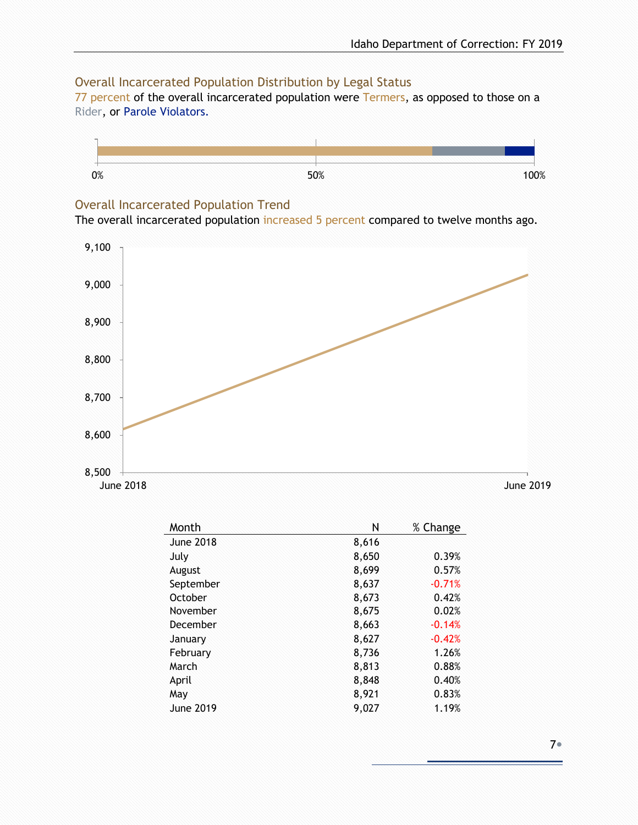#### <span id="page-6-0"></span>Overall Incarcerated Population Distribution by Legal Status

77 percent of the overall incarcerated population were Termers, as opposed to those on a Rider, or Parole Violators.



#### <span id="page-6-1"></span>Overall Incarcerated Population Trend

The overall incarcerated population increased 5 percent compared to twelve months ago.



| Month            | N     | % Change |
|------------------|-------|----------|
| <b>June 2018</b> | 8,616 |          |
| July             | 8,650 | 0.39%    |
| August           | 8,699 | 0.57%    |
| September        | 8,637 | $-0.71%$ |
| October          | 8,673 | 0.42%    |
| November         | 8,675 | 0.02%    |
| December         | 8,663 | $-0.14%$ |
| January          | 8,627 | $-0.42%$ |
| February         | 8,736 | 1.26%    |
| March            | 8,813 | 0.88%    |
| April            | 8,848 | 0.40%    |
| May              | 8,921 | 0.83%    |
| June 2019        | 9,027 | 1.19%    |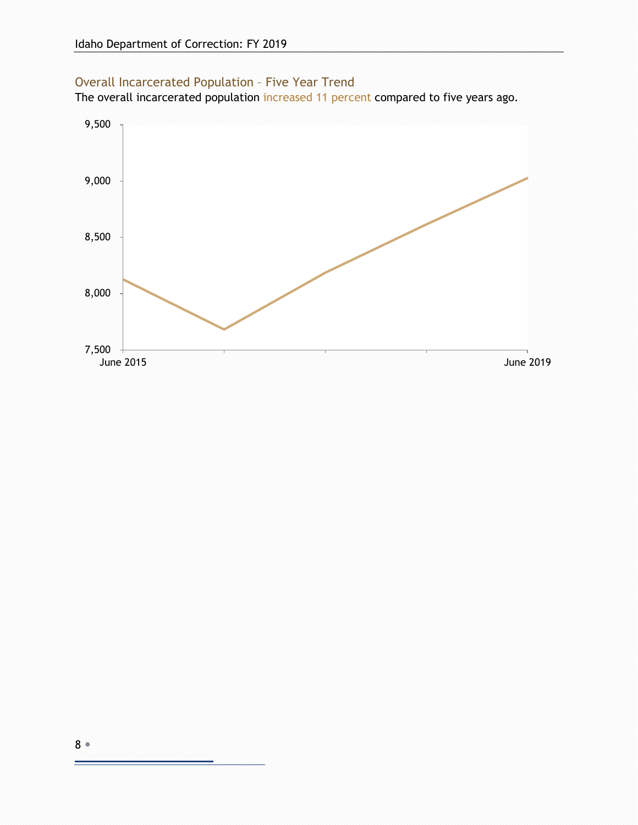#### <span id="page-7-0"></span>Overall Incarcerated Population – Five Year Trend

The overall incarcerated population increased 11 percent compared to five years ago.



F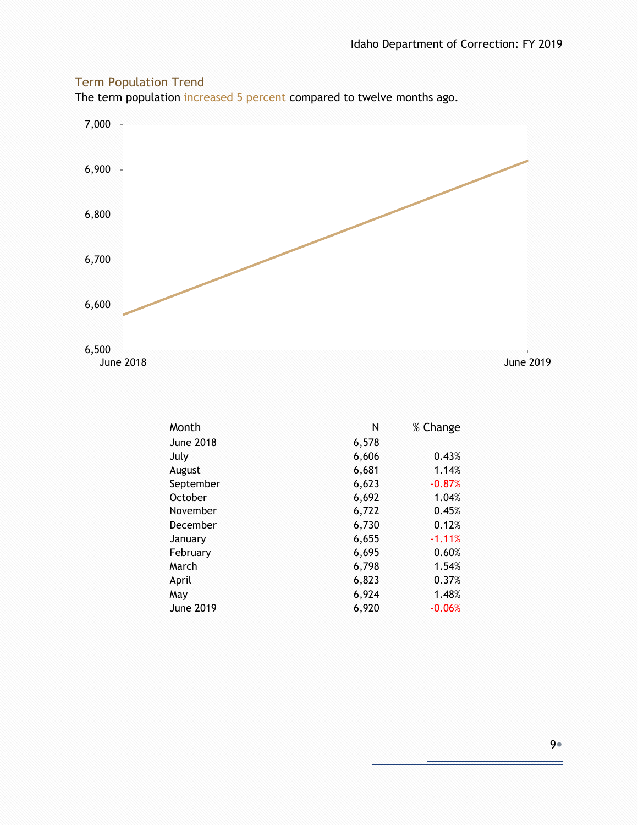#### <span id="page-8-0"></span>Term Population Trend

The term population increased 5 percent compared to twelve months ago.



| Month            | Ν     | % Change |
|------------------|-------|----------|
| <b>June 2018</b> | 6,578 |          |
| July             | 6,606 | 0.43%    |
| August           | 6,681 | 1.14%    |
| September        | 6,623 | $-0.87%$ |
| October          | 6,692 | 1.04%    |
| November         | 6,722 | 0.45%    |
| December         | 6,730 | 0.12%    |
| January          | 6,655 | $-1.11%$ |
| February         | 6,695 | 0.60%    |
| March            | 6,798 | 1.54%    |
| April            | 6,823 | 0.37%    |
| May              | 6,924 | 1.48%    |
| June 2019        | 6,920 | $-0.06%$ |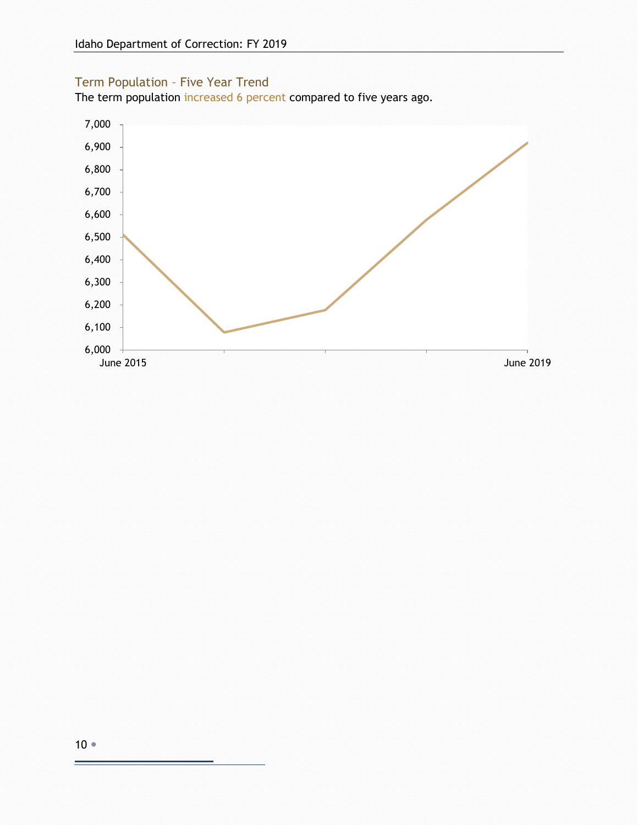#### <span id="page-9-0"></span>Term Population – Five Year Trend

The term population increased 6 percent compared to five years ago.

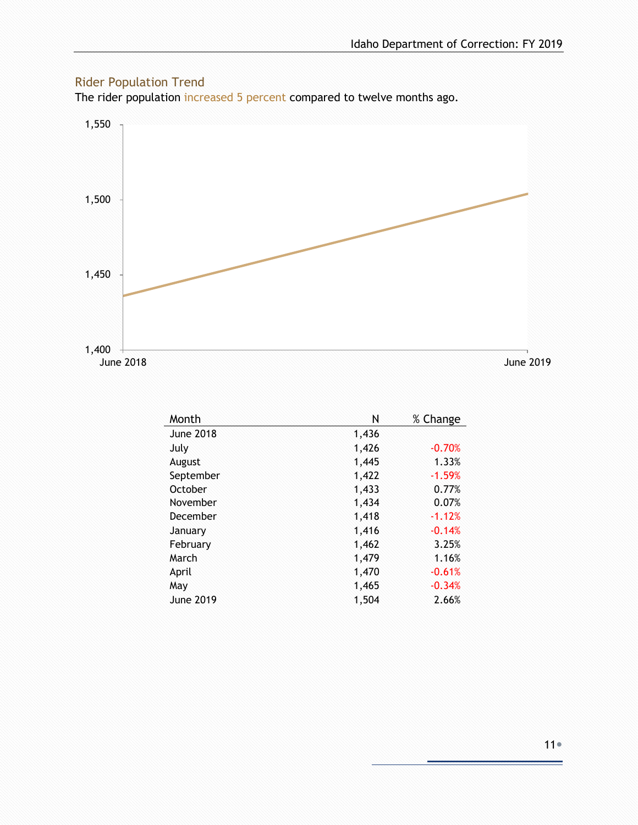#### <span id="page-10-0"></span>Rider Population Trend

The rider population increased 5 percent compared to twelve months ago.



| Month            | N     | % Change |
|------------------|-------|----------|
| <b>June 2018</b> | 1,436 |          |
| July             | 1,426 | $-0.70%$ |
| August           | 1,445 | 1.33%    |
| September        | 1,422 | $-1.59%$ |
| October          | 1,433 | 0.77%    |
| November         | 1,434 | 0.07%    |
| December         | 1,418 | $-1.12%$ |
| January          | 1,416 | $-0.14%$ |
| February         | 1,462 | 3.25%    |
| March            | 1,479 | 1.16%    |
| April            | 1,470 | $-0.61%$ |
| May              | 1,465 | $-0.34%$ |
| <b>June 2019</b> | 1,504 | 2.66%    |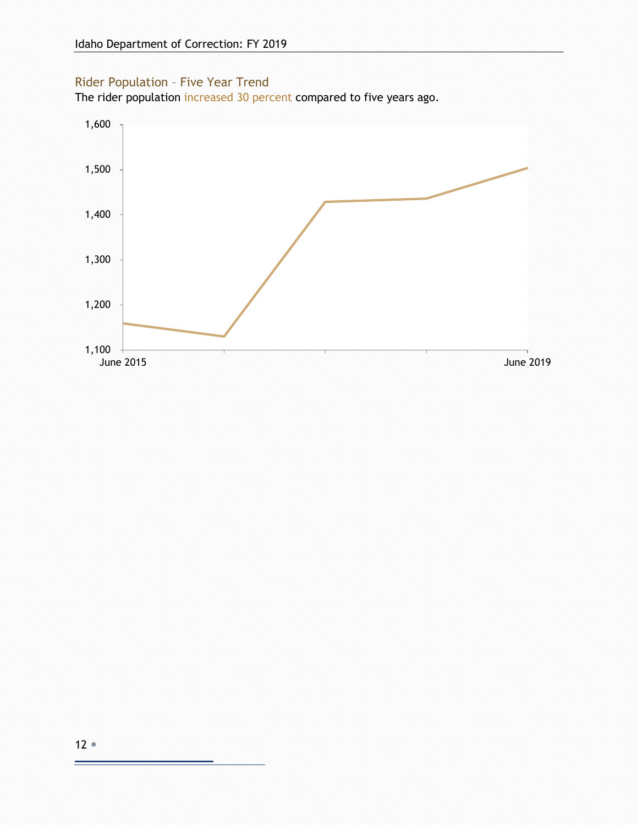#### <span id="page-11-0"></span>Rider Population – Five Year Trend

The rider population increased 30 percent compared to five years ago.

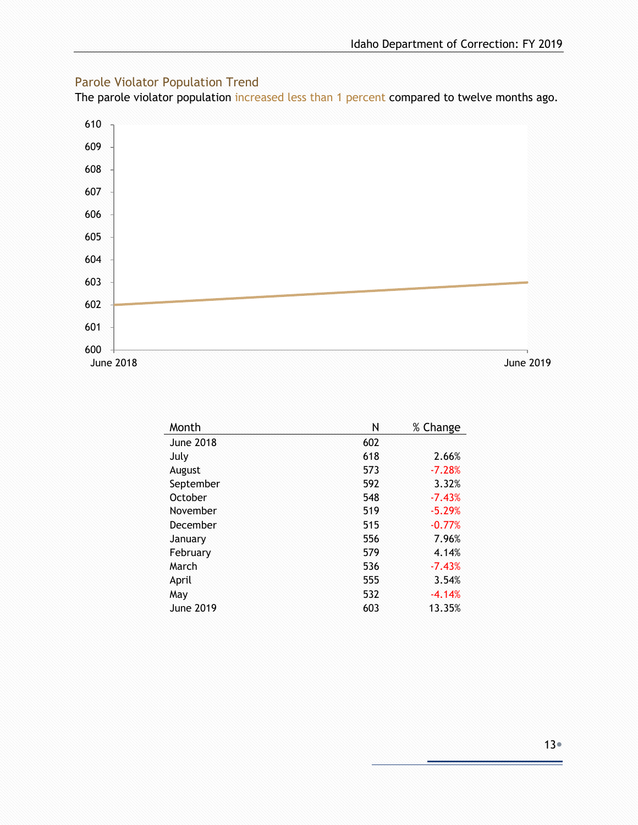#### <span id="page-12-0"></span>Parole Violator Population Trend

The parole violator population increased less than 1 percent compared to twelve months ago.



| Month            | Ν   | % Change |
|------------------|-----|----------|
| <b>June 2018</b> | 602 |          |
| July             | 618 | 2.66%    |
| August           | 573 | $-7.28%$ |
| September        | 592 | 3.32%    |
| October          | 548 | $-7.43%$ |
| November         | 519 | $-5.29%$ |
| December         | 515 | $-0.77%$ |
| January          | 556 | 7.96%    |
| February         | 579 | 4.14%    |
| March            | 536 | $-7.43%$ |
| April            | 555 | 3.54%    |
| May              | 532 | $-4.14%$ |
| June 2019        | 603 | 13.35%   |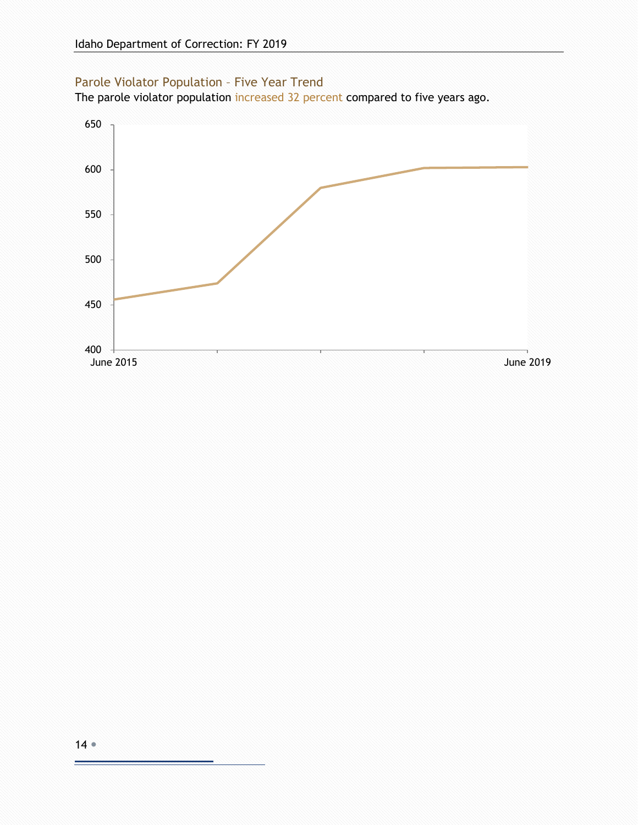#### <span id="page-13-0"></span>Parole Violator Population – Five Year Trend

The parole violator population increased 32 percent compared to five years ago.

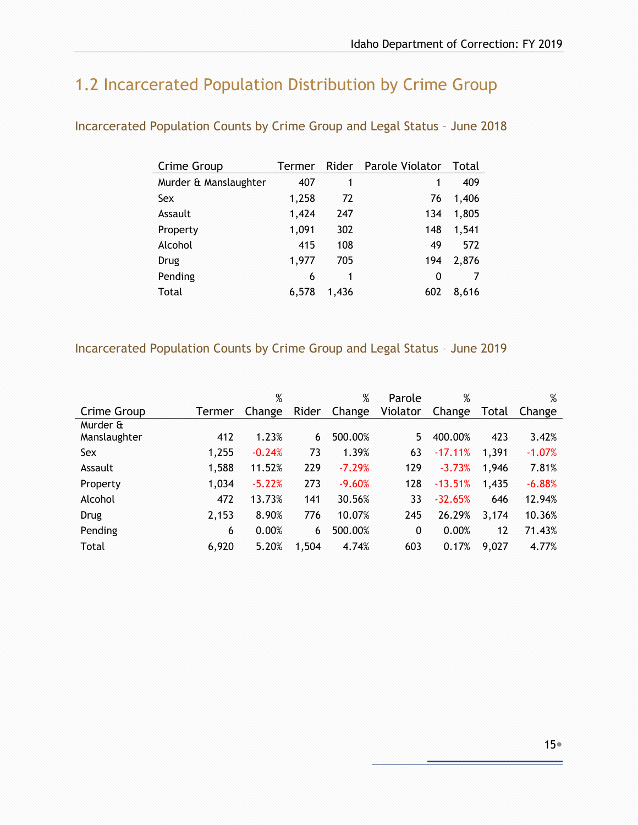# <span id="page-14-0"></span>1.2 Incarcerated Population Distribution by Crime Group

| Crime Group           | Termer |       | Rider Parole Violator | Total |
|-----------------------|--------|-------|-----------------------|-------|
| Murder & Manslaughter | 407    | 1     | 1                     | 409   |
| Sex                   | 1,258  | 72    | 76                    | 1,406 |
| Assault               | 1,424  | 247   | 134                   | 1,805 |
| Property              | 1,091  | 302   | 148                   | 1,541 |
| Alcohol               | 415    | 108   | 49                    | 572   |
| Drug                  | 1,977  | 705   | 194                   | 2,876 |
| Pending               | 6      | 1     | 0                     | 7     |
| Total                 | 6,578  | 1,436 | 602                   | 8,616 |
|                       |        |       |                       |       |

#### <span id="page-14-1"></span>Incarcerated Population Counts by Crime Group and Legal Status – June 2018

#### <span id="page-14-2"></span>Incarcerated Population Counts by Crime Group and Legal Status – June 2019

|              |        | %        |       | %        | Parole   | %         |       | %        |
|--------------|--------|----------|-------|----------|----------|-----------|-------|----------|
| Crime Group  | Termer | Change   | Rider | Change   | Violator | Change    | Total | Change   |
| Murder &     |        |          |       |          |          |           |       |          |
| Manslaughter | 412    | 1.23%    | 6     | 500.00%  | 5        | 400.00%   | 423   | 3.42%    |
| Sex          | 1,255  | $-0.24%$ | 73    | 1.39%    | 63       | $-17.11%$ | 1,391 | $-1.07%$ |
| Assault      | 1,588  | 11.52%   | 229   | $-7.29%$ | 129      | $-3.73%$  | 1,946 | 7.81%    |
| Property     | 1,034  | $-5.22%$ | 273   | $-9.60%$ | 128      | $-13.51%$ | 1,435 | $-6.88%$ |
| Alcohol      | 472    | 13.73%   | 141   | 30.56%   | 33       | $-32.65%$ | 646   | 12.94%   |
| Drug         | 2,153  | 8.90%    | 776   | 10.07%   | 245      | 26.29%    | 3,174 | 10.36%   |
| Pending      | 6      | 0.00%    | 6     | 500.00%  | 0        | 0.00%     | 12    | 71.43%   |
| Total        | 6,920  | 5.20%    | 1,504 | 4.74%    | 603      | 0.17%     | 9,027 | 4.77%    |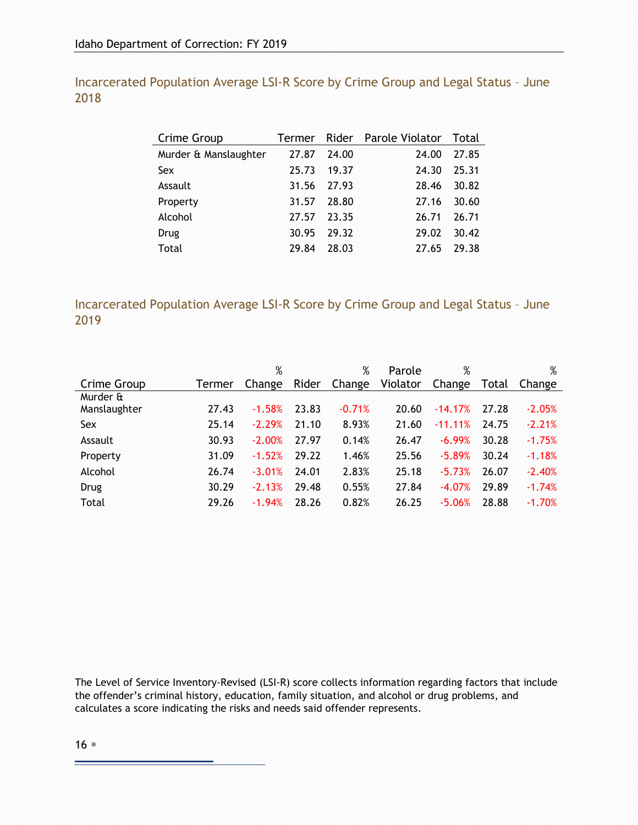<span id="page-15-0"></span>Incarcerated Population Average LSI-R Score by Crime Group and Legal Status – June 2018

| Crime Group           |       |       | Termer Rider Parole Violator | Total |
|-----------------------|-------|-------|------------------------------|-------|
| Murder & Manslaughter | 27.87 | 24.00 | 24.00                        | 27.85 |
| Sex                   | 25.73 | 19.37 | 24.30                        | 25.31 |
| Assault               | 31.56 | 27.93 | 28.46                        | 30.82 |
| Property              | 31.57 | 28.80 | 27.16                        | 30.60 |
| Alcohol               | 27.57 | 23.35 | 26.71                        | 26.71 |
| Drug                  | 30.95 | 29.32 | 29.02                        | 30.42 |
| Total                 | 29.84 | 28.03 | 27.65                        | 29.38 |

<span id="page-15-1"></span>Incarcerated Population Average LSI-R Score by Crime Group and Legal Status – June 2019

|              |        | $\%$     |       | %        | Parole   | %          |       | %        |
|--------------|--------|----------|-------|----------|----------|------------|-------|----------|
| Crime Group  | Termer | Change   | Rider | Change   | Violator | Change     | Total | Change   |
| Murder &     |        |          |       |          |          |            |       |          |
| Manslaughter | 27.43  | $-1.58%$ | 23.83 | $-0.71%$ | 20.60    | $-14.17%$  | 27.28 | $-2.05%$ |
| Sex          | 25.14  | $-2.29%$ | 21.10 | 8.93%    | 21.60    | $-11.11\%$ | 24.75 | $-2.21%$ |
| Assault      | 30.93  | $-2.00%$ | 27.97 | 0.14%    | 26.47    | $-6.99%$   | 30.28 | $-1.75%$ |
| Property     | 31.09  | $-1.52%$ | 29.22 | 1.46%    | 25.56    | $-5.89%$   | 30.24 | $-1.18%$ |
| Alcohol      | 26.74  | $-3.01%$ | 24.01 | 2.83%    | 25.18    | $-5.73%$   | 26.07 | $-2.40%$ |
| Drug         | 30.29  | $-2.13%$ | 29.48 | 0.55%    | 27.84    | $-4.07%$   | 29.89 | $-1.74%$ |
| Total        | 29.26  | $-1.94%$ | 28.26 | 0.82%    | 26.25    | $-5.06%$   | 28.88 | $-1.70%$ |

The Level of Service Inventory-Revised (LSI-R) score collects information regarding factors that include the offender's criminal history, education, family situation, and alcohol or drug problems, and calculates a score indicating the risks and needs said offender represents.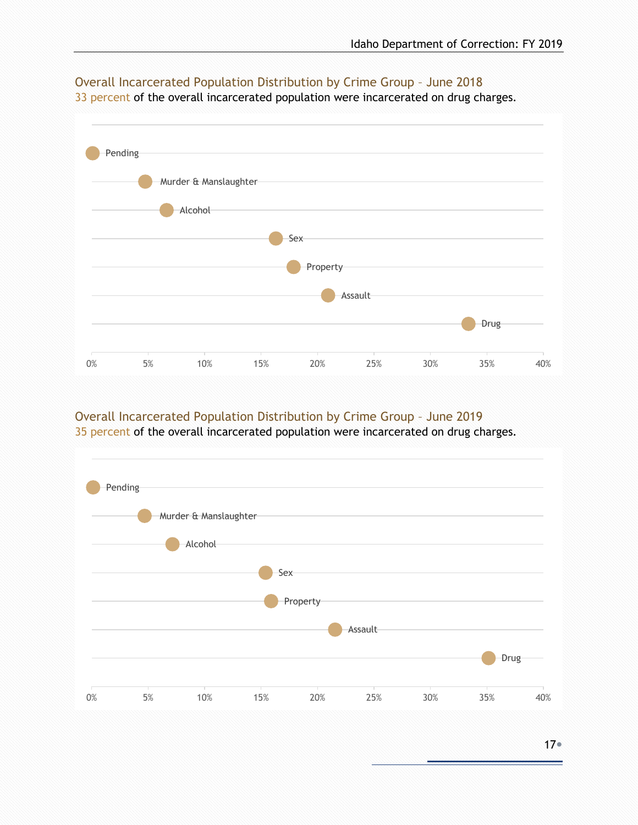

### <span id="page-16-0"></span>Overall Incarcerated Population Distribution by Crime Group – June 2018

33 percent of the overall incarcerated population were incarcerated on drug charges.

#### <span id="page-16-1"></span>Overall Incarcerated Population Distribution by Crime Group – June 2019

35 percent of the overall incarcerated population were incarcerated on drug charges.

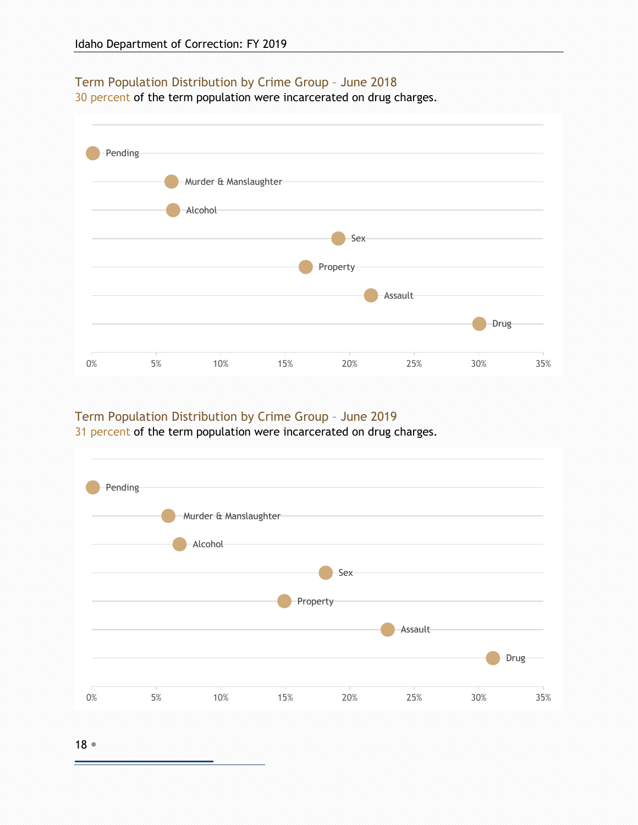#### <span id="page-17-0"></span>Term Population Distribution by Crime Group – June 2018

30 percent of the term population were incarcerated on drug charges.



#### <span id="page-17-1"></span>Term Population Distribution by Crime Group – June 2019

31 percent of the term population were incarcerated on drug charges.



18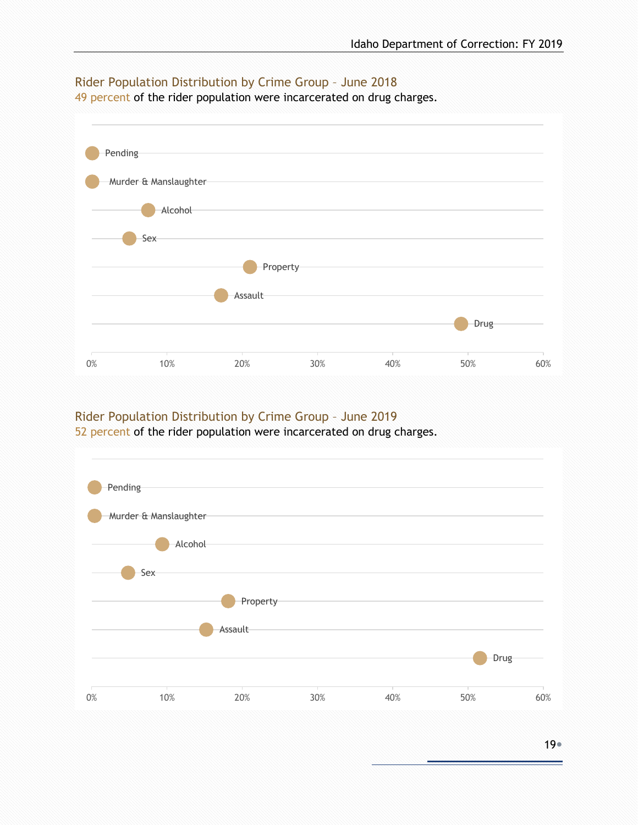

#### <span id="page-18-0"></span>Rider Population Distribution by Crime Group – June 2018

49 percent of the rider population were incarcerated on drug charges.

#### <span id="page-18-1"></span>Rider Population Distribution by Crime Group – June 2019

52 percent of the rider population were incarcerated on drug charges.

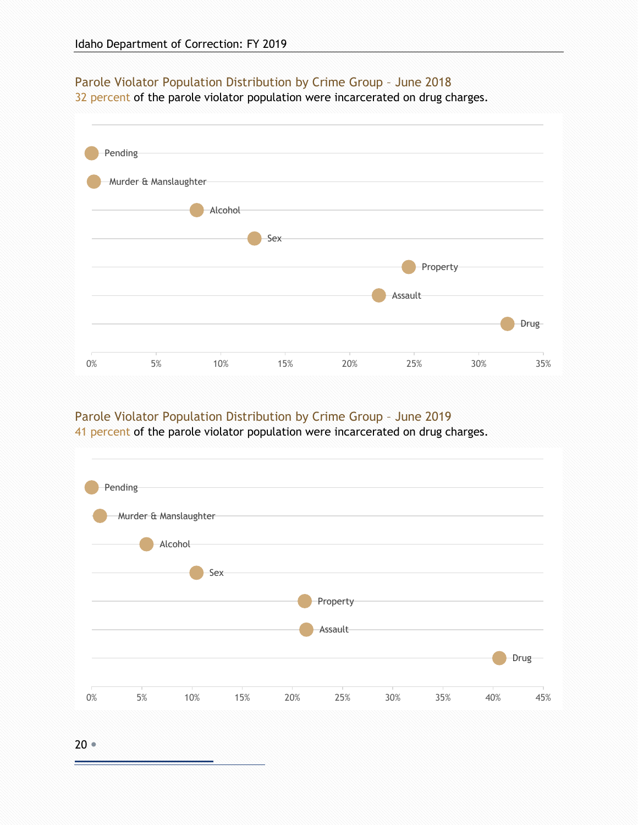#### <span id="page-19-0"></span>Parole Violator Population Distribution by Crime Group – June 2018

32 percent of the parole violator population were incarcerated on drug charges.



#### <span id="page-19-1"></span>Parole Violator Population Distribution by Crime Group – June 2019

41 percent of the parole violator population were incarcerated on drug charges.



20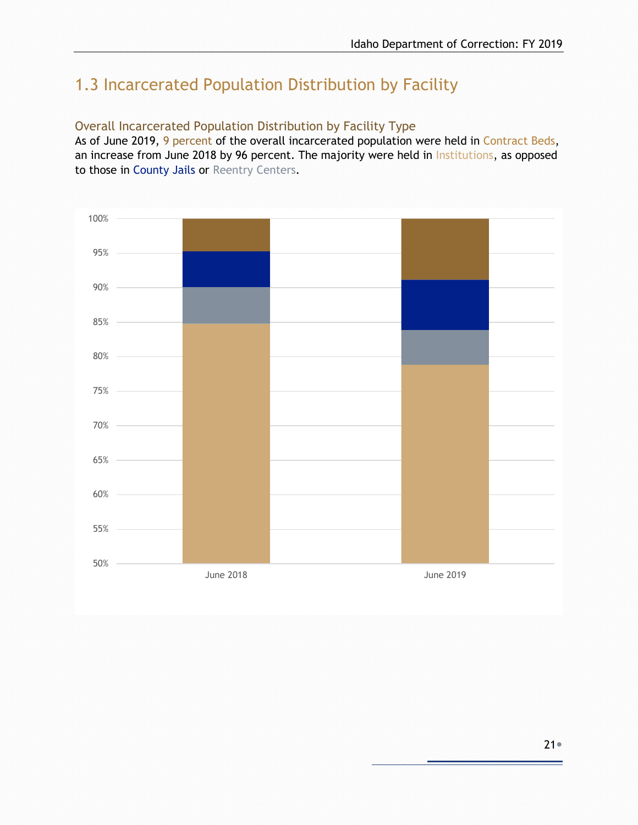# <span id="page-20-0"></span>1.3 Incarcerated Population Distribution by Facility

#### <span id="page-20-1"></span>Overall Incarcerated Population Distribution by Facility Type

As of June 2019, 9 percent of the overall incarcerated population were held in Contract Beds, an increase from June 2018 by 96 percent. The majority were held in Institutions, as opposed to those in County Jails or Reentry Centers.

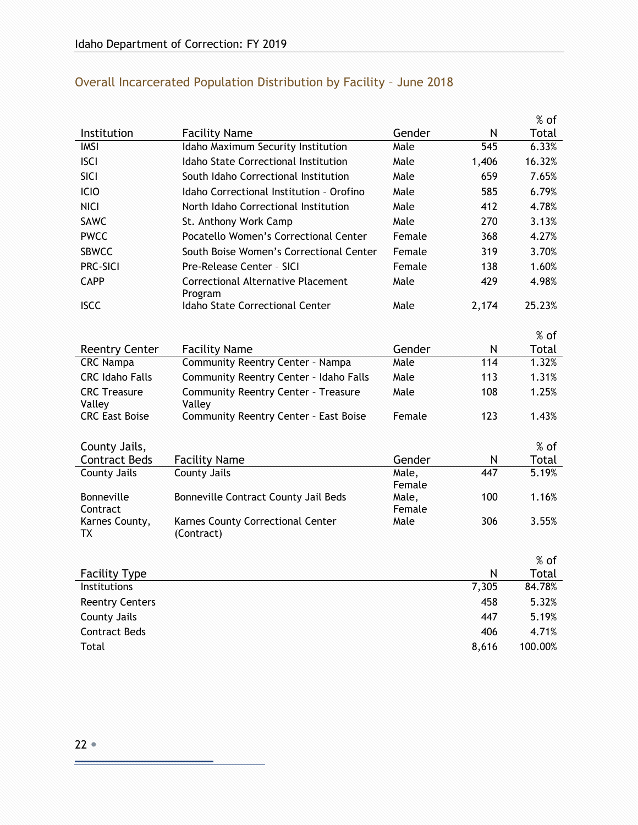|                               |                                                      |                 |       | $%$ of  |
|-------------------------------|------------------------------------------------------|-----------------|-------|---------|
| Institution                   | <b>Facility Name</b>                                 | Gender          | N     | Total   |
| <b>IMSI</b>                   | Idaho Maximum Security Institution                   | Male            | 545   | 6.33%   |
| <b>ISCI</b>                   | <b>Idaho State Correctional Institution</b>          | Male            | 1,406 | 16.32%  |
| <b>SICI</b>                   | South Idaho Correctional Institution                 | Male            | 659   | 7.65%   |
| ICIO                          | Idaho Correctional Institution - Orofino             | Male            | 585   | 6.79%   |
| <b>NICI</b>                   | North Idaho Correctional Institution                 | Male            | 412   | 4.78%   |
| SAWC                          | St. Anthony Work Camp                                | Male            | 270   | 3.13%   |
| <b>PWCC</b>                   | Pocatello Women's Correctional Center                | Female          | 368   | 4.27%   |
| <b>SBWCC</b>                  | South Boise Women's Correctional Center              | Female          | 319   | 3.70%   |
| <b>PRC-SICI</b>               | Pre-Release Center - SICI                            | Female          | 138   | 1.60%   |
| CAPP                          | <b>Correctional Alternative Placement</b>            | Male            | 429   | 4.98%   |
| <b>ISCC</b>                   | Program<br>Idaho State Correctional Center           | Male            | 2,174 | 25.23%  |
|                               |                                                      |                 |       | % of    |
| <b>Reentry Center</b>         | <b>Facility Name</b>                                 | Gender          | N     | Total   |
| <b>CRC Nampa</b>              | Community Reentry Center - Nampa                     | Male            | 114   | 1.32%   |
| <b>CRC Idaho Falls</b>        | Community Reentry Center - Idaho Falls               | Male            | 113   | 1.31%   |
| <b>CRC Treasure</b><br>Valley | <b>Community Reentry Center - Treasure</b><br>Valley | Male            | 108   | 1.25%   |
| <b>CRC East Boise</b>         | Community Reentry Center - East Boise                | Female          | 123   | 1.43%   |
| County Jails,                 |                                                      |                 |       | $%$ of  |
| <b>Contract Beds</b>          | <b>Facility Name</b>                                 | Gender          | N     | Total   |
| <b>County Jails</b>           | <b>County Jails</b>                                  | Male,           | 447   | 5.19%   |
|                               |                                                      | Female          |       |         |
| <b>Bonneville</b><br>Contract | Bonneville Contract County Jail Beds                 | Male,<br>Female | 100   | 1.16%   |
| Karnes County,<br>ТX          | Karnes County Correctional Center<br>(Contract)      | Male            | 306   | 3.55%   |
|                               |                                                      |                 |       | $%$ of  |
| <b>Facility Type</b>          |                                                      |                 | N     | Total   |
| Institutions                  |                                                      |                 | 7,305 | 84.78%  |
| <b>Reentry Centers</b>        |                                                      |                 | 458   | 5.32%   |
| <b>County Jails</b>           |                                                      |                 | 447   | 5.19%   |
| <b>Contract Beds</b>          |                                                      |                 | 406   | 4.71%   |
| Total                         |                                                      |                 | 8,616 | 100.00% |

## <span id="page-21-0"></span>Overall Incarcerated Population Distribution by Facility – June 2018

÷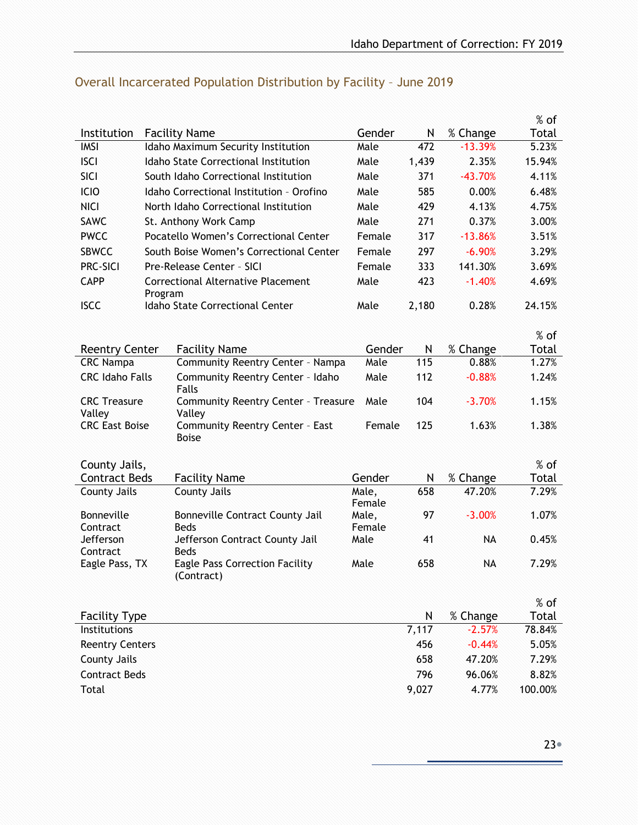|                                      |         |                                                      |                 |            |                      | $%$ of          |
|--------------------------------------|---------|------------------------------------------------------|-----------------|------------|----------------------|-----------------|
| Institution                          |         | <b>Facility Name</b>                                 | Gender          | N          | % Change             | Total           |
| <b>IMSI</b>                          |         | Idaho Maximum Security Institution                   | Male            | 472        | $-13.39%$            | 5.23%           |
| <b>ISCI</b>                          |         | Idaho State Correctional Institution                 | Male            | 1,439      | 2.35%                | 15.94%          |
| SICI                                 |         | South Idaho Correctional Institution                 | Male            | 371        | $-43.70%$            | 4.11%           |
| ICIO                                 |         | Idaho Correctional Institution - Orofino             | Male            | 585        | 0.00%                | 6.48%           |
| <b>NICI</b>                          |         | North Idaho Correctional Institution                 | Male            | 429        | 4.13%                | 4.75%           |
| <b>SAWC</b>                          |         | St. Anthony Work Camp                                | Male            | 271        | 0.37%                | 3.00%           |
| <b>PWCC</b>                          |         | Pocatello Women's Correctional Center                | Female          | 317        | $-13.86%$            | 3.51%           |
| <b>SBWCC</b>                         |         | South Boise Women's Correctional Center              | Female          | 297        | $-6.90%$             | 3.29%           |
| <b>PRC-SICI</b>                      |         | Pre-Release Center - SICI                            | Female          | 333        | 141.30%              | 3.69%           |
| <b>CAPP</b>                          | Program | Correctional Alternative Placement                   | Male            | 423        | $-1.40%$             | 4.69%           |
| <b>ISCC</b>                          |         | Idaho State Correctional Center                      | Male            | 2,180      | 0.28%                | 24.15%          |
|                                      |         |                                                      |                 |            |                      | $%$ of          |
| <b>Reentry Center</b>                |         | <b>Facility Name</b>                                 | Gender          | N          | % Change             | Total           |
| <b>CRC Nampa</b>                     |         | Community Reentry Center - Nampa                     | Male            | 115        | 0.88%                | 1.27%           |
| <b>CRC Idaho Falls</b>               |         | Community Reentry Center - Idaho                     | Male            | 112        | $-0.88%$             | 1.24%           |
|                                      |         | Falls                                                |                 |            |                      |                 |
| <b>CRC Treasure</b><br>Valley        |         | <b>Community Reentry Center - Treasure</b><br>Valley | Male            | 104        | $-3.70%$             | 1.15%           |
| <b>CRC East Boise</b>                |         | Community Reentry Center - East<br><b>Boise</b>      | Female          | 125        | 1.63%                | 1.38%           |
|                                      |         |                                                      |                 |            |                      |                 |
| County Jails,                        |         |                                                      |                 |            |                      | % of            |
| <b>Contract Beds</b>                 |         | <b>Facility Name</b>                                 | Gender          | N          | % Change             | Total           |
| County Jails                         |         | County Jails                                         | Male,<br>Female | 658        | 47.20%               | 7.29%           |
| Bonneville                           |         | Bonneville Contract County Jail                      | Male,           | 97         | $-3.00%$             | 1.07%           |
| Contract                             |         | <b>Beds</b>                                          | Female          |            |                      |                 |
| Jefferson                            |         | Jefferson Contract County Jail                       | Male            | 41         | <b>NA</b>            | 0.45%           |
| Contract                             |         | <b>Beds</b>                                          |                 |            |                      |                 |
| Eagle Pass, TX                       |         | <b>Eagle Pass Correction Facility</b><br>(Contract)  | Male            | 658        | NA                   | 7.29%           |
|                                      |         |                                                      |                 |            |                      |                 |
|                                      |         |                                                      |                 |            |                      | $%$ of          |
| <b>Facility Type</b><br>Institutions |         |                                                      |                 | N<br>7,117 | % Change<br>$-2.57%$ | Total<br>78.84% |
|                                      |         |                                                      |                 |            |                      |                 |
| <b>Reentry Centers</b>               |         |                                                      |                 | 456        | $-0.44%$             | 5.05%           |
| <b>County Jails</b>                  |         |                                                      |                 | 658        | 47.20%               | 7.29%           |
| <b>Contract Beds</b>                 |         |                                                      |                 | 796        | 96.06%               | 8.82%           |
| Total                                |         |                                                      |                 | 9,027      | 4.77%                | 100.00%         |

## <span id="page-22-0"></span>Overall Incarcerated Population Distribution by Facility – June 2019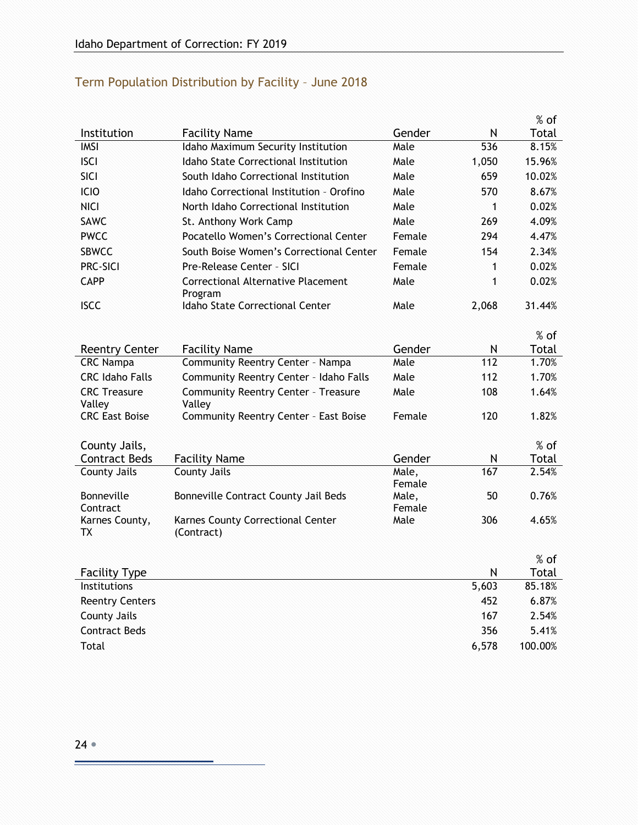<span id="page-23-0"></span>

| Term Population Distribution by Facility - June 2018 |  |  |  |
|------------------------------------------------------|--|--|--|
|------------------------------------------------------|--|--|--|

|                               |                                                      |                 |       | $%$ of  |
|-------------------------------|------------------------------------------------------|-----------------|-------|---------|
| Institution                   | <b>Facility Name</b>                                 | Gender          | N     | Total   |
| <b>IMSI</b>                   | Idaho Maximum Security Institution                   | Male            | 536   | 8.15%   |
| <b>ISCI</b>                   | <b>Idaho State Correctional Institution</b>          | Male            | 1,050 | 15.96%  |
| SICI                          | South Idaho Correctional Institution                 | Male            | 659   | 10.02%  |
| <b>ICIO</b>                   | Idaho Correctional Institution - Orofino             | Male            | 570   | 8.67%   |
| <b>NICI</b>                   | North Idaho Correctional Institution                 | Male            | 1     | 0.02%   |
| <b>SAWC</b>                   | St. Anthony Work Camp                                | Male            | 269   | 4.09%   |
| <b>PWCC</b>                   | Pocatello Women's Correctional Center                | Female          | 294   | 4.47%   |
| <b>SBWCC</b>                  | South Boise Women's Correctional Center              | Female          | 154   | 2.34%   |
| PRC-SICI                      | Pre-Release Center - SICI                            | Female          | 1     | 0.02%   |
| <b>CAPP</b>                   | Correctional Alternative Placement<br>Program        | Male            | 1     | 0.02%   |
| <b>ISCC</b>                   | <b>Idaho State Correctional Center</b>               | Male            | 2,068 | 31.44%  |
|                               |                                                      |                 |       | $%$ of  |
| <b>Reentry Center</b>         | <b>Facility Name</b>                                 | Gender          | N     | Total   |
| <b>CRC Nampa</b>              | Community Reentry Center - Nampa                     | Male            | 112   | 1.70%   |
| <b>CRC Idaho Falls</b>        | Community Reentry Center - Idaho Falls               | Male            | 112   | 1.70%   |
| <b>CRC Treasure</b><br>Valley | <b>Community Reentry Center - Treasure</b><br>Valley | Male            | 108   | 1.64%   |
| <b>CRC East Boise</b>         | Community Reentry Center - East Boise                | Female          | 120   | 1.82%   |
| County Jails,                 |                                                      |                 |       | $%$ of  |
| <b>Contract Beds</b>          | <b>Facility Name</b>                                 | Gender          | N     | Total   |
| <b>County Jails</b>           | <b>County Jails</b>                                  | Male,<br>Female | 167   | 2.54%   |
| <b>Bonneville</b><br>Contract | Bonneville Contract County Jail Beds                 | Male,<br>Female | 50    | 0.76%   |
| Karnes County,<br>ТX          | Karnes County Correctional Center<br>(Contract)      | Male            | 306   | 4.65%   |
|                               |                                                      |                 |       | % of    |
| <b>Facility Type</b>          |                                                      |                 | N     | Total   |
| Institutions                  |                                                      |                 | 5,603 | 85.18%  |
| <b>Reentry Centers</b>        |                                                      |                 | 452   | 6.87%   |
| <b>County Jails</b>           |                                                      |                 | 167   | 2.54%   |
| <b>Contract Beds</b>          |                                                      |                 | 356   | 5.41%   |
| Total                         |                                                      |                 | 6,578 | 100.00% |

Ξ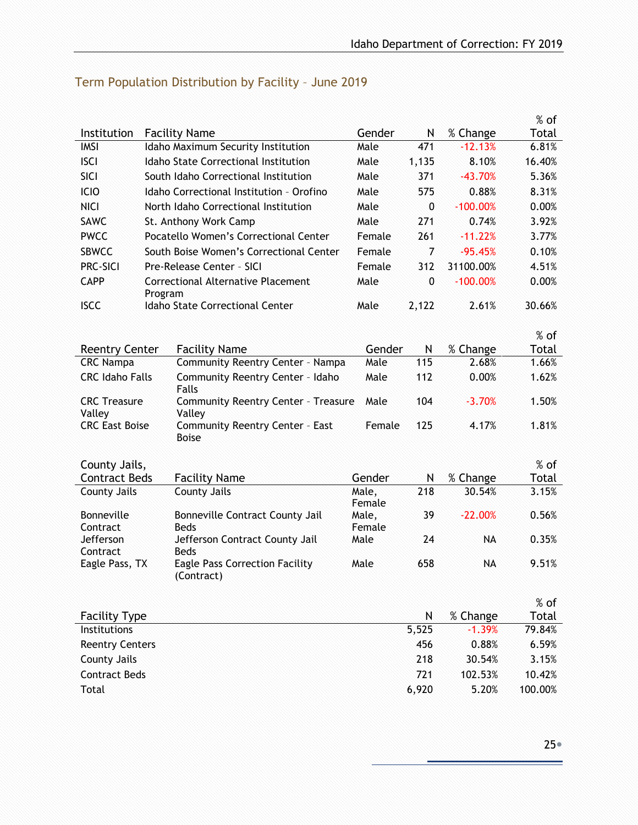#### Institution Facility Name Gender N % Change % of Total IMSI Idaho Maximum Security Institution Male 471 -12.13% 6.81% ISCI Idaho State Correctional Institution Male 1,135 8.10% 16.40% SICI South Idaho Correctional Institution Male 371 -43.70% 5.36% ICIO Idaho Correctional Institution – Orofino Male 575 0.88% 8.31% NICI North Idaho Correctional Institution Male 0 -100.00% 0.00% SAWC St. Anthony Work Camp Male 271 0.74% 3.92% PWCC Pocatello Women's Correctional Center Female 261 -11.22% 3.77% SBWCC South Boise Women's Correctional Center Female 7 -95.45% 0.10% PRC-SICI Pre-Release Center - SICI Female 312 31100.00% 4.51% CAPP Correctional Alternative Placement Program Male 0 -100.00% 0.00% ISCC Idaho State Correctional Center Male 2,122 2.61% 30.66% Reentry Center Facility Name Gender N % Change % of Total CRC Nampa Community Reentry Center – Nampa Male 115 2.68% 1.66% CRC Idaho Falls Community Reentry Center – Idaho Falls Male 112 0.00% 1.62% CRC Treasure Valley Community Reentry Center – Treasure Valley Male 104 -3.70% 1.50% CRC East Boise Community Reentry Center – East Boise Female 125 4.17% 1.81% County Jails, Contract Beds Facility Name Gender N % Change % of Total County Jails County Jails Male, Female 218 30.54% 3.15% Bonneville **Contract** Bonneville Contract County Jail Beds Male, Female 39 -22.00% 0.56% Jefferson **Contract** Jefferson Contract County Jail Beds Male 24 NA 0.35% Eagle Pass, TX Eagle Pass Correction Facility (Contract) Male 658 NA 9.51% Facility Type  $\sim$  N  $\sim$  % Change % of Total Institutions 5,525 -1.39% 79.84% Reentry Centers 6.59% 6.59% 6.59% 6.59% 6.59% 6.59% 6.59% 6.59% 6.59% 6.59% 6.59% 6.59% 6.59% 6.59% for the str County Jails 218 30.54% 3.15% Contract Beds 721 102.53% 10.42% Total 6,920 5.20% 100.00%

#### <span id="page-24-0"></span>Term Population Distribution by Facility – June 2019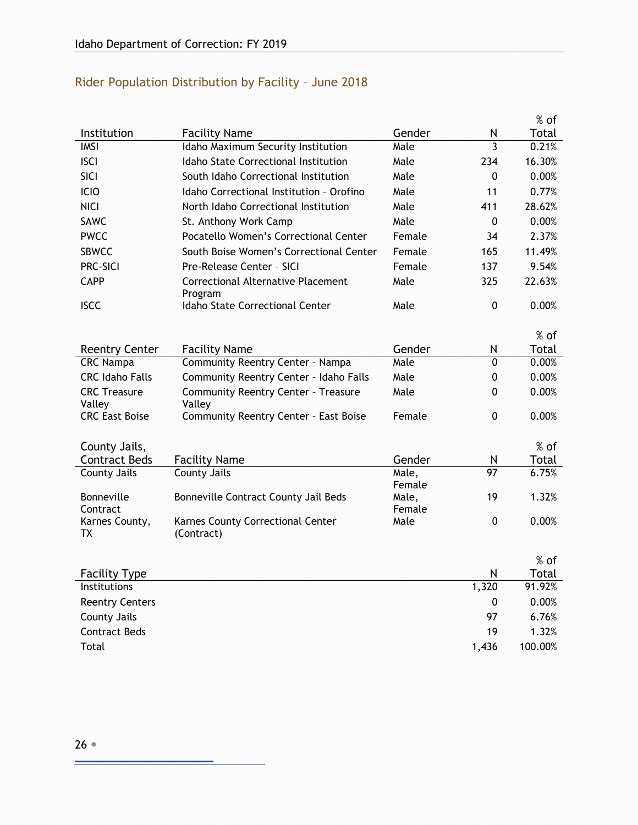<span id="page-25-0"></span>

| Rider Population Distribution by Facility - June 2018 |  |  |  |
|-------------------------------------------------------|--|--|--|
|-------------------------------------------------------|--|--|--|

|                                           |                                                          |                 |                     | $%$ of          |
|-------------------------------------------|----------------------------------------------------------|-----------------|---------------------|-----------------|
| Institution                               | <b>Facility Name</b>                                     | Gender          | N                   | Total           |
| <b>IMSI</b>                               | Idaho Maximum Security Institution                       | Male            | $\overline{3}$      | 0.21%           |
| <b>ISCI</b>                               | Idaho State Correctional Institution                     | Male            | 234                 | 16.30%          |
| <b>SICI</b>                               | South Idaho Correctional Institution                     | Male            | 0                   | 0.00%           |
| <b>ICIO</b>                               | Idaho Correctional Institution - Orofino                 | Male            | 11                  | 0.77%           |
| <b>NICI</b>                               | North Idaho Correctional Institution                     | Male            | 411                 | 28.62%          |
| <b>SAWC</b>                               | St. Anthony Work Camp                                    | Male            | $\mathbf 0$         | 0.00%           |
| <b>PWCC</b>                               | Pocatello Women's Correctional Center                    | Female          | 34                  | 2.37%           |
| <b>SBWCC</b>                              | South Boise Women's Correctional Center                  | Female          | 165                 | 11.49%          |
| PRC-SICI                                  | Pre-Release Center - SICI                                | Female          | 137                 | 9.54%           |
| <b>CAPP</b>                               | <b>Correctional Alternative Placement</b><br>Program     | Male            | 325                 | 22.63%          |
| <b>ISCC</b>                               | <b>Idaho State Correctional Center</b>                   | Male            | $\mathbf 0$         | 0.00%           |
|                                           |                                                          |                 |                     |                 |
|                                           |                                                          | Gender          |                     | $%$ of<br>Total |
| <b>Reentry Center</b><br><b>CRC Nampa</b> | <b>Facility Name</b><br>Community Reentry Center - Nampa | Male            | N<br>$\overline{0}$ | 0.00%           |
| <b>CRC Idaho Falls</b>                    | Community Reentry Center - Idaho Falls                   | Male            | 0                   | 0.00%           |
| <b>CRC Treasure</b>                       | <b>Community Reentry Center - Treasure</b>               | Male            | 0                   | 0.00%           |
| Valley                                    | Valley                                                   |                 |                     |                 |
| <b>CRC East Boise</b>                     | Community Reentry Center - East Boise                    | Female          | 0                   | 0.00%           |
|                                           |                                                          |                 |                     |                 |
| County Jails,                             |                                                          |                 |                     | $%$ of          |
| <b>Contract Beds</b>                      | <b>Facility Name</b>                                     | Gender          | N                   | Total           |
| <b>County Jails</b>                       | <b>County Jails</b>                                      | Male,           | 97                  | 6.75%           |
| Bonneville                                | Bonneville Contract County Jail Beds                     | Female<br>Male, | 19                  | 1.32%           |
| Contract                                  |                                                          | Female          |                     |                 |
| Karnes County,                            | Karnes County Correctional Center                        | Male            | 0                   | 0.00%           |
| TХ                                        | (Contract)                                               |                 |                     |                 |
|                                           |                                                          |                 |                     | % of            |
| <b>Facility Type</b>                      |                                                          |                 | N                   | Total           |
| Institutions                              |                                                          |                 | 1,320               | 91.92%          |
| <b>Reentry Centers</b>                    |                                                          |                 | 0                   | 0.00%           |
| <b>County Jails</b>                       |                                                          |                 | 97                  | 6.76%           |
| <b>Contract Beds</b>                      |                                                          |                 | 19                  | 1.32%           |
| Total                                     |                                                          |                 | 1,436               | 100.00%         |

Ξ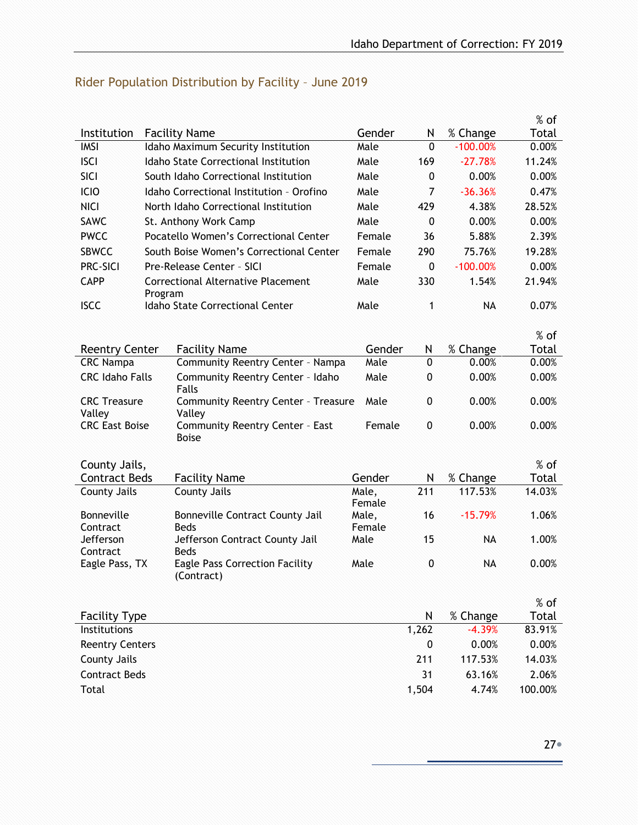% of  $\frac{\text{Total}}{0.00\%}$ 

|             |                                          |        |     |             | $%$ of |
|-------------|------------------------------------------|--------|-----|-------------|--------|
| Institution | <b>Facility Name</b>                     | Gender | N   | % Change    | Total  |
| IMSI        | Idaho Maximum Security Institution       | Male   | 0   | $-100.00\%$ | 0.00%  |
| <b>ISCI</b> | Idaho State Correctional Institution     | Male   | 169 | $-27.78%$   | 11.24% |
| <b>SICI</b> | South Idaho Correctional Institution     | Male   | 0   | 0.00%       | 0.00%  |
| ICIO        | Idaho Correctional Institution - Orofino | Male   | 7   | $-36.36%$   | 0.47%  |
| <b>NICI</b> | North Idaho Correctional Institution     | Male   | 429 | 4.38%       | 28.52% |
| SAWC        | St. Anthony Work Camp                    | Male   | 0   | 0.00%       | 0.00%  |
| <b>PWCC</b> | Pocatello Women's Correctional Center    | Female | 36  | 5.88%       | 2.39%  |
| CRINICC     | South Roise Waman's Correctional Contex  | Emola  | ാറെ | 75 769      | 10.79% |

## <span id="page-26-0"></span>Rider Population Distribution by Facility – June 2019

| <b>PWCC</b>                   |         | Pocatello Women's Correctional Center                | Female          | 36           | 5.88%      | 2.39%  |
|-------------------------------|---------|------------------------------------------------------|-----------------|--------------|------------|--------|
| <b>SBWCC</b>                  |         | South Boise Women's Correctional Center              | Female          | 290          | 75.76%     | 19.28% |
| <b>PRC-SICI</b>               |         | Pre-Release Center - SICI                            | Female          | $\mathbf{0}$ | $-100.00%$ | 0.00%  |
| <b>CAPP</b>                   | Program | <b>Correctional Alternative Placement</b>            | Male            | 330          | 1.54%      | 21.94% |
| <b>ISCC</b>                   |         | <b>Idaho State Correctional Center</b>               | Male            | 1            | <b>NA</b>  | 0.07%  |
|                               |         |                                                      |                 |              |            | % of   |
| <b>Reentry Center</b>         |         | <b>Facility Name</b>                                 | Gender          | N            | % Change   | Total  |
| <b>CRC Nampa</b>              |         | Community Reentry Center - Nampa                     | Male            | $\Omega$     | 0.00%      | 0.00%  |
| <b>CRC Idaho Falls</b>        |         | Community Reentry Center - Idaho<br><b>Falls</b>     | Male            | 0            | 0.00%      | 0.00%  |
| <b>CRC Treasure</b><br>Valley |         | <b>Community Reentry Center - Treasure</b><br>Valley | Male            | $\mathbf 0$  | 0.00%      | 0.00%  |
| <b>CRC East Boise</b>         |         | Community Reentry Center - East<br><b>Boise</b>      | Female          | 0            | 0.00%      | 0.00%  |
| County Jails,                 |         |                                                      |                 |              |            | $%$ of |
| <b>Contract Beds</b>          |         | <b>Facility Name</b>                                 | Gender          | N            | % Change   | Total  |
|                               |         |                                                      |                 |              |            |        |
| <b>County Jails</b>           |         | <b>County Jails</b>                                  | Male,<br>Female | 211          | 117.53%    | 14.03% |
| Bonneville<br>Contract        |         | Bonneville Contract County Jail<br><b>Beds</b>       | Male,<br>Female | 16           | $-15.79%$  | 1.06%  |
| Jefferson<br>Contract         |         | Jefferson Contract County Jail<br><b>Beds</b>        | Male            | 15           | <b>NA</b>  | 1.00%  |
| Eagle Pass, TX                |         | <b>Eagle Pass Correction Facility</b><br>(Contract)  | Male            | 0            | <b>NA</b>  | 0.00%  |
|                               |         |                                                      |                 |              |            | $%$ of |
| <b>Facility Type</b>          |         |                                                      |                 | N            | % Change   | Total  |
| Institutions                  |         |                                                      |                 | 1,262        | $-4.39%$   | 83.91% |
| <b>Reentry Centers</b>        |         |                                                      |                 | $\mathbf{0}$ | 0.00%      | 0.00%  |
| <b>County Jails</b>           |         |                                                      |                 | 211          | 117.53%    | 14.03% |
| <b>Contract Beds</b>          |         |                                                      |                 | 31           | 63.16%     | 2.06%  |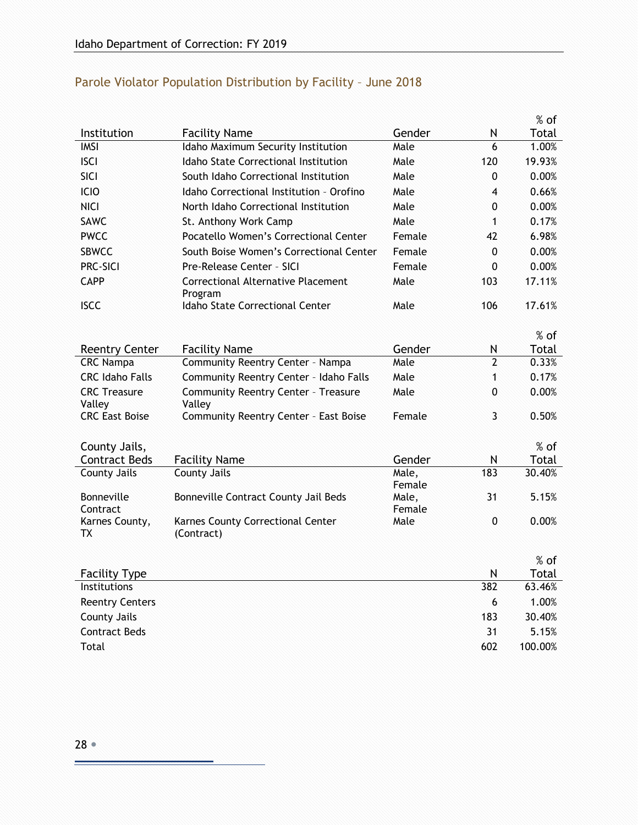|                                                 |                                                                                                           |                 | $%$ of                   |
|-------------------------------------------------|-----------------------------------------------------------------------------------------------------------|-----------------|--------------------------|
| <b>Facility Name</b>                            | Gender                                                                                                    | N               | Total                    |
| Idaho Maximum Security Institution              | Male                                                                                                      |                 | 1.00%                    |
| <b>Idaho State Correctional Institution</b>     | Male                                                                                                      | 120             | 19.93%                   |
| South Idaho Correctional Institution            | Male                                                                                                      | 0               | 0.00%                    |
| Idaho Correctional Institution - Orofino        | Male                                                                                                      | 4               | 0.66%                    |
| North Idaho Correctional Institution            | Male                                                                                                      | 0               | 0.00%                    |
| St. Anthony Work Camp                           | Male                                                                                                      | 1               | 0.17%                    |
| Pocatello Women's Correctional Center           | Female                                                                                                    | 42              | 6.98%                    |
| South Boise Women's Correctional Center         | Female                                                                                                    | 0               | 0.00%                    |
| Pre-Release Center - SICI                       | Female                                                                                                    | 0               | 0.00%                    |
| <b>Correctional Alternative Placement</b>       | Male                                                                                                      | 103             | 17.11%                   |
| Idaho State Correctional Center                 | Male                                                                                                      | 106             | 17.61%                   |
|                                                 |                                                                                                           |                 | % of                     |
|                                                 | Gender                                                                                                    |                 | Total                    |
| Community Reentry Center - Nampa                | Male                                                                                                      | $\overline{2}$  | 0.33%                    |
| Community Reentry Center - Idaho Falls          | Male                                                                                                      | 1               | 0.17%                    |
| <b>Community Reentry Center - Treasure</b>      | Male                                                                                                      | 0               | 0.00%                    |
| Community Reentry Center - East Boise           | Female                                                                                                    | 3               | 0.50%                    |
|                                                 |                                                                                                           |                 | $%$ of                   |
|                                                 | Gender                                                                                                    | N               | Total                    |
| <b>County Jails</b>                             | Male,                                                                                                     | 183             | 30.40%                   |
|                                                 | Female                                                                                                    |                 |                          |
|                                                 |                                                                                                           |                 | 5.15%                    |
| Karnes County Correctional Center<br>(Contract) | Male                                                                                                      | 0               | 0.00%                    |
|                                                 |                                                                                                           |                 | $%$ of                   |
|                                                 |                                                                                                           |                 | Total                    |
|                                                 |                                                                                                           | 382             | 63.46%                   |
|                                                 |                                                                                                           | 6               | 1.00%                    |
|                                                 |                                                                                                           |                 | 30.40%                   |
|                                                 |                                                                                                           | 31              | 5.15%                    |
|                                                 |                                                                                                           | 602             | 100.00%                  |
|                                                 | Program<br><b>Facility Name</b><br>Valley<br><b>Facility Name</b><br>Bonneville Contract County Jail Beds | Male,<br>Female | 6<br>N<br>31<br>N<br>183 |

## <span id="page-27-0"></span>Parole Violator Population Distribution by Facility – June 2018

F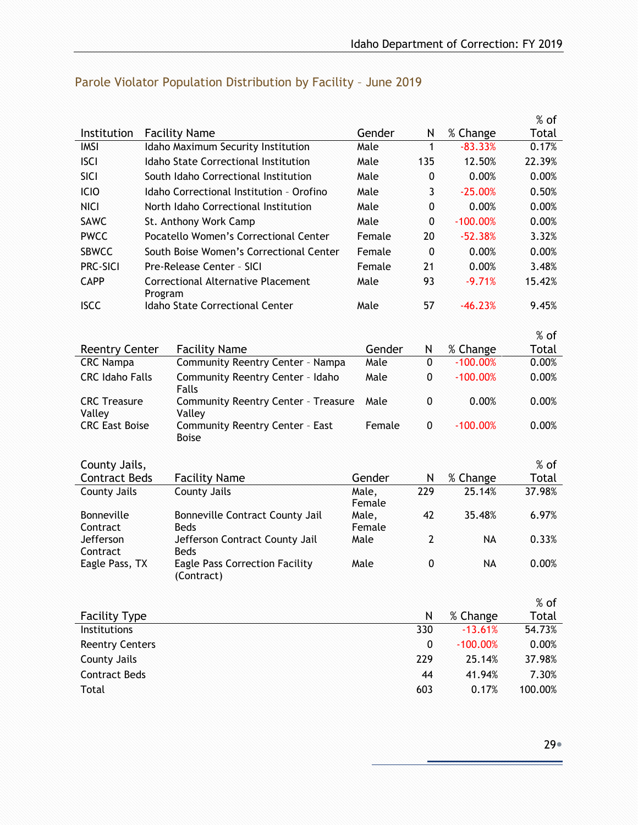|                                 |         |                                                           |                 |                |            | $%$ of  |
|---------------------------------|---------|-----------------------------------------------------------|-----------------|----------------|------------|---------|
| Institution                     |         | <b>Facility Name</b>                                      | Gender          | N              | % Change   | Total   |
| <b>IMSI</b>                     |         | Idaho Maximum Security Institution                        | Male            | 1              | $-83.33%$  | 0.17%   |
| <b>ISCI</b>                     |         | Idaho State Correctional Institution                      | Male            | 135            | 12.50%     | 22.39%  |
| SICI                            |         | South Idaho Correctional Institution                      | Male            | 0              | 0.00%      | 0.00%   |
| ICIO                            |         | Idaho Correctional Institution - Orofino                  | Male            | 3              | $-25.00%$  | 0.50%   |
| <b>NICI</b>                     |         | North Idaho Correctional Institution                      | Male            | 0              | 0.00%      | 0.00%   |
| <b>SAWC</b>                     |         | St. Anthony Work Camp                                     | Male            | 0              | $-100.00%$ | 0.00%   |
| <b>PWCC</b>                     |         | Pocatello Women's Correctional Center                     | Female          | 20             | $-52.38%$  | 3.32%   |
| <b>SBWCC</b>                    |         | South Boise Women's Correctional Center                   | Female          | $\mathbf{0}$   | 0.00%      | 0.00%   |
| <b>PRC-SICI</b>                 |         | Pre-Release Center - SICI                                 | Female          | 21             | 0.00%      | 3.48%   |
| <b>CAPP</b>                     | Program | Correctional Alternative Placement                        | Male            | 93             | $-9.71%$   | 15.42%  |
| <b>ISCC</b>                     |         | Idaho State Correctional Center                           | Male            | 57             | $-46.23%$  | 9.45%   |
|                                 |         |                                                           |                 |                |            | % of    |
| <b>Reentry Center</b>           |         | <b>Facility Name</b>                                      | Gender          | N              | % Change   | Total   |
| <b>CRC Nampa</b>                |         | Community Reentry Center - Nampa                          | Male            | $\mathbf{0}$   | $-100.00%$ | 0.00%   |
| <b>CRC Idaho Falls</b>          |         | Community Reentry Center - Idaho<br>Falls                 | Male            | 0              | $-100.00%$ | 0.00%   |
| <b>CRC</b> Treasure             |         | <b>Community Reentry Center - Treasure</b>                | Male            | 0              | 0.00%      | 0.00%   |
| Valley<br><b>CRC East Boise</b> |         | Valley<br>Community Reentry Center - East<br><b>Boise</b> | Female          | 0              | $-100.00%$ | 0.00%   |
|                                 |         |                                                           |                 |                |            |         |
| County Jails,                   |         |                                                           |                 |                |            | $%$ of  |
| <b>Contract Beds</b>            |         | <b>Facility Name</b>                                      | Gender          | N              | % Change   | Total   |
| County Jails                    |         | County Jails                                              | Male,<br>Female | 229            | 25.14%     | 37.98%  |
| Bonneville                      |         | Bonneville Contract County Jail                           | Male,           | 42             | 35.48%     | 6.97%   |
| Contract<br>Jefferson           |         | <b>Beds</b><br>Jefferson Contract County Jail             | Female<br>Male  | $\overline{2}$ | <b>NA</b>  | 0.33%   |
| Contract<br>Eagle Pass, TX      |         | <b>Beds</b><br><b>Eagle Pass Correction Facility</b>      | Male            | 0              | <b>NA</b>  | 0.00%   |
|                                 |         | (Contract)                                                |                 |                |            |         |
|                                 |         |                                                           |                 |                |            | $%$ of  |
| <b>Facility Type</b>            |         |                                                           |                 | N              | % Change   | Total   |
| Institutions                    |         |                                                           |                 | 330            | $-13.61%$  | 54.73%  |
| <b>Reentry Centers</b>          |         |                                                           |                 | $\bf{0}$       | $-100.00%$ | 0.00%   |
| <b>County Jails</b>             |         |                                                           |                 | 229            | 25.14%     | 37.98%  |
| <b>Contract Beds</b>            |         |                                                           |                 | 44             | 41.94%     | 7.30%   |
| Total                           |         |                                                           |                 | 603            | 0.17%      | 100.00% |

## <span id="page-28-0"></span>Parole Violator Population Distribution by Facility – June 2019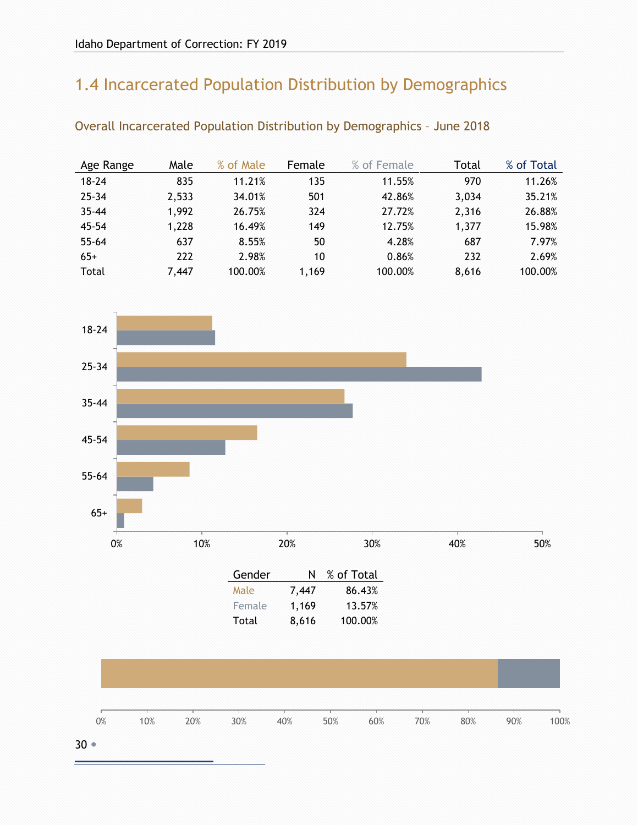# <span id="page-29-0"></span>1.4 Incarcerated Population Distribution by Demographics

| Age Range | Male  | % of Male | Female | % of Female | Total | % of Total |
|-----------|-------|-----------|--------|-------------|-------|------------|
| $18 - 24$ | 835   | 11.21%    | 135    | 11.55%      | 970   | 11.26%     |
| $25 - 34$ | 2,533 | 34.01%    | 501    | 42.86%      | 3,034 | 35.21%     |
| $35 - 44$ | 1,992 | 26.75%    | 324    | 27.72%      | 2,316 | 26.88%     |
| $45 - 54$ | 1,228 | 16.49%    | 149    | 12.75%      | 1,377 | 15.98%     |
| $55 - 64$ | 637   | 8.55%     | 50     | 4.28%       | 687   | 7.97%      |
| $65+$     | 222   | 2.98%     | 10     | 0.86%       | 232   | 2.69%      |
| Total     | 7,447 | 100.00%   | 1,169  | 100.00%     | 8,616 | 100.00%    |

<span id="page-29-1"></span>Overall Incarcerated Population Distribution by Demographics – June 2018

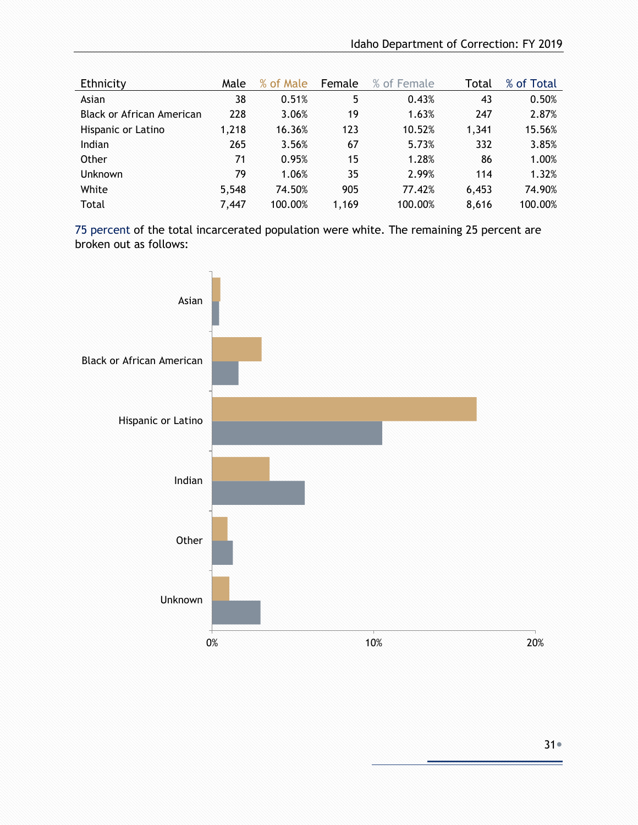| Ethnicity                 | Male  | % of Male | Female | % of Female | Total | % of Total |
|---------------------------|-------|-----------|--------|-------------|-------|------------|
| Asian                     | 38    | 0.51%     | 5      | 0.43%       | 43    | 0.50%      |
| Black or African American | 228   | 3.06%     | 19     | 1.63%       | 247   | 2.87%      |
| Hispanic or Latino        | 1,218 | 16.36%    | 123    | 10.52%      | 1,341 | 15.56%     |
| Indian                    | 265   | 3.56%     | 67     | 5.73%       | 332   | 3.85%      |
| Other                     | 71    | 0.95%     | 15     | 1.28%       | 86    | 1.00%      |
| <b>Unknown</b>            | 79    | 1.06%     | 35     | 2.99%       | 114   | 1.32%      |
| White                     | 5,548 | 74.50%    | 905    | 77.42%      | 6,453 | 74.90%     |
| Total                     | 7,447 | 100.00%   | 1,169  | 100.00%     | 8,616 | 100.00%    |

75 percent of the total incarcerated population were white. The remaining 25 percent are broken out as follows:

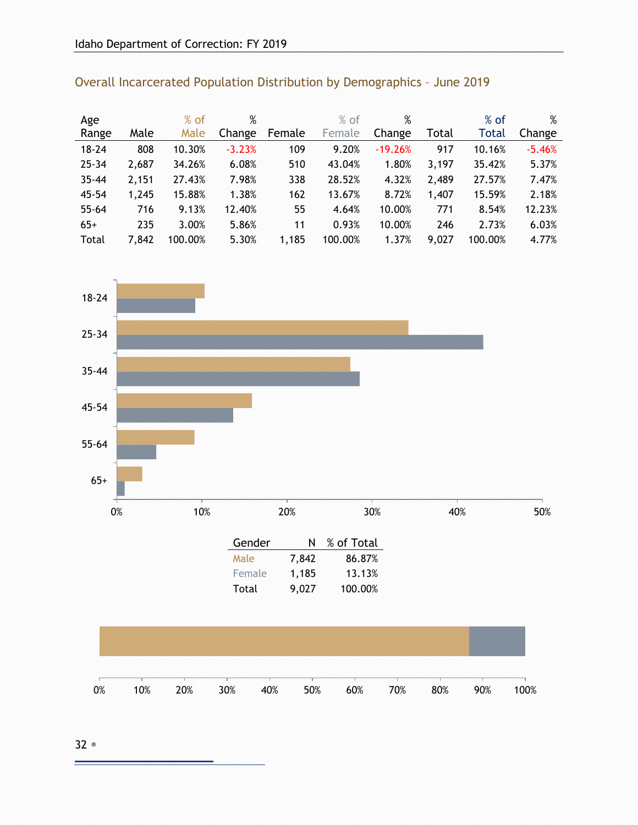| Age       |       | $%$ of  | %        |        | $%$ of  | $\%$      |       | $%$ of       | %        |
|-----------|-------|---------|----------|--------|---------|-----------|-------|--------------|----------|
| Range     | Male  | Male    | Change   | Female | Female  | Change    | Total | <b>Total</b> | Change   |
| $18 - 24$ | 808   | 10.30%  | $-3.23%$ | 109    | 9.20%   | $-19.26%$ | 917   | 10.16%       | $-5.46%$ |
| $25 - 34$ | 2,687 | 34.26%  | 6.08%    | 510    | 43.04%  | 1.80%     | 3,197 | 35.42%       | 5.37%    |
| $35 - 44$ | 2,151 | 27.43%  | 7.98%    | 338    | 28.52%  | 4.32%     | 2,489 | 27.57%       | 7.47%    |
| $45 - 54$ | 1,245 | 15.88%  | 1.38%    | 162    | 13.67%  | 8.72%     | 1,407 | 15.59%       | 2.18%    |
| $55 - 64$ | 716   | 9.13%   | 12.40%   | 55     | 4.64%   | 10.00%    | 771   | 8.54%        | 12.23%   |
| $65+$     | 235   | 3.00%   | 5.86%    | 11     | 0.93%   | 10.00%    | 246   | 2.73%        | 6.03%    |
| Total     | 7,842 | 100.00% | 5.30%    | 1,185  | 100.00% | 1.37%     | 9,027 | 100.00%      | 4.77%    |

<span id="page-31-0"></span>Overall Incarcerated Population Distribution by Demographics – June 2019

# $0\%$  10% 20% 30% 40% 50% 65+ 55-64 45-54 35-44 25-34 18-24

| Gender | N     | % of Total |
|--------|-------|------------|
| Male   | 7,842 | 86.87%     |
| Female | 1,185 | 13.13%     |
| Total  | 9,027 | 100.00%    |

|  |  |  | 60% | 70% | 80% | 90% | 100% |
|--|--|--|-----|-----|-----|-----|------|

32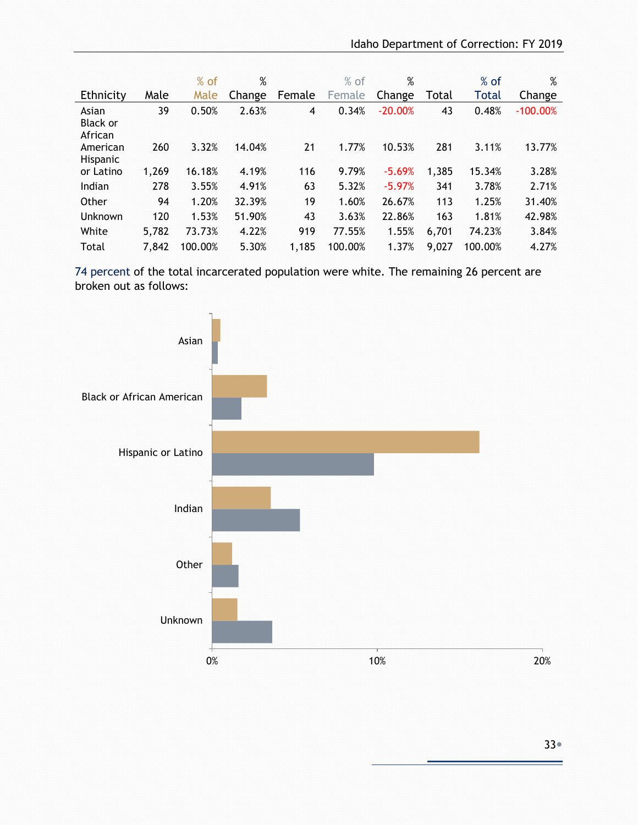|                                     |       | $%$ of  | %      |        | $%$ of  | %         |       | $%$ of  | %          |
|-------------------------------------|-------|---------|--------|--------|---------|-----------|-------|---------|------------|
| Ethnicity                           | Male  | Male    | Change | Female | Female  | Change    | Total | Total   | Change     |
| Asian<br><b>Black or</b><br>African | 39    | 0.50%   | 2.63%  | 4      | 0.34%   | $-20.00%$ | 43    | 0.48%   | $-100.00%$ |
| American<br>Hispanic                | 260   | 3.32%   | 14.04% | 21     | 1.77%   | 10.53%    | 281   | 3.11%   | 13.77%     |
| or Latino                           | 1,269 | 16.18%  | 4.19%  | 116    | 9.79%   | $-5.69%$  | 1,385 | 15.34%  | 3.28%      |
| Indian                              | 278   | 3.55%   | 4.91%  | 63     | 5.32%   | $-5.97%$  | 341   | 3.78%   | 2.71%      |
| Other                               | 94    | 1.20%   | 32.39% | 19     | 1.60%   | 26.67%    | 113   | 1.25%   | 31.40%     |
| Unknown                             | 120   | 1.53%   | 51.90% | 43     | 3.63%   | 22.86%    | 163   | 1.81%   | 42.98%     |
| White                               | 5,782 | 73.73%  | 4.22%  | 919    | 77.55%  | 1.55%     | 6,701 | 74.23%  | 3.84%      |
| Total                               | 7,842 | 100.00% | 5.30%  | 1,185  | 100.00% | 1.37%     | 9,027 | 100.00% | 4.27%      |

 74 percent of the total incarcerated population were white. The remaining 26 percent are broken out as follows:

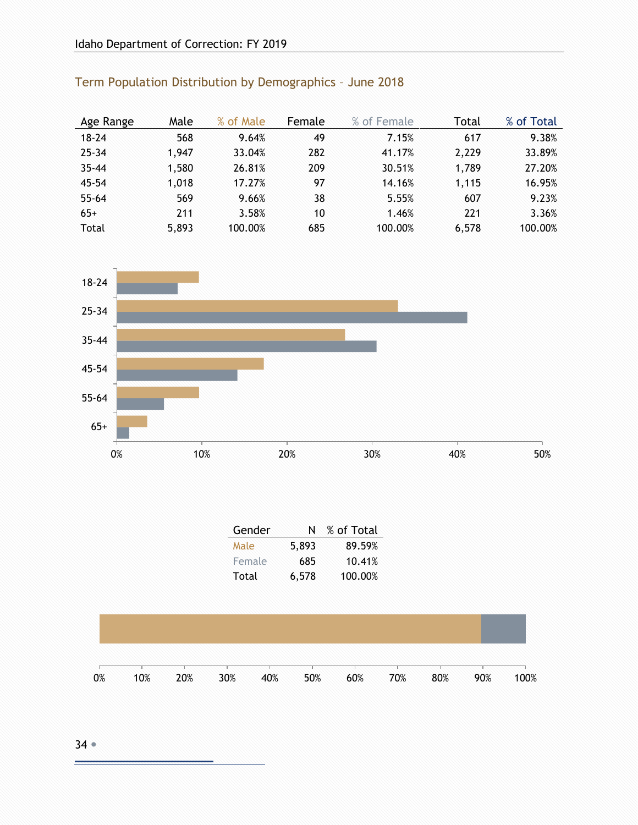| Age Range | Male  | % of Male | Female | % of Female | Total | % of Total |
|-----------|-------|-----------|--------|-------------|-------|------------|
| $18 - 24$ | 568   | 9.64%     | 49     | 7.15%       | 617   | 9.38%      |
| $25 - 34$ | 1,947 | 33.04%    | 282    | 41.17%      | 2,229 | 33.89%     |
| $35 - 44$ | 1,580 | 26.81%    | 209    | 30.51%      | 1,789 | 27.20%     |
| 45-54     | 1,018 | 17.27%    | 97     | 14.16%      | 1,115 | 16.95%     |
| $55 - 64$ | 569   | 9.66%     | 38     | 5.55%       | 607   | 9.23%      |
| $65+$     | 211   | 3.58%     | 10     | 1.46%       | 221   | 3.36%      |
| Total     | 5,893 | 100.00%   | 685    | 100.00%     | 6,578 | 100.00%    |

## <span id="page-33-0"></span>Term Population Distribution by Demographics – June 2018



| Gender | N     | % of Total |
|--------|-------|------------|
| Male   | 5,893 | 89.59%     |
| Female | 685   | 10.41%     |
| Total  | 6,578 | 100.00%    |



 $34 -$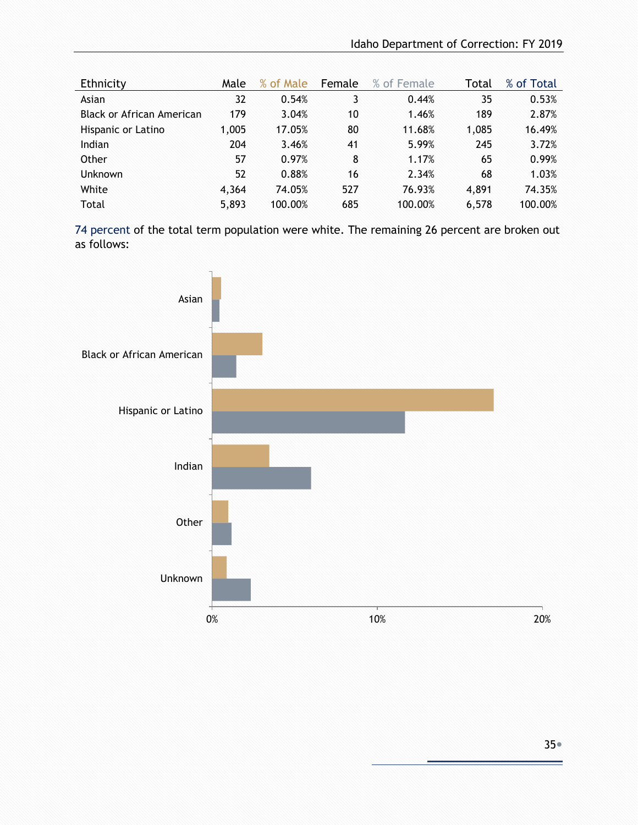| Ethnicity                 | Male  | % of Male | Female | % of Female | Total | % of Total |
|---------------------------|-------|-----------|--------|-------------|-------|------------|
| Asian                     | 32    | 0.54%     | 3      | 0.44%       | 35    | 0.53%      |
| Black or African American | 179   | 3.04%     | 10     | 1.46%       | 189   | 2.87%      |
| Hispanic or Latino        | 1,005 | 17.05%    | 80     | 11.68%      | 1,085 | 16.49%     |
| Indian                    | 204   | 3.46%     | 41     | 5.99%       | 245   | 3.72%      |
| Other                     | 57    | 0.97%     | 8      | 1.17%       | 65    | 0.99%      |
| <b>Unknown</b>            | 52    | 0.88%     | 16     | 2.34%       | 68    | 1.03%      |
| White                     | 4,364 | 74.05%    | 527    | 76.93%      | 4,891 | 74.35%     |
| Total                     | 5,893 | 100.00%   | 685    | 100.00%     | 6,578 | 100.00%    |

74 percent of the total term population were white. The remaining 26 percent are broken out as follows:

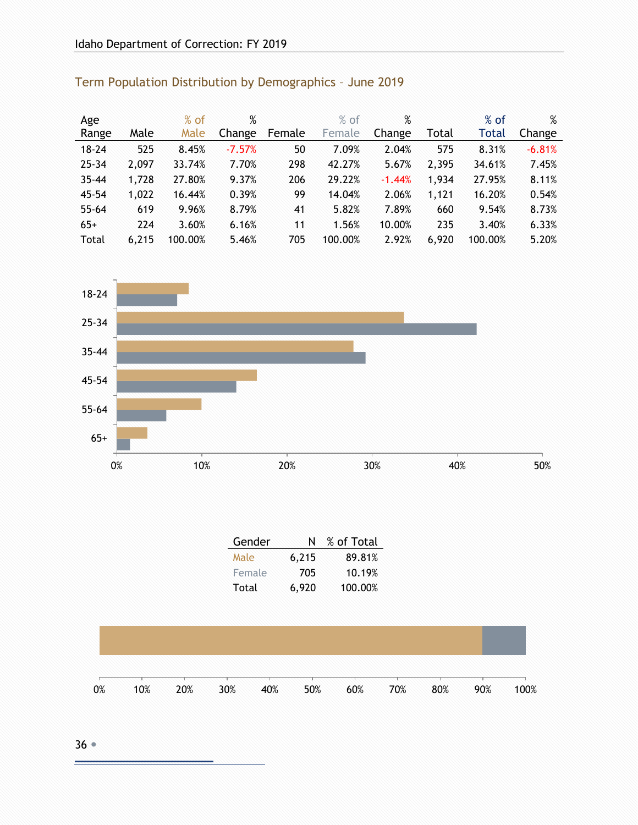| Age       |       | $%$ of  | %        |        | $%$ of  | $\%$     |       | $%$ of       | %        |
|-----------|-------|---------|----------|--------|---------|----------|-------|--------------|----------|
| Range     | Male  | Male    | Change   | Female | Female  | Change   | Total | <b>Total</b> | Change   |
| $18 - 24$ | 525   | 8.45%   | $-7.57%$ | 50     | 7.09%   | 2.04%    | 575   | 8.31%        | $-6.81%$ |
| $25 - 34$ | 2,097 | 33.74%  | 7.70%    | 298    | 42.27%  | 5.67%    | 2,395 | 34.61%       | 7.45%    |
| $35 - 44$ | 1,728 | 27.80%  | 9.37%    | 206    | 29.22%  | $-1.44%$ | 1,934 | 27.95%       | 8.11%    |
| $45 - 54$ | 1,022 | 16.44%  | 0.39%    | 99     | 14.04%  | 2.06%    | 1,121 | 16.20%       | 0.54%    |
| $55 - 64$ | 619   | 9.96%   | 8.79%    | 41     | 5.82%   | 7.89%    | 660   | 9.54%        | 8.73%    |
| $65+$     | 224   | 3.60%   | 6.16%    | 11     | 1.56%   | 10.00%   | 235   | 3.40%        | 6.33%    |
| Total     | 6,215 | 100.00% | 5.46%    | 705    | 100.00% | 2.92%    | 6,920 | 100.00%      | 5.20%    |

## <span id="page-35-0"></span>Term Population Distribution by Demographics – June 2019



| Gender | N     | % of Total |
|--------|-------|------------|
| Male   | 6,215 | 89.81%     |
| Female | 705   | 10.19%     |
| Total  | 6,920 | 100.00%    |

| 0% | 10% | 20% | $30\%$ | 40% | 50% | 60% | 70% | 80% | 90% | 100% |
|----|-----|-----|--------|-----|-----|-----|-----|-----|-----|------|

36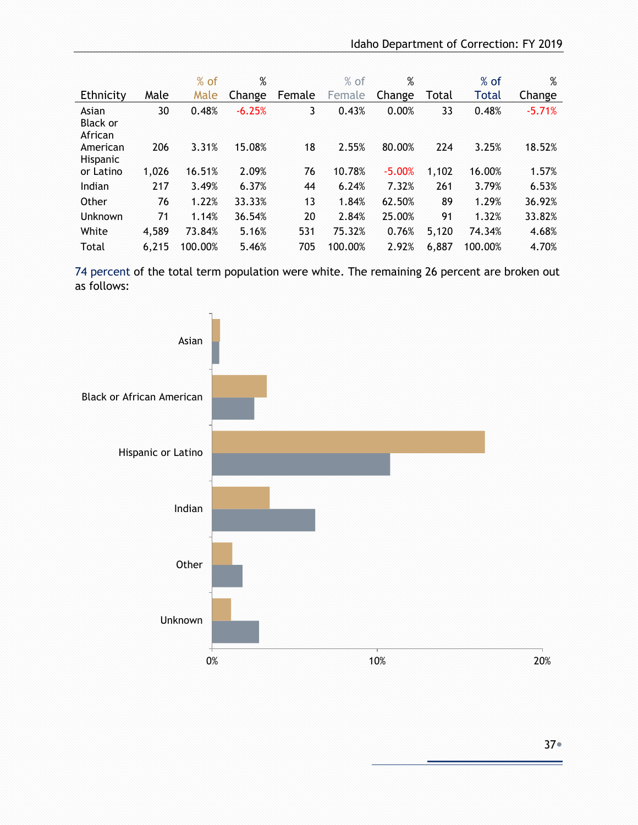|                                     |       | $%$ of  | %        |        | $%$ of  | %        |       | $%$ of  | %        |
|-------------------------------------|-------|---------|----------|--------|---------|----------|-------|---------|----------|
| Ethnicity                           | Male  | Male    | Change   | Female | Female  | Change   | Total | Total   | Change   |
| Asian<br><b>Black or</b><br>African | 30    | 0.48%   | $-6.25%$ | 3      | 0.43%   | 0.00%    | 33    | 0.48%   | $-5.71%$ |
| American<br><b>Hispanic</b>         | 206   | 3.31%   | 15.08%   | 18     | 2.55%   | 80.00%   | 224   | 3.25%   | 18.52%   |
| or Latino                           | 1,026 | 16.51%  | 2.09%    | 76     | 10.78%  | $-5.00%$ | 1,102 | 16.00%  | 1.57%    |
| Indian                              | 217   | 3.49%   | 6.37%    | 44     | 6.24%   | 7.32%    | 261   | 3.79%   | 6.53%    |
| Other                               | 76    | 1.22%   | 33.33%   | 13     | 1.84%   | 62.50%   | 89    | 1.29%   | 36.92%   |
| Unknown                             | 71    | 1.14%   | 36.54%   | 20     | 2.84%   | 25.00%   | 91    | 1.32%   | 33.82%   |
| White                               | 4,589 | 73.84%  | 5.16%    | 531    | 75.32%  | 0.76%    | 5,120 | 74.34%  | 4.68%    |
| Total                               | 6,215 | 100.00% | 5.46%    | 705    | 100.00% | 2.92%    | 6,887 | 100.00% | 4.70%    |

 74 percent of the total term population were white. The remaining 26 percent are broken out as follows:

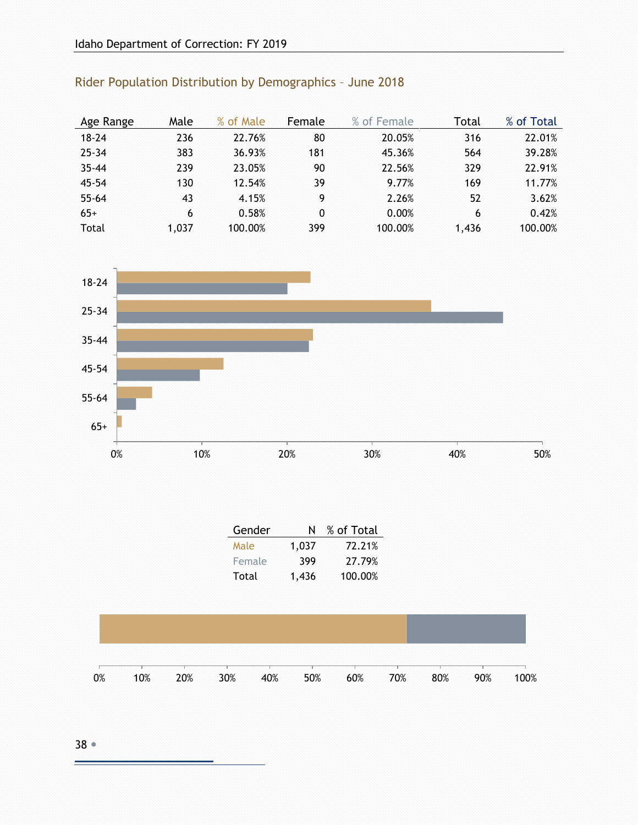| Age Range | Male  | % of Male | Female | % of Female | Total | % of Total |
|-----------|-------|-----------|--------|-------------|-------|------------|
| $18 - 24$ | 236   | 22.76%    | 80     | 20.05%      | 316   | 22.01%     |
| $25 - 34$ | 383   | 36.93%    | 181    | 45.36%      | 564   | 39.28%     |
| $35 - 44$ | 239   | 23.05%    | 90     | 22.56%      | 329   | 22.91%     |
| $45 - 54$ | 130   | 12.54%    | 39     | 9.77%       | 169   | 11.77%     |
| $55 - 64$ | 43    | 4.15%     | 9      | 2.26%       | 52    | 3.62%      |
| $65+$     | 6     | 0.58%     | 0      | 0.00%       | 6     | 0.42%      |
| Total     | 1,037 | 100.00%   | 399    | 100.00%     | 1.436 | 100.00%    |

### Rider Population Distribution by Demographics – June 2018



| Gender | N     | % of Total |
|--------|-------|------------|
| Male   | 1,037 | 72.21%     |
| Female | 399   | 27.79%     |
| Total  | 1,436 | 100.00%    |

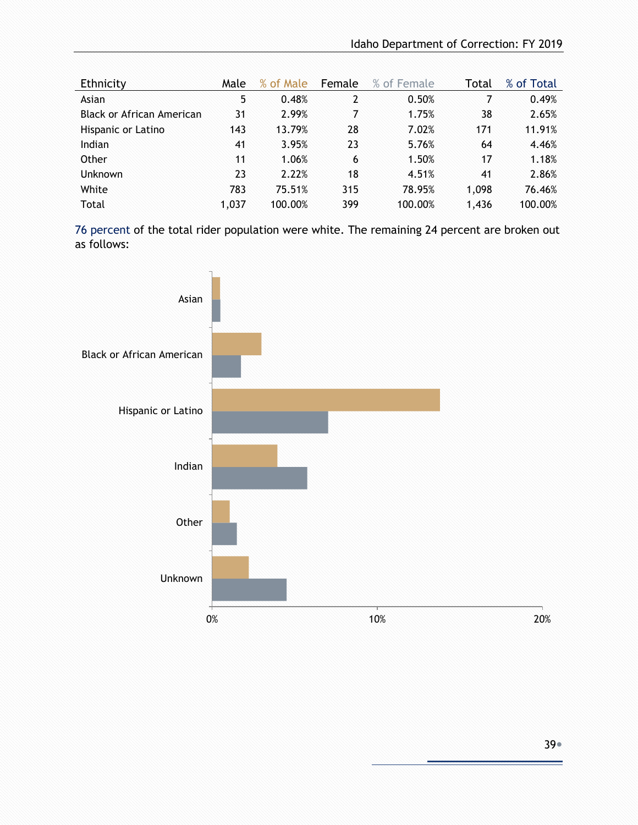| Ethnicity                 | Male  | % of Male | Female | % of Female | Total | % of Total |
|---------------------------|-------|-----------|--------|-------------|-------|------------|
| Asian                     | 5     | 0.48%     | 2      | 0.50%       | 7     | 0.49%      |
| Black or African American | 31    | 2.99%     | 7      | 1.75%       | 38    | 2.65%      |
| Hispanic or Latino        | 143   | 13.79%    | 28     | 7.02%       | 171   | 11.91%     |
| Indian                    | 41    | 3.95%     | 23     | 5.76%       | 64    | 4.46%      |
| Other                     | 11    | 1.06%     | 6      | 1.50%       | 17    | 1.18%      |
| <b>Unknown</b>            | 23    | 2.22%     | 18     | 4.51%       | 41    | 2.86%      |
| White                     | 783   | 75.51%    | 315    | 78.95%      | 1,098 | 76.46%     |
| Total                     | 1,037 | 100.00%   | 399    | 100.00%     | 1,436 | 100.00%    |

76 percent of the total rider population were white. The remaining 24 percent are broken out as follows:

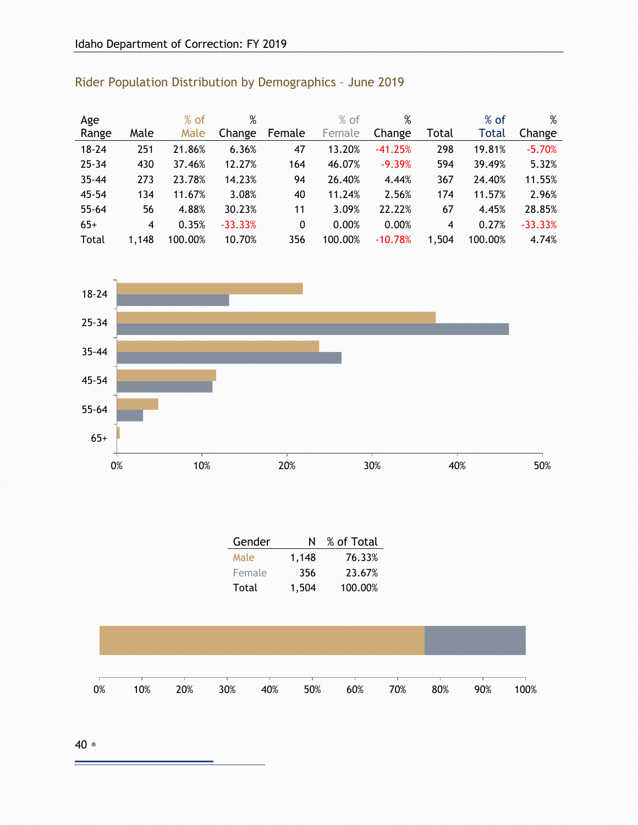| Age       |                | $%$ of  | %         |              | $%$ of  | %         |                | $%$ of       | %         |
|-----------|----------------|---------|-----------|--------------|---------|-----------|----------------|--------------|-----------|
| Range     | Male           | Male    | Change    | Female       | Female  | Change    | Total          | <b>Total</b> | Change    |
| $18 - 24$ | 251            | 21.86%  | 6.36%     | 47           | 13.20%  | $-41.25%$ | 298            | 19.81%       | $-5.70%$  |
| $25 - 34$ | 430            | 37.46%  | 12.27%    | 164          | 46.07%  | $-9.39%$  | 594            | 39.49%       | 5.32%     |
| $35 - 44$ | 273            | 23.78%  | 14.23%    | 94           | 26.40%  | 4.44%     | 367            | 24.40%       | 11.55%    |
| $45 - 54$ | 134            | 11.67%  | 3.08%     | 40           | 11.24%  | 2.56%     | 174            | 11.57%       | 2.96%     |
| $55 - 64$ | 56             | 4.88%   | 30.23%    | 11           | 3.09%   | 22.22%    | 67             | 4.45%        | 28.85%    |
| $65+$     | $\overline{4}$ | 0.35%   | $-33.33%$ | $\mathbf{0}$ | 0.00%   | 0.00%     | $\overline{4}$ | 0.27%        | $-33.33%$ |
| Total     | 1,148          | 100.00% | 10.70%    | 356          | 100.00% | $-10.78%$ | 1,504          | 100.00%      | 4.74%     |

### Rider Population Distribution by Demographics – June 2019



| Gender | N     | % of Total |
|--------|-------|------------|
| Male   | 1,148 | 76.33%     |
| Female | 356   | 23.67%     |
| Total  | 1,504 | 100.00%    |

| 0% | 10% | 20% | 30% | 40% | 50% | 60% | 70% | 80% | 90% | 100% |
|----|-----|-----|-----|-----|-----|-----|-----|-----|-----|------|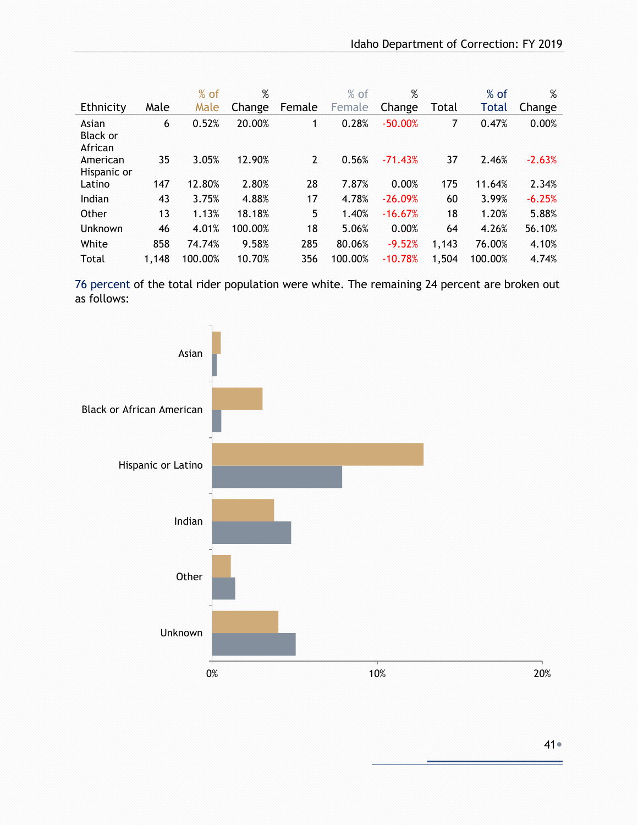|                                     |       | $%$ of  | %       |        | $%$ of  | $\%$      |       | $%$ of  | $\%$     |
|-------------------------------------|-------|---------|---------|--------|---------|-----------|-------|---------|----------|
| Ethnicity                           | Male  | Male    | Change  | Female | Female  | Change    | Total | Total   | Change   |
| Asian<br><b>Black or</b><br>African | 6     | 0.52%   | 20.00%  | 1.     | 0.28%   | $-50.00%$ | 7     | 0.47%   | 0.00%    |
| American<br>Hispanic or             | 35    | 3.05%   | 12.90%  | 2      | 0.56%   | $-71.43%$ | 37    | 2.46%   | $-2.63%$ |
| Latino                              | 147   | 12.80%  | 2.80%   | 28     | 7.87%   | 0.00%     | 175   | 11.64%  | 2.34%    |
| Indian                              | 43    | 3.75%   | 4.88%   | 17     | 4.78%   | $-26.09%$ | 60    | 3.99%   | $-6.25%$ |
| Other                               | 13    | 1.13%   | 18.18%  | 5      | 1.40%   | $-16.67%$ | 18    | 1.20%   | 5.88%    |
| <b>Unknown</b>                      | 46    | 4.01%   | 100.00% | 18     | 5.06%   | 0.00%     | 64    | 4.26%   | 56.10%   |
| White                               | 858   | 74.74%  | 9.58%   | 285    | 80.06%  | $-9.52%$  | 1,143 | 76.00%  | 4.10%    |
| Total                               | 1,148 | 100.00% | 10.70%  | 356    | 100.00% | $-10.78%$ | 1,504 | 100.00% | 4.74%    |

 76 percent of the total rider population were white. The remaining 24 percent are broken out as follows:

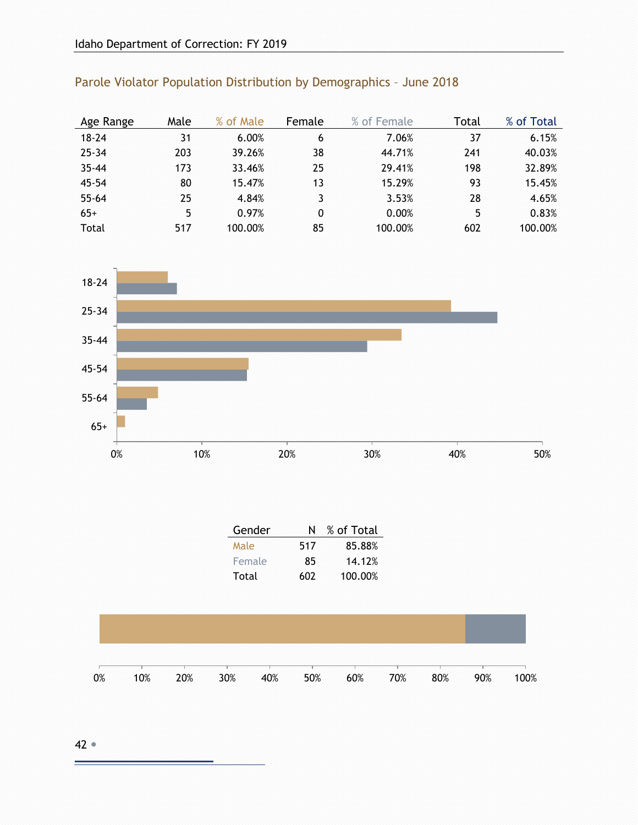| Age Range | Male | % of Male | Female | % of Female | Total | % of Total |
|-----------|------|-----------|--------|-------------|-------|------------|
| $18 - 24$ | 31   | 6.00%     | 6      | 7.06%       | 37    | 6.15%      |
| $25 - 34$ | 203  | 39.26%    | 38     | 44.71%      | 241   | 40.03%     |
| $35 - 44$ | 173  | 33.46%    | 25     | 29.41%      | 198   | 32.89%     |
| 45-54     | 80   | 15.47%    | 13     | 15.29%      | 93    | 15.45%     |
| $55 - 64$ | 25   | 4.84%     | 3      | 3.53%       | 28    | 4.65%      |
| $65+$     | 5    | 0.97%     | 0      | 0.00%       | 5     | 0.83%      |
| Total     | 517  | 100.00%   | 85     | 100.00%     | 602   | 100.00%    |

#### Parole Violator Population Distribution by Demographics – June 2018



| Gender | N   | % of Total |
|--------|-----|------------|
| Male   | 517 | 85.88%     |
| Female | 85  | 14.12%     |
| Total  | 602 | 100.00%    |

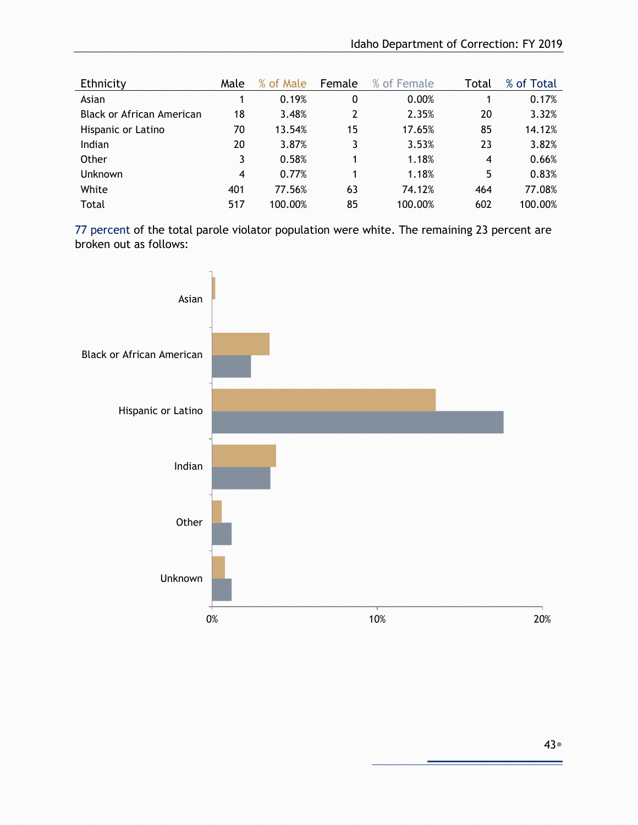| Ethnicity                 | Male | % of Male | Female         | % of Female | Total          | % of Total |
|---------------------------|------|-----------|----------------|-------------|----------------|------------|
| Asian                     | 1    | 0.19%     | 0              | 0.00%       |                | 0.17%      |
| Black or African American | 18   | 3.48%     | $\overline{2}$ | 2.35%       | 20             | 3.32%      |
| Hispanic or Latino        | 70   | 13.54%    | 15             | 17.65%      | 85             | 14.12%     |
| Indian                    | 20   | 3.87%     | 3              | 3.53%       | 23             | 3.82%      |
| Other                     | 3    | 0.58%     |                | 1.18%       | $\overline{4}$ | 0.66%      |
| <b>Unknown</b>            | 4    | 0.77%     | 1              | 1.18%       | 5              | 0.83%      |
| White                     | 401  | 77.56%    | 63             | 74.12%      | 464            | 77.08%     |
| Total                     | 517  | 100.00%   | 85             | 100.00%     | 602            | 100.00%    |

77 percent of the total parole violator population were white. The remaining 23 percent are broken out as follows:

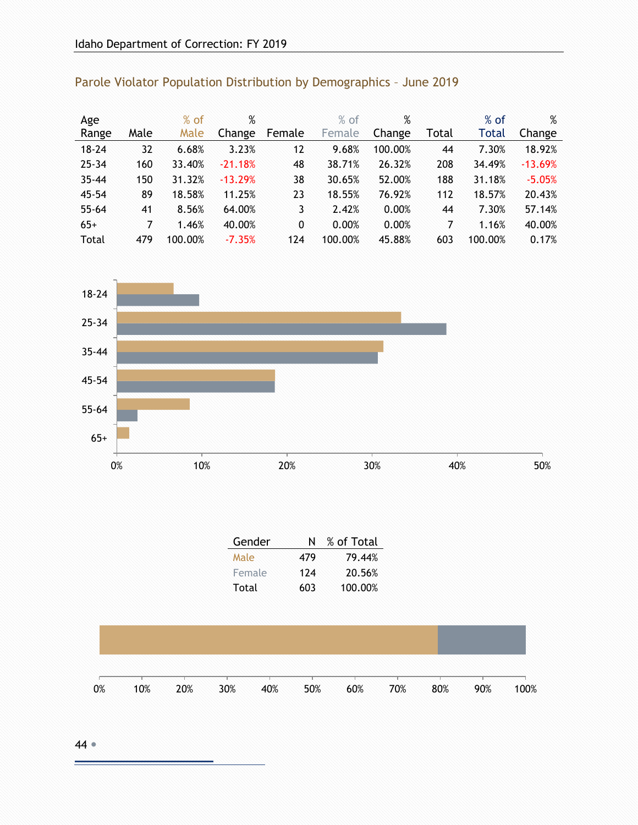| Age       |      | $%$ of  | %         |        | % of    | %       |       | $%$ of       | %         |
|-----------|------|---------|-----------|--------|---------|---------|-------|--------------|-----------|
| Range     | Male | Male    | Change    | Female | Female  | Change  | Total | <b>Total</b> | Change    |
| $18 - 24$ | 32   | 6.68%   | 3.23%     | 12     | 9.68%   | 100.00% | 44    | 7.30%        | 18.92%    |
| $25 - 34$ | 160  | 33.40%  | $-21.18%$ | 48     | 38.71%  | 26.32%  | 208   | 34.49%       | $-13.69%$ |
| $35 - 44$ | 150  | 31.32%  | $-13.29%$ | 38     | 30.65%  | 52.00%  | 188   | 31.18%       | $-5.05%$  |
| $45 - 54$ | 89   | 18.58%  | 11.25%    | 23     | 18.55%  | 76.92%  | 112   | 18.57%       | 20.43%    |
| $55 - 64$ | 41   | 8.56%   | 64.00%    | 3      | 2.42%   | 0.00%   | 44    | 7.30%        | 57.14%    |
| $65+$     | 7    | 1.46%   | 40.00%    | 0      | 0.00%   | 0.00%   | 7     | 1.16%        | 40.00%    |
| Total     | 479  | 100.00% | $-7.35%$  | 124    | 100.00% | 45.88%  | 603   | 100.00%      | 0.17%     |

### Parole Violator Population Distribution by Demographics – June 2019



| Gender | N   | % of Total |
|--------|-----|------------|
| Male   | 479 | 79.44%     |
| Female | 174 | 20.56%     |
| Total  | 603 | 100.00%    |

| 0% | 10% | 20% | 30% | 40% | 50% | 60% | 70% | 80% | 90% | 100% |
|----|-----|-----|-----|-----|-----|-----|-----|-----|-----|------|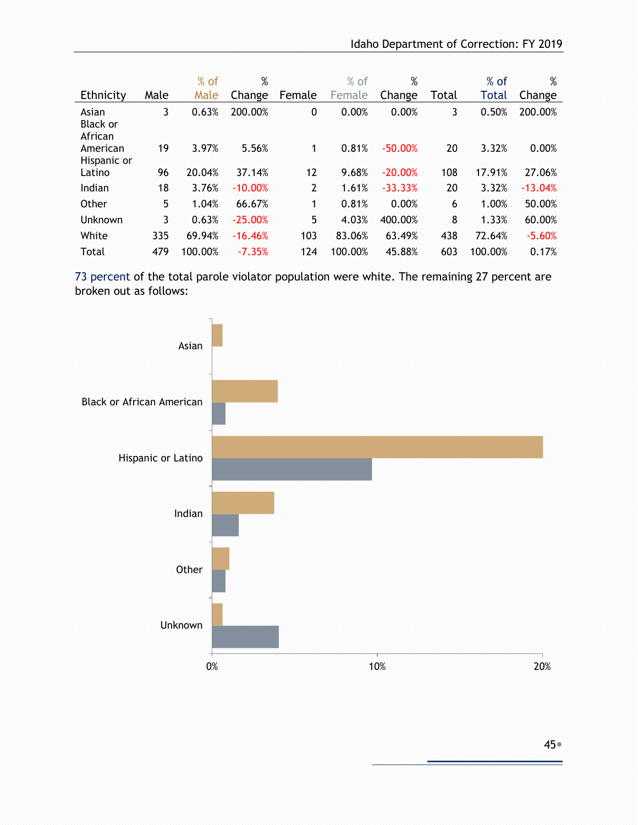|                              |      | $%$ of  | %         |        | $%$ of  | %         |       | $%$ of  | %         |
|------------------------------|------|---------|-----------|--------|---------|-----------|-------|---------|-----------|
| Ethnicity                    | Male | Male    | Change    | Female | Female  | Change    | Total | Total   | Change    |
| Asian<br>Black or<br>African | 3    | 0.63%   | 200.00%   | 0      | 0.00%   | 0.00%     | 3     | 0.50%   | 200.00%   |
| American<br>Hispanic or      | 19   | 3.97%   | 5.56%     | 1      | 0.81%   | $-50.00%$ | 20    | 3.32%   | 0.00%     |
| Latino                       | 96   | 20.04%  | 37.14%    | 12     | 9.68%   | $-20.00%$ | 108   | 17.91%  | 27.06%    |
| Indian                       | 18   | 3.76%   | $-10.00%$ | 2      | 1.61%   | $-33.33%$ | 20    | 3.32%   | $-13.04%$ |
| Other                        | 5    | 1.04%   | 66.67%    | 1      | 0.81%   | 0.00%     | 6     | 1.00%   | 50.00%    |
| Unknown                      | 3    | 0.63%   | $-25.00%$ | 5      | 4.03%   | 400.00%   | 8     | 1.33%   | 60.00%    |
| White                        | 335  | 69.94%  | $-16.46%$ | 103    | 83.06%  | 63.49%    | 438   | 72.64%  | $-5.60%$  |
| Total                        | 479  | 100.00% | $-7.35%$  | 124    | 100.00% | 45.88%    | 603   | 100.00% | 0.17%     |

73 percent of the total parole violator population were white. The remaining 27 percent are broken out as follows:

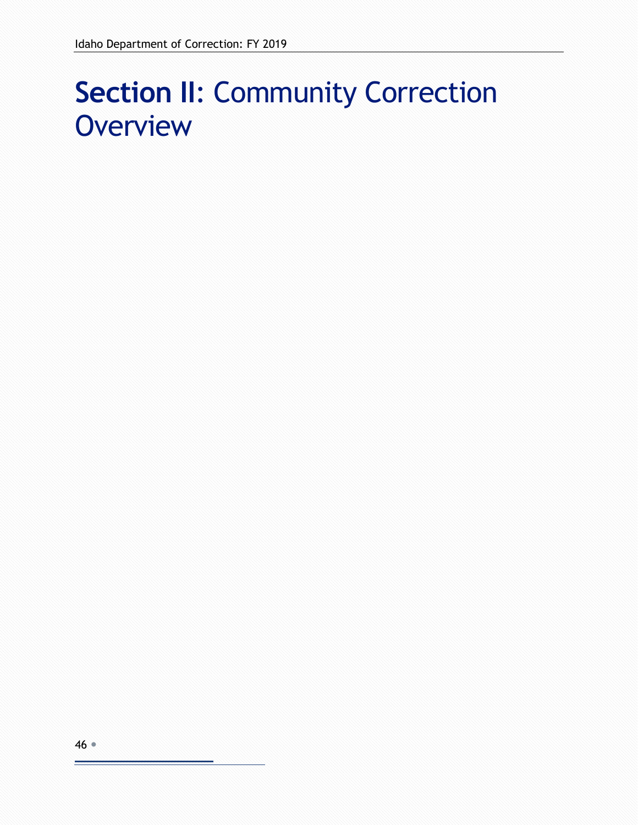# **Section II**: Community Correction **Overview**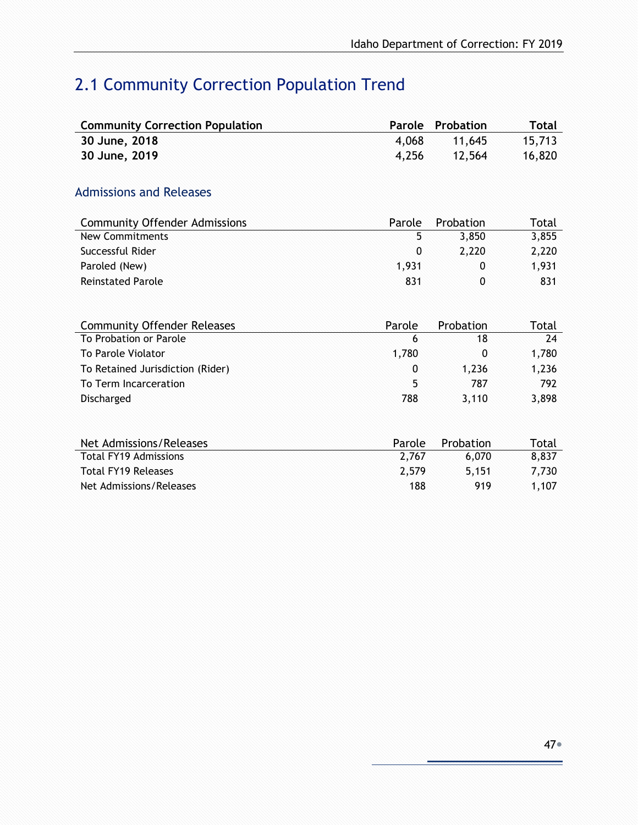# 2.1 Community Correction Population Trend

| <b>Community Correction Population</b> | Parole      | Probation    | <b>Total</b> |
|----------------------------------------|-------------|--------------|--------------|
| 30 June, 2018                          | 4,068       | 11,645       | 15,713       |
| 30 June, 2019                          | 4,256       | 12,564       | 16,820       |
|                                        |             |              |              |
| <b>Admissions and Releases</b>         |             |              |              |
| <b>Community Offender Admissions</b>   | Parole      | Probation    | Total        |
| <b>New Commitments</b>                 | 5           | 3,850        | 3,855        |
| Successful Rider                       | $\mathbf 0$ | 2,220        | 2,220        |
| Paroled (New)                          | 1,931       | $\mathbf{0}$ | 1,931        |
| <b>Reinstated Parole</b>               | 831         | 0            | 831          |
|                                        |             |              |              |
| <b>Community Offender Releases</b>     | Parole      | Probation    | Total        |
| To Probation or Parole                 | 6           | 18           | 24           |
| To Parole Violator                     | 1,780       | 0            | 1,780        |
| To Retained Jurisdiction (Rider)       | 0           | 1,236        | 1,236        |
| To Term Incarceration                  | 5           | 787          | 792          |
| Discharged                             | 788         | 3,110        | 3,898        |
|                                        |             |              |              |
| Net Admissions/Releases                | Parole      | Probation    | Total        |
| <b>Total FY19 Admissions</b>           | 2,767       | 6,070        | 8,837        |
| <b>Total FY19 Releases</b>             | 2,579       | 5,151        | 7,730        |
| Net Admissions/Releases                | 188         | 919          | 1,107        |
|                                        |             |              |              |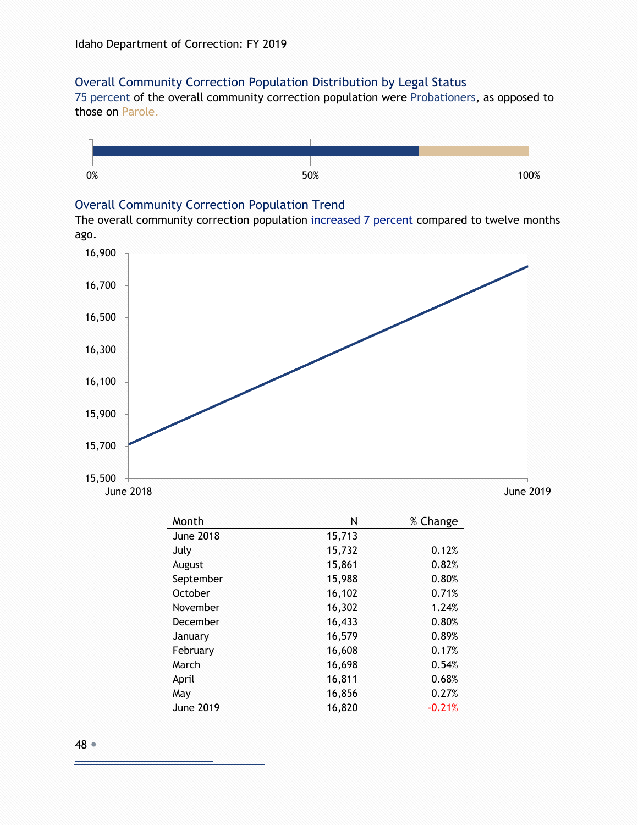#### Overall Community Correction Population Distribution by Legal Status

75 percent of the overall community correction population were Probationers, as opposed to those on Parole.



#### Overall Community Correction Population Trend

The overall community correction population increased 7 percent compared to twelve months ago.



| Month            | Ν      | % Change |
|------------------|--------|----------|
| <b>June 2018</b> | 15,713 |          |
| July             | 15,732 | 0.12%    |
| August           | 15,861 | 0.82%    |
| September        | 15,988 | 0.80%    |
| October          | 16,102 | 0.71%    |
| November         | 16,302 | 1.24%    |
| December         | 16,433 | 0.80%    |
| January          | 16,579 | 0.89%    |
| February         | 16,608 | 0.17%    |
| March            | 16,698 | 0.54%    |
| April            | 16,811 | 0.68%    |
| May              | 16,856 | 0.27%    |
| June 2019        | 16,820 | $-0.21%$ |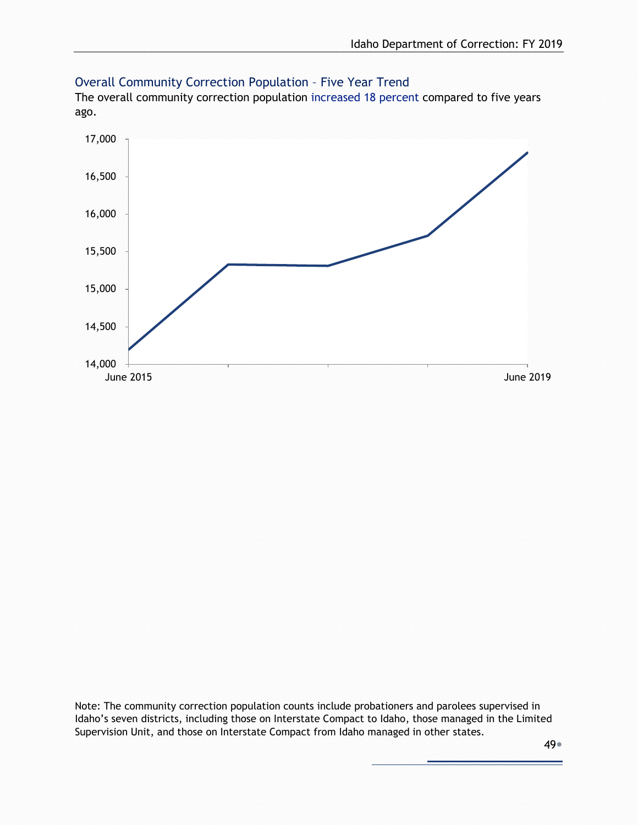

#### Overall Community Correction Population – Five Year Trend

The overall community correction population increased 18 percent compared to five years ago.

Note: The community correction population counts include probationers and parolees supervised in Idaho's seven districts, including those on Interstate Compact to Idaho, those managed in the Limited Supervision Unit, and those on Interstate Compact from Idaho managed in other states.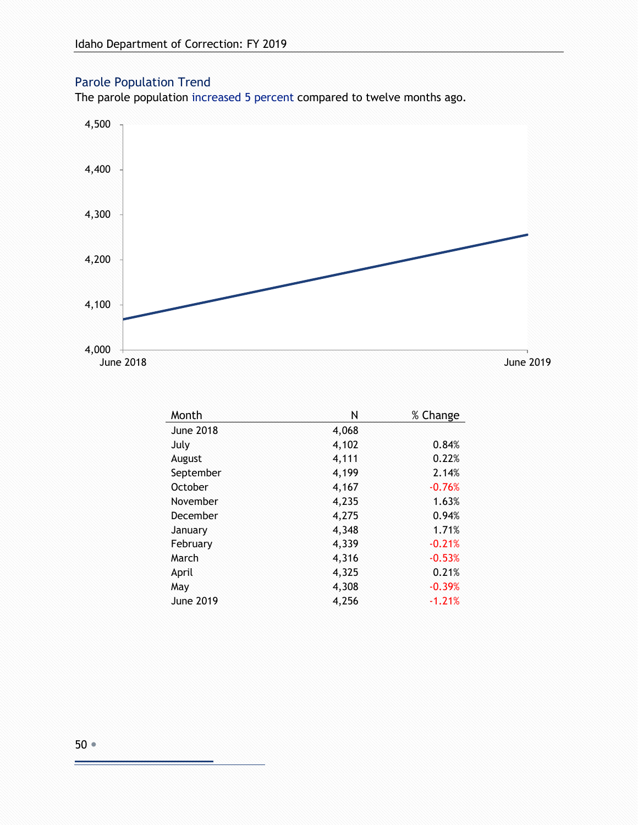#### Parole Population Trend

The parole population increased 5 percent compared to twelve months ago.



| Month            | Ν     | % Change |
|------------------|-------|----------|
| <b>June 2018</b> | 4,068 |          |
| July             | 4,102 | 0.84%    |
| August           | 4,111 | 0.22%    |
| September        | 4,199 | 2.14%    |
| October          | 4,167 | $-0.76%$ |
| November         | 4,235 | 1.63%    |
| December         | 4,275 | 0.94%    |
| January          | 4,348 | 1.71%    |
| February         | 4,339 | $-0.21%$ |
| March            | 4,316 | $-0.53%$ |
| April            | 4,325 | 0.21%    |
| May              | 4,308 | $-0.39%$ |
| <b>June 2019</b> | 4,256 | $-1.21%$ |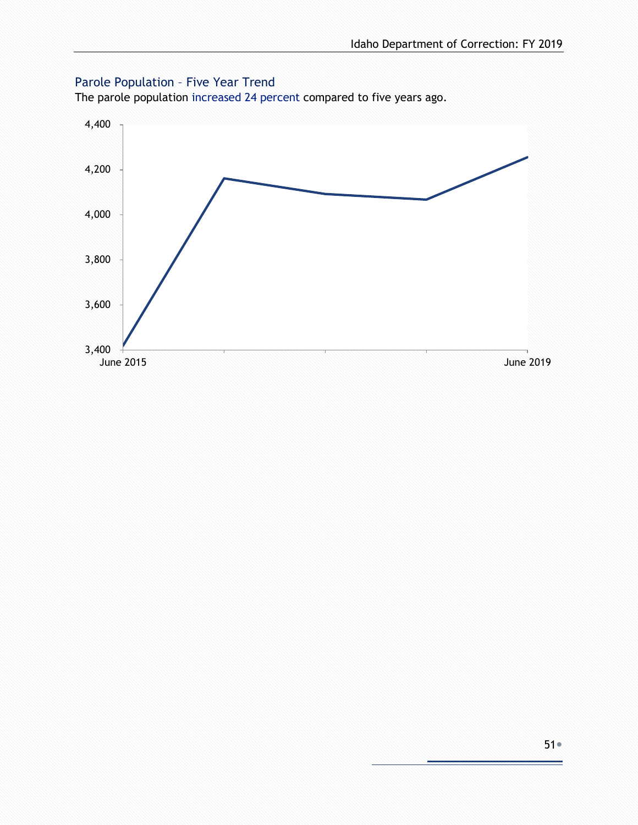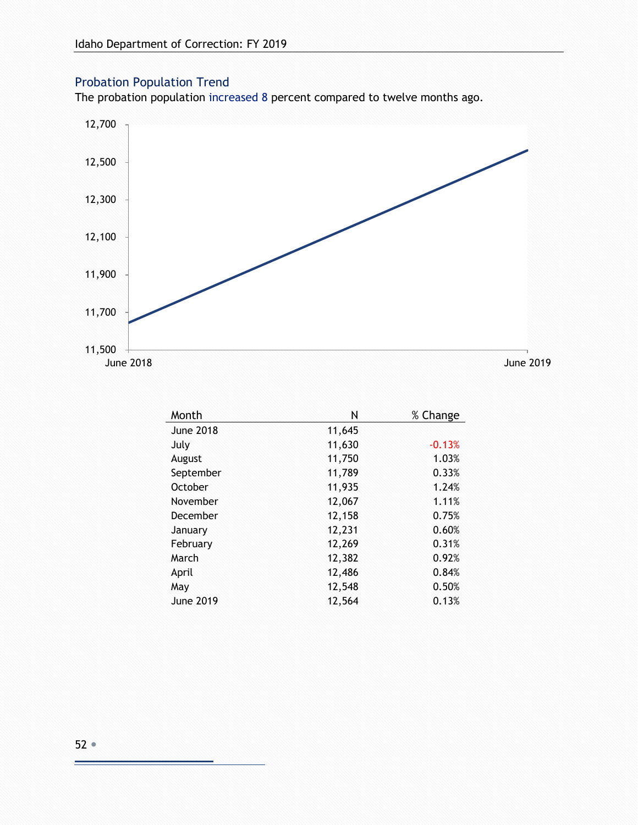#### Probation Population Trend

The probation population increased 8 percent compared to twelve months ago.



| Month            | Ν      | % Change |
|------------------|--------|----------|
| <b>June 2018</b> | 11,645 |          |
| July             | 11,630 | $-0.13%$ |
| August           | 11,750 | 1.03%    |
| September        | 11,789 | 0.33%    |
| October          | 11,935 | 1.24%    |
| November         | 12,067 | 1.11%    |
| December         | 12,158 | 0.75%    |
| January          | 12,231 | 0.60%    |
| February         | 12,269 | 0.31%    |
| March            | 12,382 | 0.92%    |
| April            | 12,486 | 0.84%    |
| May              | 12,548 | 0.50%    |
| <b>June 2019</b> | 12,564 | 0.13%    |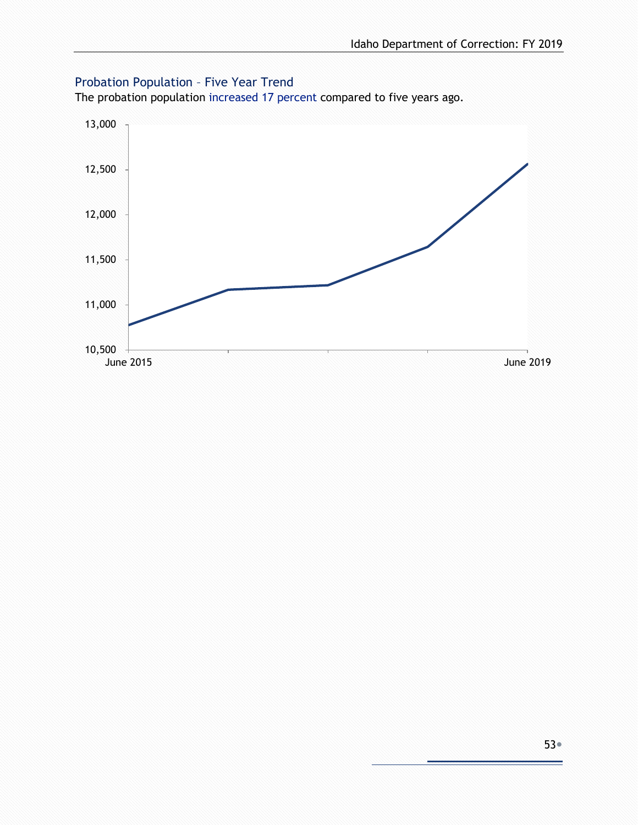#### Probation Population – Five Year Trend

The probation population increased 17 percent compared to five years ago.

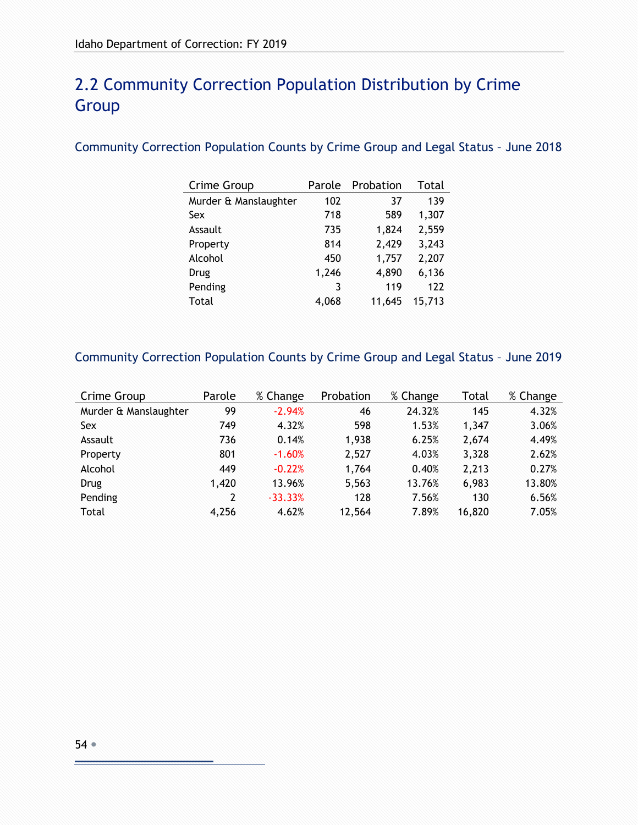# 2.2 Community Correction Population Distribution by Crime **Group**

#### Community Correction Population Counts by Crime Group and Legal Status – June 2018

| Crime Group           | Parole | Probation | Total  |
|-----------------------|--------|-----------|--------|
| Murder & Manslaughter | 102    | 37        | 139    |
| Sex                   | 718    | 589       | 1,307  |
| Assault               | 735    | 1,824     | 2,559  |
| Property              | 814    | 2,429     | 3,243  |
| Alcohol               | 450    | 1,757     | 2,207  |
| Drug                  | 1,246  | 4,890     | 6,136  |
| Pending               | 3      | 119       | 122    |
| Total                 | 4,068  | 11.645    | 15,713 |

#### Community Correction Population Counts by Crime Group and Legal Status – June 2019

| Crime Group           | Parole | % Change  | Probation | % Change | Total  | % Change |
|-----------------------|--------|-----------|-----------|----------|--------|----------|
| Murder & Manslaughter | 99     | $-2.94%$  | 46        | 24.32%   | 145    | 4.32%    |
| Sex                   | 749    | 4.32%     | 598       | 1.53%    | 1.347  | 3.06%    |
| Assault               | 736    | 0.14%     | 1,938     | 6.25%    | 2,674  | 4.49%    |
| Property              | 801    | $-1.60%$  | 2,527     | 4.03%    | 3,328  | 2.62%    |
| Alcohol               | 449    | $-0.22%$  | 1,764     | 0.40%    | 2,213  | 0.27%    |
| Drug                  | 1,420  | 13.96%    | 5,563     | 13.76%   | 6,983  | 13.80%   |
| Pending               | 2      | $-33.33%$ | 128       | 7.56%    | 130    | 6.56%    |
| Total                 | 4,256  | 4.62%     | 12,564    | 7.89%    | 16,820 | 7.05%    |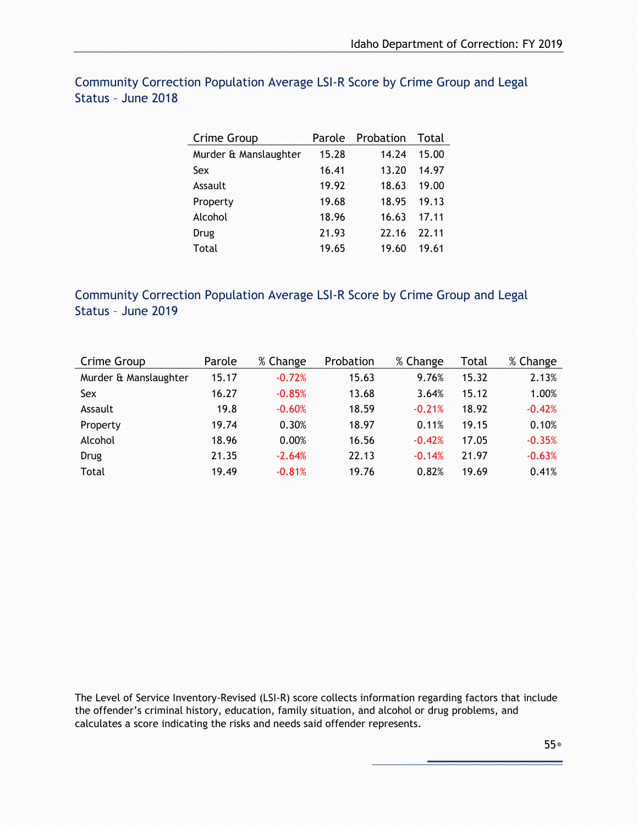| Crime Group           | Parole | Probation | Total |
|-----------------------|--------|-----------|-------|
| Murder & Manslaughter | 15.28  | 14.24     | 15.00 |
| Sex                   | 16.41  | 13.20     | 14.97 |
| Assault               | 19.92  | 18.63     | 19.00 |
| Property              | 19.68  | 18.95     | 19.13 |
| Alcohol               | 18.96  | 16.63     | 17.11 |
| Drug                  | 21.93  | 22.16     | 22.11 |
| Total                 | 19.65  | 19.60     | 19.61 |

#### Community Correction Population Average LSI-R Score by Crime Group and Legal Status – June 2018

#### Community Correction Population Average LSI-R Score by Crime Group and Legal Status – June 2019

| Crime Group           | Parole | % Change | Probation | % Change | Total | % Change |
|-----------------------|--------|----------|-----------|----------|-------|----------|
| Murder & Manslaughter | 15.17  | $-0.72%$ | 15.63     | 9.76%    | 15.32 | 2.13%    |
| Sex                   | 16.27  | $-0.85%$ | 13.68     | 3.64%    | 15.12 | 1.00%    |
| Assault               | 19.8   | $-0.60%$ | 18.59     | $-0.21%$ | 18.92 | $-0.42%$ |
| Property              | 19.74  | 0.30%    | 18.97     | 0.11%    | 19.15 | 0.10%    |
| Alcohol               | 18.96  | 0.00%    | 16.56     | $-0.42%$ | 17.05 | $-0.35%$ |
| Drug                  | 21.35  | $-2.64%$ | 22.13     | $-0.14%$ | 21.97 | $-0.63%$ |
| Total                 | 19.49  | $-0.81%$ | 19.76     | 0.82%    | 19.69 | 0.41%    |

The Level of Service Inventory-Revised (LSI-R) score collects information regarding factors that include the offender's criminal history, education, family situation, and alcohol or drug problems, and calculates a score indicating the risks and needs said offender represents.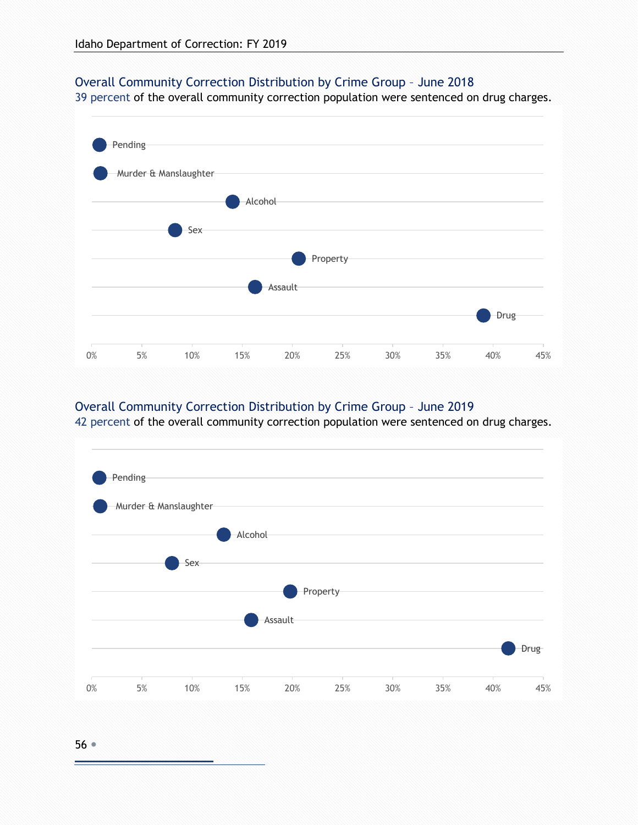#### Overall Community Correction Distribution by Crime Group – June 2018

39 percent of the overall community correction population were sentenced on drug charges.



#### Overall Community Correction Distribution by Crime Group – June 2019

42 percent of the overall community correction population were sentenced on drug charges.

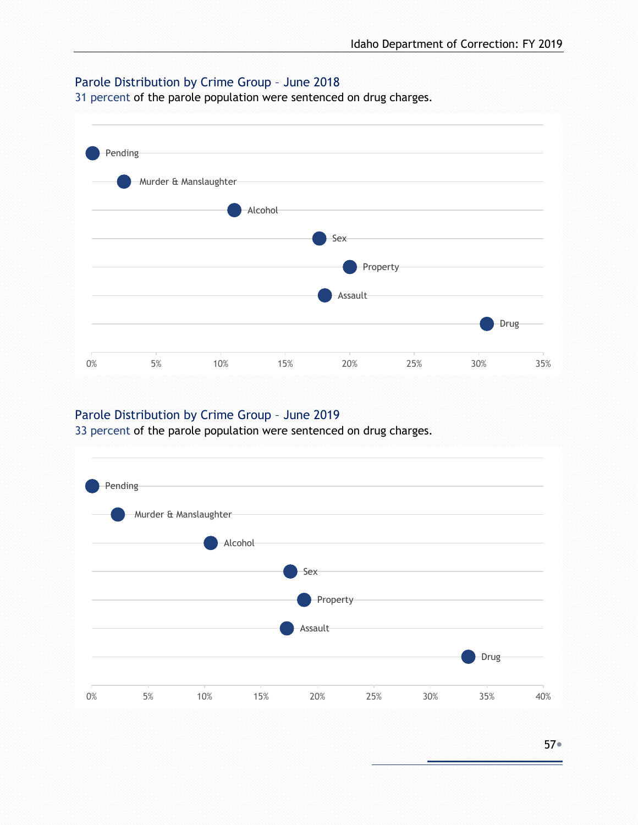#### Parole Distribution by Crime Group – June 2018

31 percent of the parole population were sentenced on drug charges.



#### Parole Distribution by Crime Group – June 2019

33 percent of the parole population were sentenced on drug charges.

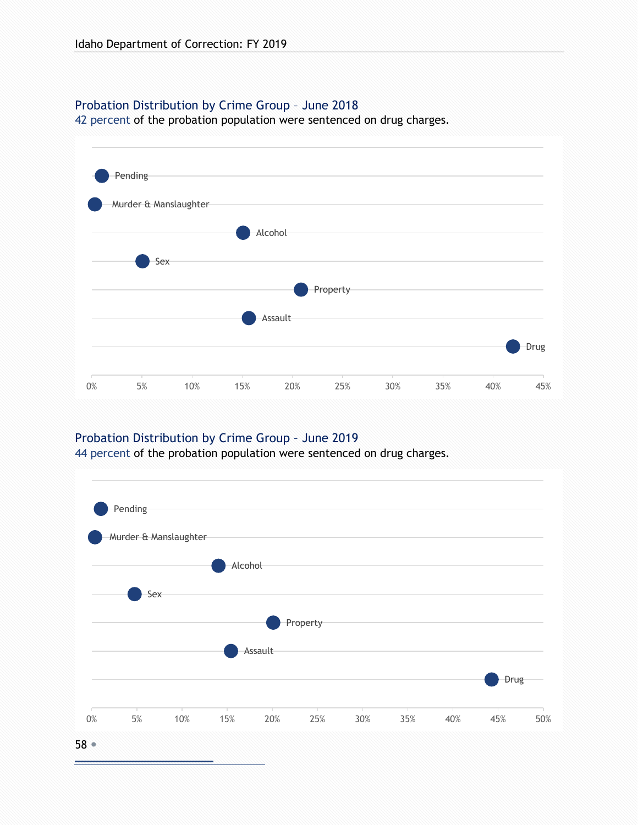#### Probation Distribution by Crime Group – June 2018

42 percent of the probation population were sentenced on drug charges.



#### Probation Distribution by Crime Group – June 2019

44 percent of the probation population were sentenced on drug charges.

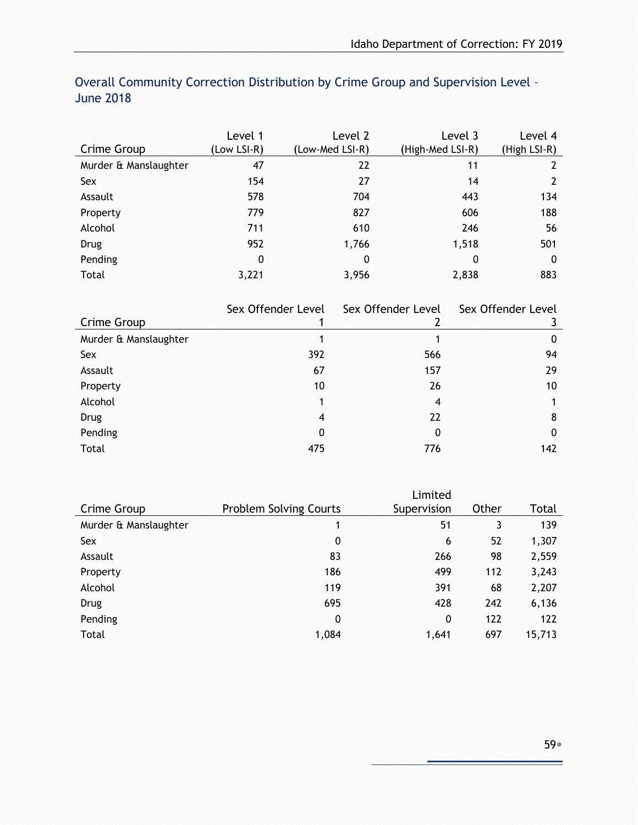|                       | Level 1     | Level 2         | Level 3          | Level 4      |
|-----------------------|-------------|-----------------|------------------|--------------|
| Crime Group           | (Low LSI-R) | (Low-Med LSI-R) | (High-Med LSI-R) | (High LSI-R) |
| Murder & Manslaughter | 47          | 22              | 11               | 2            |
| Sex                   | 154         | 27              | 14               | 2            |
| Assault               | 578         | 704             | 443              | 134          |
| Property              | 779         | 827             | 606              | 188          |
| Alcohol               | 711         | 610             | 246              | 56           |
| <b>Drug</b>           | 952         | 1,766           | 1,518            | 501          |
| Pending               | 0           | 0               | 0                | 0            |
| Total                 | 3,221       | 3,956           | 2,838            | 883          |

#### Overall Community Correction Distribution by Crime Group and Supervision Level – June 2018

|                       | Sex Offender Level | Sex Offender Level | Sex Offender Level |
|-----------------------|--------------------|--------------------|--------------------|
| Crime Group           |                    |                    |                    |
| Murder & Manslaughter |                    |                    | 0                  |
| Sex                   | 392                | 566                | 94                 |
| Assault               | 67                 | 157                | 29                 |
| Property              | 10                 | 26                 | 10                 |
| Alcohol               | 1                  | $\overline{4}$     |                    |
| <b>Drug</b>           | $\overline{4}$     | 22                 | 8                  |
| Pending               | $\mathbf{0}$       | 0                  | 0                  |
| Total                 | 475                | 776                | 142                |

|                       |                               | Limited     |       |        |
|-----------------------|-------------------------------|-------------|-------|--------|
| Crime Group           | <b>Problem Solving Courts</b> | Supervision | Other | Total  |
| Murder & Manslaughter | 1                             | 51          | 3     | 139    |
| Sex                   | 0                             | 6           | 52    | 1,307  |
| Assault               | 83                            | 266         | 98    | 2,559  |
| Property              | 186                           | 499         | 112   | 3,243  |
| Alcohol               | 119                           | 391         | 68    | 2,207  |
| Drug                  | 695                           | 428         | 242   | 6,136  |
| Pending               | 0                             | 0           | 122   | 122    |
| Total                 | 1,084                         | 1,641       | 697   | 15,713 |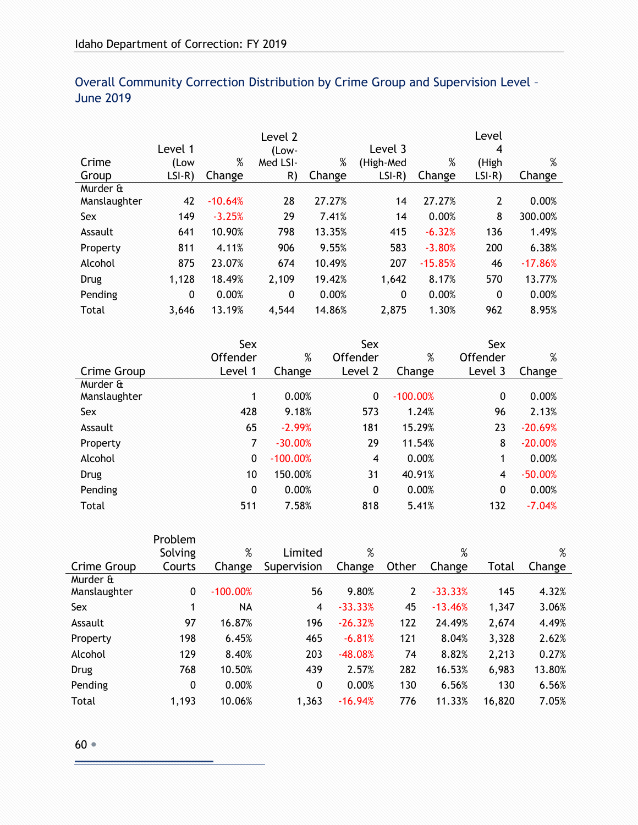|              | Level 1      |           | Level 2<br>(Low- |        | Level 3   |           | Level<br>4     |           |
|--------------|--------------|-----------|------------------|--------|-----------|-----------|----------------|-----------|
| Crime        | (Low         | %         | Med LSI-         | %      | (High-Med | %         | (High          | $\%$      |
| Group        | $LSI-R)$     | Change    | R)               | Change | $LSI-R$   | Change    | $LSI-R)$       | Change    |
| Murder &     |              |           |                  |        |           |           |                |           |
| Manslaughter | 42           | $-10.64%$ | 28               | 27.27% | 14        | 27.27%    | $\overline{2}$ | 0.00%     |
| Sex          | 149          | $-3.25%$  | 29               | 7.41%  | 14        | 0.00%     | 8              | 300.00%   |
| Assault      | 641          | 10.90%    | 798              | 13.35% | 415       | $-6.32%$  | 136            | 1.49%     |
| Property     | 811          | 4.11%     | 906              | 9.55%  | 583       | $-3.80%$  | 200            | 6.38%     |
| Alcohol      | 875          | 23.07%    | 674              | 10.49% | 207       | $-15.85%$ | 46             | $-17.86%$ |
| Drug         | 1,128        | 18.49%    | 2,109            | 19.42% | 1,642     | 8.17%     | 570            | 13.77%    |
| Pending      | $\mathbf{0}$ | 0.00%     | $\mathbf{0}$     | 0.00%  | 0         | 0.00%     | $\mathbf{0}$   | 0.00%     |
| Total        | 3.646        | 13.19%    | 4,544            | 14.86% | 2,875     | 1.30%     | 962            | 8.95%     |

#### Overall Community Correction Distribution by Crime Group and Supervision Level – June 2019

| Sex      |            | Sex            |            | Sex          |           |
|----------|------------|----------------|------------|--------------|-----------|
| Offender | %          | Offender       | %          | Offender     | %         |
| Level 1  | Change     | Level 2        | Change     | Level 3      | Change    |
|          |            |                |            |              |           |
| 1        | 0.00%      | $\mathbf{0}$   | $-100.00%$ | $\mathbf{0}$ | 0.00%     |
| 428      | 9.18%      | 573            | 1.24%      | 96           | 2.13%     |
| 65       | $-2.99%$   | 181            | 15.29%     | 23           | $-20.69%$ |
| 7        | $-30.00%$  | 29             | 11.54%     | 8            | $-20.00%$ |
| 0        | $-100.00%$ | $\overline{4}$ | 0.00%      | 1            | 0.00%     |
| 10       | 150.00%    | 31             | 40.91%     | 4            | $-50.00%$ |
| 0        | 0.00%      | 0              | 0.00%      | 0            | 0.00%     |
| 511      | 7.58%      | 818            | 5.41%      | 132          | $-7.04%$  |
|          |            |                |            |              |           |

|              | Problem |            |              |           |       |           |        |        |
|--------------|---------|------------|--------------|-----------|-------|-----------|--------|--------|
|              | Solving | %          | Limited      | %         |       | %         |        | %      |
| Crime Group  | Courts  | Change     | Supervision  | Change    | Other | Change    | Total  | Change |
| Murder &     |         |            |              |           |       |           |        |        |
| Manslaughter | 0       | $-100.00%$ | 56           | 9.80%     | 2     | $-33.33%$ | 145    | 4.32%  |
| Sex          | 1       | NА         | 4            | $-33.33%$ | 45    | $-13.46%$ | 1,347  | 3.06%  |
| Assault      | 97      | 16.87%     | 196          | $-26.32%$ | 122   | 24.49%    | 2,674  | 4.49%  |
| Property     | 198     | 6.45%      | 465          | $-6.81%$  | 121   | 8.04%     | 3,328  | 2.62%  |
| Alcohol      | 129     | 8.40%      | 203          | $-48.08%$ | 74    | 8.82%     | 2,213  | 0.27%  |
| Drug         | 768     | 10.50%     | 439          | 2.57%     | 282   | 16.53%    | 6,983  | 13.80% |
| Pending      | 0       | 0.00%      | $\mathbf{0}$ | 0.00%     | 130   | 6.56%     | 130    | 6.56%  |
| Total        | 1,193   | 10.06%     | 1,363        | $-16.94%$ | 776   | 11.33%    | 16,820 | 7.05%  |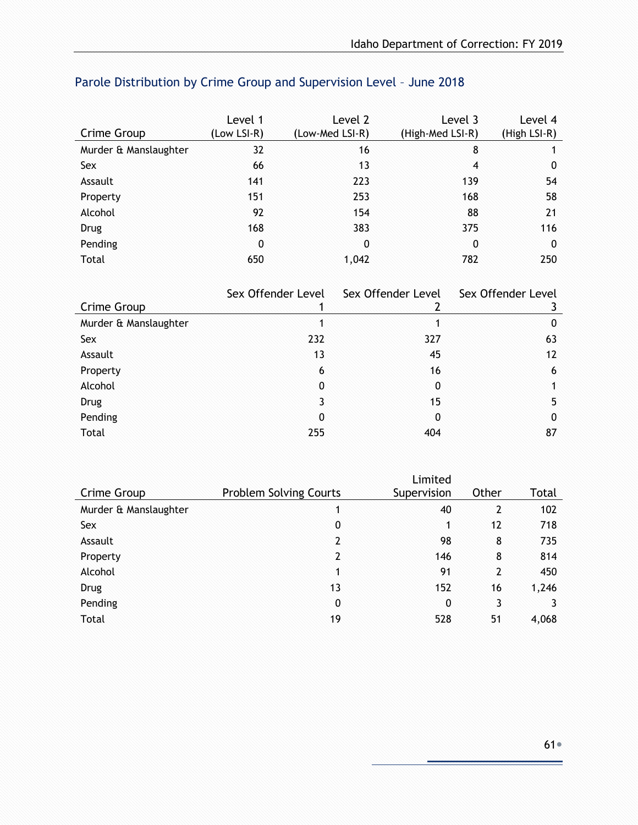|                       | Level 1     | Level 2         | Level 3          | Level 4      |
|-----------------------|-------------|-----------------|------------------|--------------|
| Crime Group           | (Low LSI-R) | (Low-Med LSI-R) | (High-Med LSI-R) | (High LSI-R) |
| Murder & Manslaughter | 32          | 16              | 8                |              |
| Sex                   | 66          | 13              | 4                | 0            |
| Assault               | 141         | 223             | 139              | 54           |
| Property              | 151         | 253             | 168              | 58           |
| Alcohol               | 92          | 154             | 88               | 21           |
| Drug                  | 168         | 383             | 375              | 116          |
| Pending               | 0           | $\mathbf{0}$    | 0                | 0            |
| Total                 | 650         | 1,042           | 782              | 250          |

# Parole Distribution by Crime Group and Supervision Level – June 2018

|                       | Sex Offender Level | Sex Offender Level | Sex Offender Level |
|-----------------------|--------------------|--------------------|--------------------|
| Crime Group           |                    |                    |                    |
| Murder & Manslaughter |                    |                    | 0                  |
| Sex                   | 232                | 327                | 63                 |
| Assault               | 13                 | 45                 | 12                 |
| Property              | 6                  | 16                 | 6                  |
| Alcohol               | 0                  | 0                  |                    |
| Drug                  | 3                  | 15                 | 5                  |
| Pending               | 0                  | 0                  | 0                  |
| Total                 | 255                | 404                | 87                 |

|                       |                               | Limited     |                |       |
|-----------------------|-------------------------------|-------------|----------------|-------|
| Crime Group           | <b>Problem Solving Courts</b> | Supervision | Other          | Total |
| Murder & Manslaughter | 1                             | 40          | 2              | 102   |
| Sex                   | 0                             | 1           | 12             | 718   |
| Assault               | $\overline{2}$                | 98          | 8              | 735   |
| Property              | $\overline{2}$                | 146         | 8              | 814   |
| Alcohol               | 1                             | 91          | $\overline{2}$ | 450   |
| <b>Drug</b>           | 13                            | 152         | 16             | 1,246 |
| Pending               | 0                             | 0           | 3              |       |
| Total                 | 19                            | 528         | 51             | 4,068 |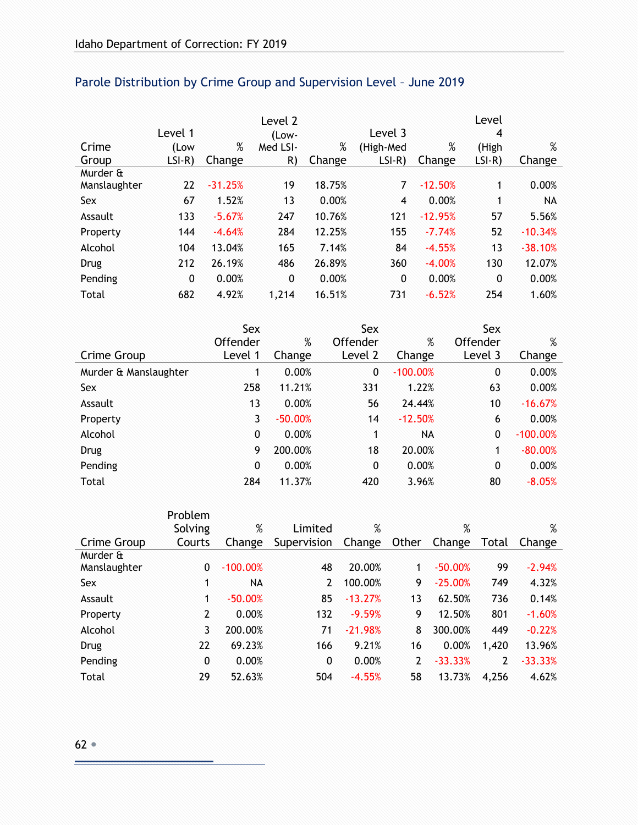|              |          |           | Level 2  |        |                |           | Level        |           |
|--------------|----------|-----------|----------|--------|----------------|-----------|--------------|-----------|
|              | Level 1  |           | (Low-    |        | Level 3        |           | 4            |           |
| Crime        | (Low     | %         | Med LSI- | %      | (High-Med      | %         | (High        | $\%$      |
| Group        | $LSI-R)$ | Change    | R)       | Change | $LSI-R)$       | Change    | $LSI-R)$     | Change    |
| Murder &     |          |           |          |        |                |           |              |           |
| Manslaughter | 22       | $-31.25%$ | 19       | 18.75% | 7              | $-12.50%$ | 1            | 0.00%     |
| Sex          | 67       | 1.52%     | 13       | 0.00%  | $\overline{4}$ | 0.00%     | 1            | <b>NA</b> |
| Assault      | 133      | $-5.67%$  | 247      | 10.76% | 121            | $-12.95%$ | 57           | 5.56%     |
| Property     | 144      | $-4.64%$  | 284      | 12.25% | 155            | $-7.74%$  | 52           | $-10.34%$ |
| Alcohol      | 104      | 13.04%    | 165      | 7.14%  | 84             | $-4.55%$  | 13           | $-38.10%$ |
| Drug         | 212      | 26.19%    | 486      | 26.89% | 360            | $-4.00%$  | 130          | 12.07%    |
| Pending      | 0        | 0.00%     | 0        | 0.00%  | $\mathbf 0$    | 0.00%     | $\mathbf{0}$ | 0.00%     |
| Total        | 682      | 4.92%     | 1,214    | 16.51% | 731            | $-6.52%$  | 254          | 1.60%     |

# Parole Distribution by Crime Group and Supervision Level – June 2019

|                       | Sex            |           | Sex      |            | Sex          |            |
|-----------------------|----------------|-----------|----------|------------|--------------|------------|
|                       | Offender       | $\%$      | Offender | %          | Offender     | %          |
| Crime Group           | Level 1        | Change    | Level 2  | Change     | Level 3      | Change     |
| Murder & Manslaughter | 1.             | 0.00%     | 0        | $-100.00%$ | 0            | 0.00%      |
| Sex                   | 258            | 11.21%    | 331      | 1.22%      | 63           | 0.00%      |
| Assault               | 13             | 0.00%     | 56       | 24.44%     | 10           | $-16.67%$  |
| Property              | 3 <sup>1</sup> | $-50.00%$ | 14       | $-12.50%$  | 6            | 0.00%      |
| Alcohol               | $\mathbf{0}$   | 0.00%     | 1        | NA         | $\mathbf{0}$ | $-100.00%$ |
| <b>Drug</b>           | 9              | 200.00%   | 18       | 20.00%     | 1            | $-80.00%$  |
| Pending               | $\mathbf{0}$   | 0.00%     | 0        | 0.00%      | 0            | 0.00%      |
| Total                 | 284            | 11.37%    | 420      | 3.96%      | 80           | $-8.05%$   |

|              | Problem        |            |                |           |       |           |       |           |
|--------------|----------------|------------|----------------|-----------|-------|-----------|-------|-----------|
|              | Solving        | %          | Limited        | %         |       | %         |       | %         |
| Crime Group  | Courts         | Change     | Supervision    | Change    | Other | Change    | Total | Change    |
| Murder &     |                |            |                |           |       |           |       |           |
| Manslaughter | $\mathbf{0}$   | $-100.00%$ | 48             | 20.00%    | 1.    | $-50.00%$ | 99    | $-2.94%$  |
| Sex          | 1              | NA.        | $\overline{2}$ | 100.00%   | 9     | $-25.00%$ | 749   | 4.32%     |
| Assault      | 1              | $-50.00%$  | 85             | $-13.27%$ | 13    | 62.50%    | 736   | 0.14%     |
| Property     | $\overline{2}$ | 0.00%      | 132            | $-9.59%$  | 9     | 12.50%    | 801   | $-1.60%$  |
| Alcohol      | 3              | 200.00%    | 71             | $-21.98%$ | 8     | 300.00%   | 449   | $-0.22%$  |
| Drug         | 22             | 69.23%     | 166            | 9.21%     | 16    | 0.00%     | 1,420 | 13.96%    |
| Pending      | 0              | 0.00%      | $\mathbf{0}$   | 0.00%     | 2     | $-33.33%$ | 2     | $-33.33%$ |
| Total        | 29             | 52.63%     | 504            | $-4.55%$  | 58    | 13.73%    | 4,256 | 4.62%     |

è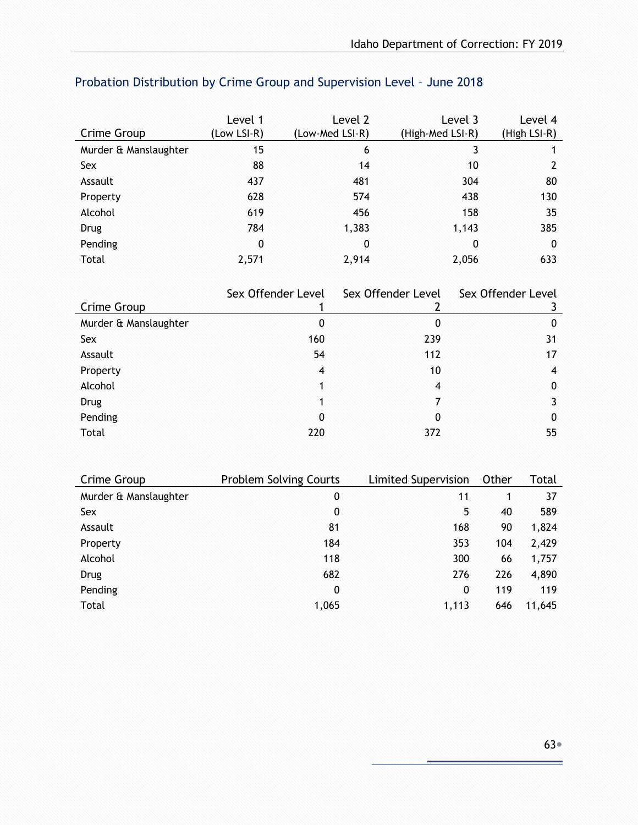|                       | Level 1     | Level 2         | Level 3          | Level 4      |
|-----------------------|-------------|-----------------|------------------|--------------|
| Crime Group           | (Low LSI-R) | (Low-Med LSI-R) | (High-Med LSI-R) | (High LSI-R) |
| Murder & Manslaughter | 15          | 6               | 3                |              |
| Sex                   | 88          | 14              | 10               |              |
| Assault               | 437         | 481             | 304              | 80           |
| Property              | 628         | 574             | 438              | 130          |
| Alcohol               | 619         | 456             | 158              | 35           |
| <b>Drug</b>           | 784         | 1,383           | 1,143            | 385          |
| Pending               | 0           | 0               | 0                | 0            |
| Total                 | 2,571       | 2,914           | 2,056            | 633          |

# Probation Distribution by Crime Group and Supervision Level – June 2018

|                       | Sex Offender Level | Sex Offender Level | Sex Offender Level |
|-----------------------|--------------------|--------------------|--------------------|
| Crime Group           |                    |                    |                    |
| Murder & Manslaughter | 0                  | 0                  | 0                  |
| Sex                   | 160                | 239                | 31                 |
| Assault               | 54                 | 112                | 17                 |
| Property              | $\overline{4}$     | 10                 | 4                  |
| Alcohol               |                    | 4                  | 0                  |
| <b>Drug</b>           |                    | 7                  |                    |
| Pending               | 0                  | 0                  | 0                  |
| Total                 | 220                | 372                | 55                 |

| Crime Group           | <b>Problem Solving Courts</b> | Limited Supervision | Other | Total  |
|-----------------------|-------------------------------|---------------------|-------|--------|
| Murder & Manslaughter | 0                             | 11                  | 1     | 37     |
| Sex                   | 0                             | 5                   | 40    | 589    |
| Assault               | 81                            | 168                 | 90    | 1,824  |
| Property              | 184                           | 353                 | 104   | 2,429  |
| Alcohol               | 118                           | 300                 | 66    | 1,757  |
| Drug                  | 682                           | 276                 | 226   | 4,890  |
| Pending               | 0                             | $\mathbf{0}$        | 119   | 119    |
| Total                 | 1,065                         | 1,113               | 646   | 11,645 |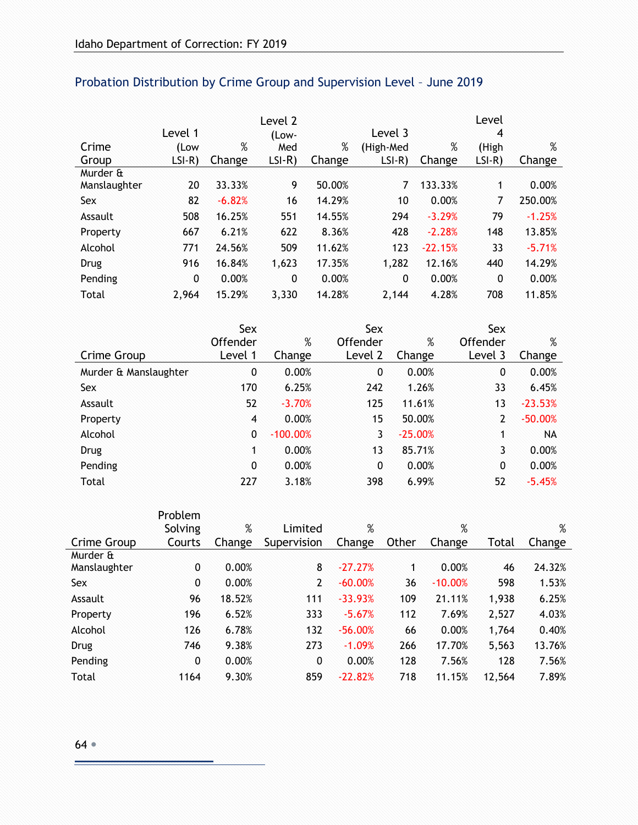|              |          |          | Level 2  |        |           |           | Level       |          |
|--------------|----------|----------|----------|--------|-----------|-----------|-------------|----------|
|              | Level 1  |          | (Low-    |        | Level 3   |           | 4           |          |
| Crime        | (Low     | $\%$     | Med      | %      | (High-Med | %         | (High       | %        |
| Group        | $LSI-R)$ | Change   | $LSI-R)$ | Change | $LSI-R)$  | Change    | $LSI-R)$    | Change   |
| Murder &     |          |          |          |        |           |           |             |          |
| Manslaughter | 20       | 33.33%   | 9        | 50.00% | 7         | 133.33%   | 1           | 0.00%    |
| Sex          | 82       | $-6.82%$ | 16       | 14.29% | 10        | 0.00%     | 7           | 250.00%  |
| Assault      | 508      | 16.25%   | 551      | 14.55% | 294       | $-3.29%$  | 79          | $-1.25%$ |
| Property     | 667      | 6.21%    | 622      | 8.36%  | 428       | $-2.28%$  | 148         | 13.85%   |
| Alcohol      | 771      | 24.56%   | 509      | 11.62% | 123       | $-22.15%$ | 33          | $-5.71%$ |
| Drug         | 916      | 16.84%   | 1,623    | 17.35% | 1,282     | 12.16%    | 440         | 14.29%   |
| Pending      | 0        | 0.00%    | 0        | 0.00%  | 0         | 0.00%     | $\mathbf 0$ | 0.00%    |
| Total        | 2,964    | 15.29%   | 3,330    | 14.28% | 2,144     | 4.28%     | 708         | 11.85%   |

# Probation Distribution by Crime Group and Supervision Level – June 2019

|                       | Sex          |            | Sex          |           | Sex      |           |
|-----------------------|--------------|------------|--------------|-----------|----------|-----------|
|                       | Offender     | %          | Offender     | %         | Offender | %         |
| Crime Group           | Level 1      | Change     | Level 2      | Change    | Level 3  | Change    |
| Murder & Manslaughter | 0            | 0.00%      | 0            | 0.00%     | 0        | 0.00%     |
| Sex                   | 170          | 6.25%      | 242          | 1.26%     | 33       | 6.45%     |
| Assault               | 52           | $-3.70%$   | 125          | 11.61%    | 13       | $-23.53%$ |
| Property              | 4            | 0.00%      | 15           | 50.00%    | 2        | $-50.00%$ |
| Alcohol               | $\mathbf{0}$ | $-100.00%$ | 3            | $-25.00%$ |          | <b>NA</b> |
| <b>Drug</b>           | 1            | 0.00%      | 13           | 85.71%    | 3        | 0.00%     |
| Pending               | 0            | 0.00%      | $\mathbf{0}$ | 0.00%     | 0        | 0.00%     |
| Total                 | 227          | 3.18%      | 398          | 6.99%     | 52       | $-5.45%$  |

|              | Problem |        |                |           |       |           |        |        |
|--------------|---------|--------|----------------|-----------|-------|-----------|--------|--------|
|              | Solving | %      | Limited        | %         |       | %         |        | %      |
| Crime Group  | Courts  | Change | Supervision    | Change    | Other | Change    | Total  | Change |
| Murder &     |         |        |                |           |       |           |        |        |
| Manslaughter | 0       | 0.00%  | 8              | $-27.27%$ |       | 0.00%     | 46     | 24.32% |
| <b>Sex</b>   | 0       | 0.00%  | $\overline{2}$ | $-60.00%$ | 36    | $-10.00%$ | 598    | 1.53%  |
| Assault      | 96      | 18.52% | 111            | $-33.93%$ | 109   | 21.11%    | 1,938  | 6.25%  |
| Property     | 196     | 6.52%  | 333            | $-5.67%$  | 112   | 7.69%     | 2,527  | 4.03%  |
| Alcohol      | 126     | 6.78%  | 132            | $-56.00%$ | 66    | 0.00%     | 1,764  | 0.40%  |
| <b>Drug</b>  | 746     | 9.38%  | 273            | $-1.09%$  | 266   | 17.70%    | 5,563  | 13.76% |
| Pending      | 0       | 0.00%  | $\mathbf{0}$   | 0.00%     | 128   | 7.56%     | 128    | 7.56%  |
| Total        | 1164    | 9.30%  | 859            | $-22.82%$ | 718   | 11.15%    | 12,564 | 7.89%  |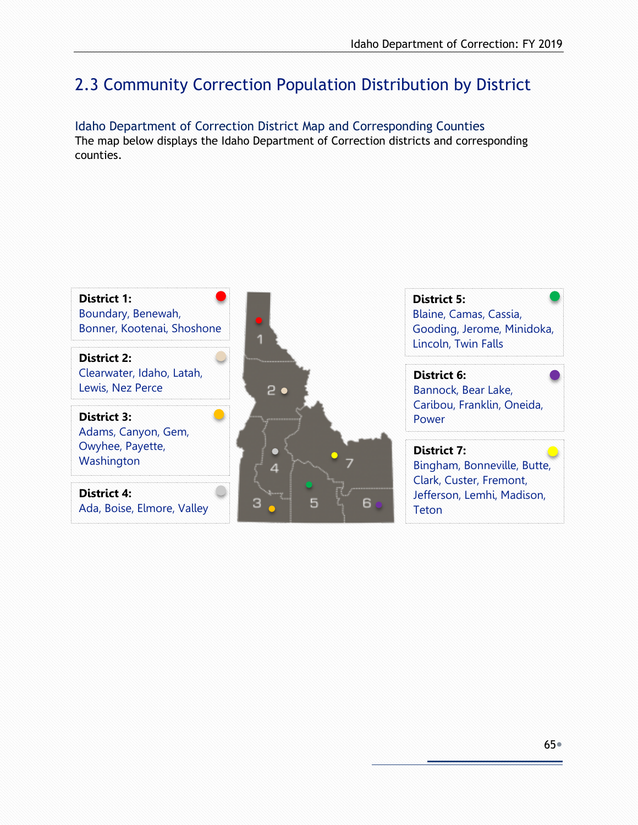# 2.3 Community Correction Population Distribution by District

Idaho Department of Correction District Map and Corresponding Counties The map below displays the Idaho Department of Correction districts and corresponding counties.

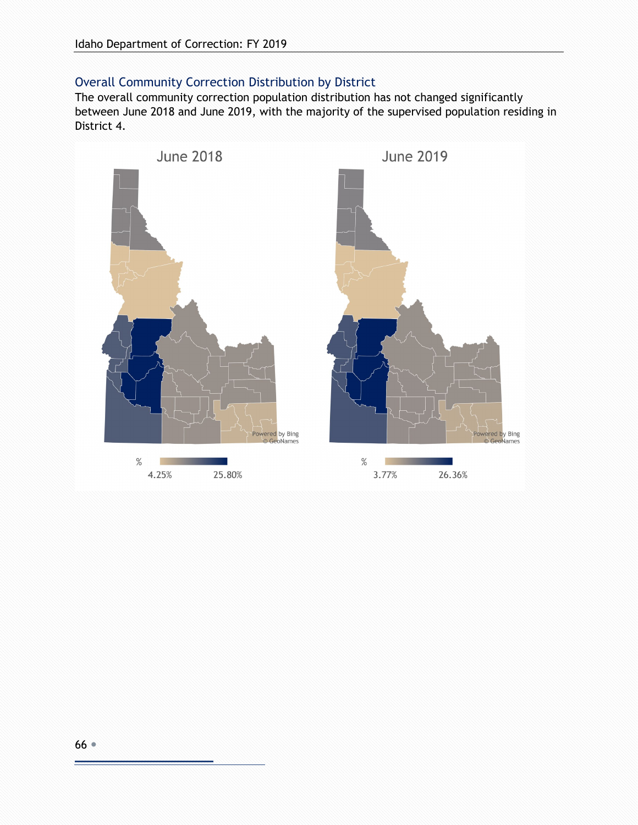#### Overall Community Correction Distribution by District

The overall community correction population distribution has not changed significantly between June 2018 and June 2019, with the majority of the supervised population residing in District 4.

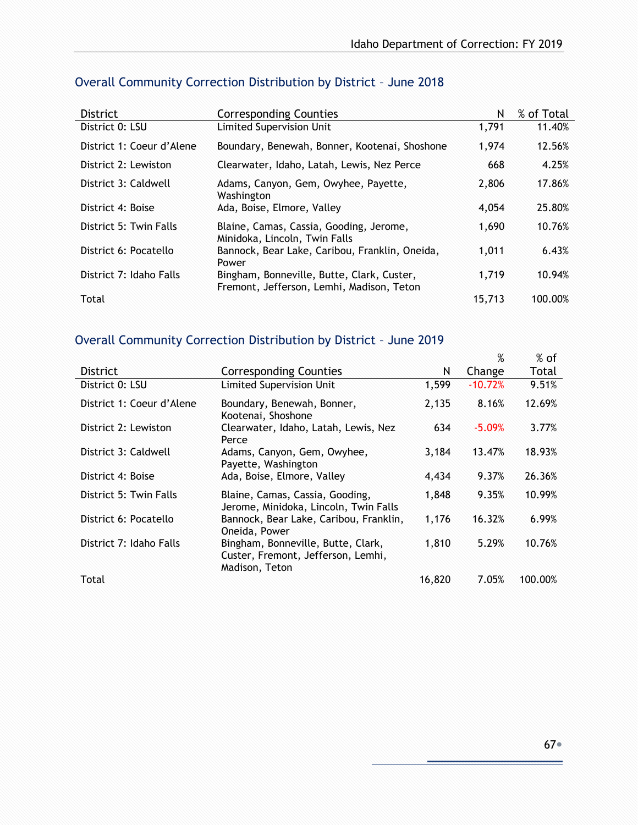| <b>District</b>           | <b>Corresponding Counties</b>                                                           | N      | % of Total |
|---------------------------|-----------------------------------------------------------------------------------------|--------|------------|
| District 0: LSU           | <b>Limited Supervision Unit</b>                                                         | 1,791  | 11.40%     |
| District 1: Coeur d'Alene | Boundary, Benewah, Bonner, Kootenai, Shoshone                                           | 1.974  | 12.56%     |
| District 2: Lewiston      | Clearwater, Idaho, Latah, Lewis, Nez Perce                                              | 668    | 4.25%      |
| District 3: Caldwell      | Adams, Canyon, Gem, Owyhee, Payette,<br>Washington                                      | 2,806  | 17.86%     |
| District 4: Boise         | Ada, Boise, Elmore, Valley                                                              | 4.054  | 25.80%     |
| District 5: Twin Falls    | Blaine, Camas, Cassia, Gooding, Jerome,<br>Minidoka, Lincoln, Twin Falls                | 1,690  | 10.76%     |
| District 6: Pocatello     | Bannock, Bear Lake, Caribou, Franklin, Oneida,<br>Power                                 | 1,011  | 6.43%      |
| District 7: Idaho Falls   | Bingham, Bonneville, Butte, Clark, Custer,<br>Fremont, Jefferson, Lemhi, Madison, Teton | 1.719  | 10.94%     |
| Total                     |                                                                                         | 15,713 | 100.00%    |

#### Overall Community Correction Distribution by District – June 2018

#### Overall Community Correction Distribution by District – June 2019

|                           |                                                                                            |        | %         | $%$ of  |
|---------------------------|--------------------------------------------------------------------------------------------|--------|-----------|---------|
| <b>District</b>           | <b>Corresponding Counties</b>                                                              | N      | Change    | Total   |
| District 0: LSU           | <b>Limited Supervision Unit</b>                                                            | 1.599  | $-10.72%$ | 9.51%   |
| District 1: Coeur d'Alene | Boundary, Benewah, Bonner,<br>Kootenai, Shoshone                                           | 2,135  | 8.16%     | 12.69%  |
| District 2: Lewiston      | Clearwater, Idaho, Latah, Lewis, Nez<br>Perce                                              | 634    | $-5.09%$  | 3.77%   |
| District 3: Caldwell      | Adams, Canyon, Gem, Owyhee,<br>Payette, Washington                                         | 3,184  | 13.47%    | 18.93%  |
| District 4: Boise         | Ada, Boise, Elmore, Valley                                                                 | 4,434  | 9.37%     | 26.36%  |
| District 5: Twin Falls    | Blaine, Camas, Cassia, Gooding,<br>Jerome, Minidoka, Lincoln, Twin Falls                   | 1,848  | 9.35%     | 10.99%  |
| District 6: Pocatello     | Bannock, Bear Lake, Caribou, Franklin,<br>Oneida, Power                                    | 1,176  | 16.32%    | 6.99%   |
| District 7: Idaho Falls   | Bingham, Bonneville, Butte, Clark,<br>Custer, Fremont, Jefferson, Lemhi,<br>Madison, Teton | 1,810  | 5.29%     | 10.76%  |
| Total                     |                                                                                            | 16,820 | 7.05%     | 100.00% |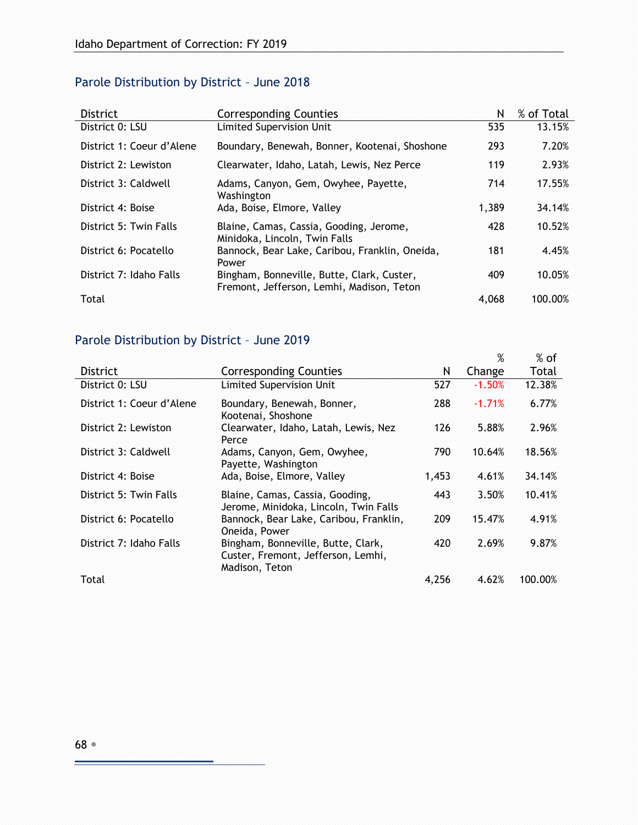# Parole Distribution by District – June 2018

| <b>District</b>           | <b>Corresponding Counties</b>                                                           | N     | % of Total |
|---------------------------|-----------------------------------------------------------------------------------------|-------|------------|
| District 0: LSU           | <b>Limited Supervision Unit</b>                                                         | 535   | 13.15%     |
| District 1: Coeur d'Alene | Boundary, Benewah, Bonner, Kootenai, Shoshone                                           | 293   | 7.20%      |
| District 2: Lewiston      | Clearwater, Idaho, Latah, Lewis, Nez Perce                                              | 119   | 2.93%      |
| District 3: Caldwell      | Adams, Canyon, Gem, Owyhee, Payette,<br>Washington                                      | 714   | 17.55%     |
| District 4: Boise         | Ada, Boise, Elmore, Valley                                                              | 1,389 | 34.14%     |
| District 5: Twin Falls    | Blaine, Camas, Cassia, Gooding, Jerome,<br>Minidoka, Lincoln, Twin Falls                | 428   | 10.52%     |
| District 6: Pocatello     | Bannock, Bear Lake, Caribou, Franklin, Oneida,<br>Power                                 | 181   | 4.45%      |
| District 7: Idaho Falls   | Bingham, Bonneville, Butte, Clark, Custer,<br>Fremont, Jefferson, Lemhi, Madison, Teton | 409   | 10.05%     |
| Total                     |                                                                                         | 4.068 | 100.00%    |

### Parole Distribution by District – June 2019

|                           |                                                                                            |       | %        | $%$ of  |
|---------------------------|--------------------------------------------------------------------------------------------|-------|----------|---------|
| <b>District</b>           | <b>Corresponding Counties</b>                                                              | N     | Change   | Total   |
| District 0: LSU           | Limited Supervision Unit                                                                   | 527   | $-1.50%$ | 12.38%  |
| District 1: Coeur d'Alene | Boundary, Benewah, Bonner,<br>Kootenai, Shoshone                                           | 288   | $-1.71%$ | 6.77%   |
| District 2: Lewiston      | Clearwater, Idaho, Latah, Lewis, Nez<br>Perce                                              | 126   | 5.88%    | 2.96%   |
| District 3: Caldwell      | Adams, Canyon, Gem, Owyhee,<br>Payette, Washington                                         | 790   | 10.64%   | 18.56%  |
| District 4: Boise         | Ada, Boise, Elmore, Valley                                                                 | 1,453 | 4.61%    | 34.14%  |
| District 5: Twin Falls    | Blaine, Camas, Cassia, Gooding,<br>Jerome, Minidoka, Lincoln, Twin Falls                   | 443   | 3.50%    | 10.41%  |
| District 6: Pocatello     | Bannock, Bear Lake, Caribou, Franklin,<br>Oneida, Power                                    | 209   | 15.47%   | 4.91%   |
| District 7: Idaho Falls   | Bingham, Bonneville, Butte, Clark,<br>Custer, Fremont, Jefferson, Lemhi,<br>Madison, Teton | 420   | 2.69%    | 9.87%   |
| Total                     |                                                                                            | 4.256 | 4.62%    | 100.00% |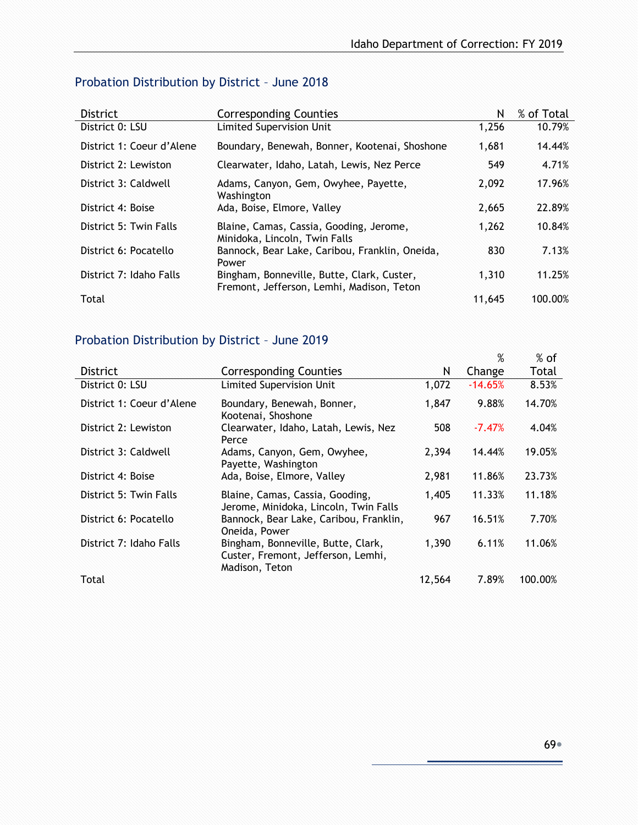| Probation Distribution by District - June 2018 |  |  |  |
|------------------------------------------------|--|--|--|
|------------------------------------------------|--|--|--|

| <b>District</b>           | <b>Corresponding Counties</b>                                                           | N      | % of Total |
|---------------------------|-----------------------------------------------------------------------------------------|--------|------------|
| District 0: LSU           | Limited Supervision Unit                                                                | 1.256  | 10.79%     |
| District 1: Coeur d'Alene | Boundary, Benewah, Bonner, Kootenai, Shoshone                                           | 1,681  | 14.44%     |
| District 2: Lewiston      | Clearwater, Idaho, Latah, Lewis, Nez Perce                                              | 549    | 4.71%      |
| District 3: Caldwell      | Adams, Canyon, Gem, Owyhee, Payette,<br>Washington                                      | 2,092  | 17.96%     |
| District 4: Boise         | Ada, Boise, Elmore, Valley                                                              | 2,665  | 22.89%     |
| District 5: Twin Falls    | Blaine, Camas, Cassia, Gooding, Jerome,<br>Minidoka, Lincoln, Twin Falls                | 1,262  | 10.84%     |
| District 6: Pocatello     | Bannock, Bear Lake, Caribou, Franklin, Oneida,<br>Power                                 | 830    | 7.13%      |
| District 7: Idaho Falls   | Bingham, Bonneville, Butte, Clark, Custer,<br>Fremont, Jefferson, Lemhi, Madison, Teton | 1.310  | 11.25%     |
| Total                     |                                                                                         | 11,645 | 100.00%    |

# Probation Distribution by District – June 2019

|                           |                                                                                            |        | %         | $%$ of  |
|---------------------------|--------------------------------------------------------------------------------------------|--------|-----------|---------|
| <b>District</b>           | <b>Corresponding Counties</b>                                                              | N      | Change    | Total   |
| District 0: LSU           | Limited Supervision Unit                                                                   | 1,072  | $-14.65%$ | 8.53%   |
| District 1: Coeur d'Alene | Boundary, Benewah, Bonner,<br>Kootenai, Shoshone                                           | 1,847  | 9.88%     | 14.70%  |
| District 2: Lewiston      | Clearwater, Idaho, Latah, Lewis, Nez<br>Perce                                              | 508    | $-7.47%$  | 4.04%   |
| District 3: Caldwell      | Adams, Canyon, Gem, Owyhee,<br>Payette, Washington                                         | 2,394  | 14.44%    | 19.05%  |
| District 4: Boise         | Ada, Boise, Elmore, Valley                                                                 | 2.981  | 11.86%    | 23.73%  |
| District 5: Twin Falls    | Blaine, Camas, Cassia, Gooding,<br>Jerome, Minidoka, Lincoln, Twin Falls                   | 1,405  | 11.33%    | 11.18%  |
| District 6: Pocatello     | Bannock, Bear Lake, Caribou, Franklin,<br>Oneida, Power                                    | 967    | 16.51%    | 7.70%   |
| District 7: Idaho Falls   | Bingham, Bonneville, Butte, Clark,<br>Custer, Fremont, Jefferson, Lemhi,<br>Madison, Teton | 1,390  | 6.11%     | 11.06%  |
| Total                     |                                                                                            | 12,564 | 7.89%     | 100.00% |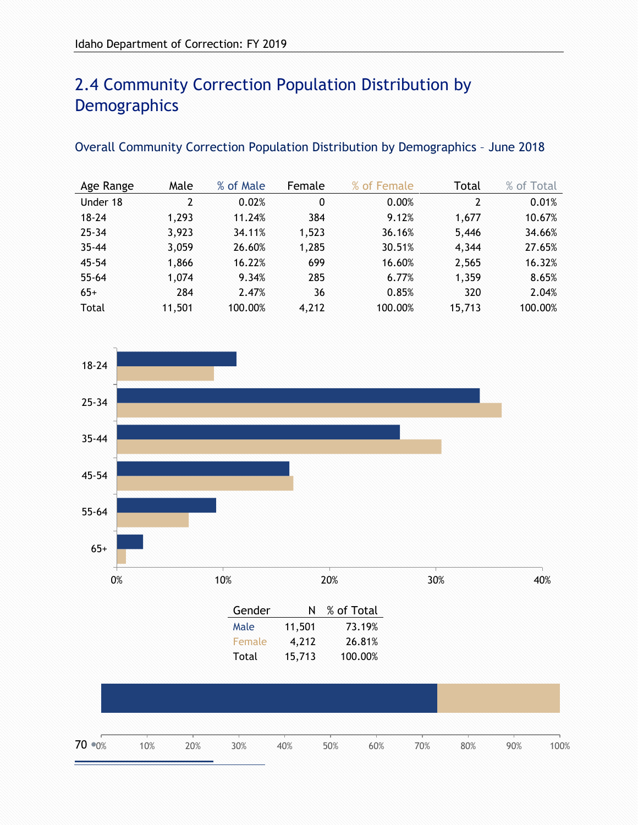# 2.4 Community Correction Population Distribution by **Demographics**

#### Overall Community Correction Population Distribution by Demographics – June 2018

| Age Range | Male   | % of Male | Female | % of Female | Total  | % of Total |
|-----------|--------|-----------|--------|-------------|--------|------------|
| Under 18  | 2      | 0.02%     | 0      | 0.00%       | 2      | 0.01%      |
| $18 - 24$ | 1,293  | 11.24%    | 384    | 9.12%       | 1,677  | 10.67%     |
| $25 - 34$ | 3,923  | 34.11%    | 1,523  | 36.16%      | 5,446  | 34.66%     |
| $35 - 44$ | 3,059  | 26.60%    | 1,285  | 30.51%      | 4,344  | 27.65%     |
| $45 - 54$ | 1,866  | 16.22%    | 699    | 16.60%      | 2,565  | 16.32%     |
| $55 - 64$ | 1,074  | 9.34%     | 285    | 6.77%       | 1,359  | 8.65%      |
| $65+$     | 284    | 2.47%     | 36     | 0.85%       | 320    | 2.04%      |
| Total     | 11,501 | 100.00%   | 4,212  | 100.00%     | 15,713 | 100.00%    |

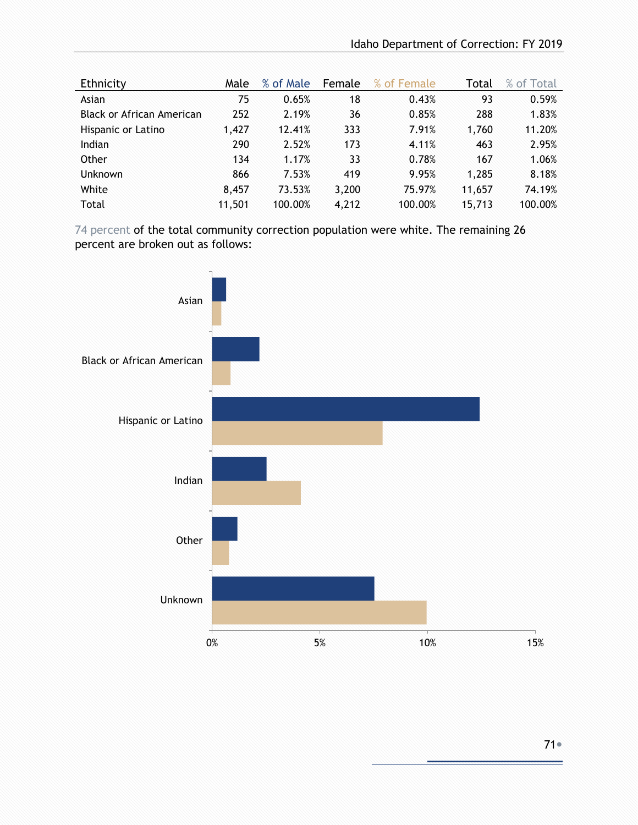| Ethnicity                 | Male   | % of Male | Female | % of Female | Total  | % of Total |
|---------------------------|--------|-----------|--------|-------------|--------|------------|
| Asian                     | 75     | 0.65%     | 18     | 0.43%       | 93     | 0.59%      |
| Black or African American | 252    | 2.19%     | 36     | 0.85%       | 288    | 1.83%      |
| Hispanic or Latino        | 1.427  | 12.41%    | 333    | 7.91%       | 1,760  | 11.20%     |
| Indian                    | 290    | 2.52%     | 173    | 4.11%       | 463    | 2.95%      |
| Other                     | 134    | 1.17%     | 33     | 0.78%       | 167    | 1.06%      |
| <b>Unknown</b>            | 866    | 7.53%     | 419    | 9.95%       | 1,285  | 8.18%      |
| White                     | 8.457  | 73.53%    | 3,200  | 75.97%      | 11,657 | 74.19%     |
| Total                     | 11,501 | 100.00%   | 4,212  | 100.00%     | 15,713 | 100.00%    |

74 percent of the total community correction population were white. The remaining 26 percent are broken out as follows:

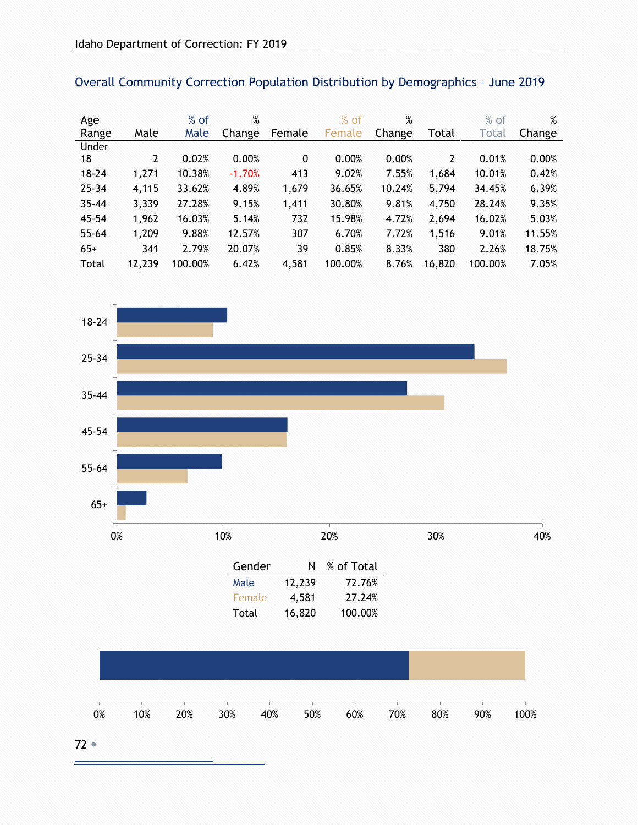| Age       |        | $%$ of  | %        |              | $%$ of  | $\%$   |                | $%$ of  | %      |
|-----------|--------|---------|----------|--------------|---------|--------|----------------|---------|--------|
| Range     | Male   | Male    | Change   | Female       | Female  | Change | Total          | Total   | Change |
| Under     |        |         |          |              |         |        |                |         |        |
| 18        | 2      | 0.02%   | 0.00%    | $\mathbf{0}$ | 0.00%   | 0.00%  | $\overline{2}$ | 0.01%   | 0.00%  |
| $18 - 24$ | 1,271  | 10.38%  | $-1.70%$ | 413          | 9.02%   | 7.55%  | 1,684          | 10.01%  | 0.42%  |
| $25 - 34$ | 4,115  | 33.62%  | 4.89%    | 1,679        | 36.65%  | 10.24% | 5,794          | 34.45%  | 6.39%  |
| $35 - 44$ | 3,339  | 27.28%  | 9.15%    | 1,411        | 30.80%  | 9.81%  | 4,750          | 28.24%  | 9.35%  |
| $45 - 54$ | 1,962  | 16.03%  | 5.14%    | 732          | 15.98%  | 4.72%  | 2,694          | 16.02%  | 5.03%  |
| $55 - 64$ | 1,209  | 9.88%   | 12.57%   | 307          | 6.70%   | 7.72%  | 1,516          | 9.01%   | 11.55% |
| $65+$     | 341    | 2.79%   | 20.07%   | 39           | 0.85%   | 8.33%  | 380            | 2.26%   | 18.75% |
| Total     | 12,239 | 100.00% | 6.42%    | 4,581        | 100.00% | 8.76%  | 16,820         | 100.00% | 7.05%  |



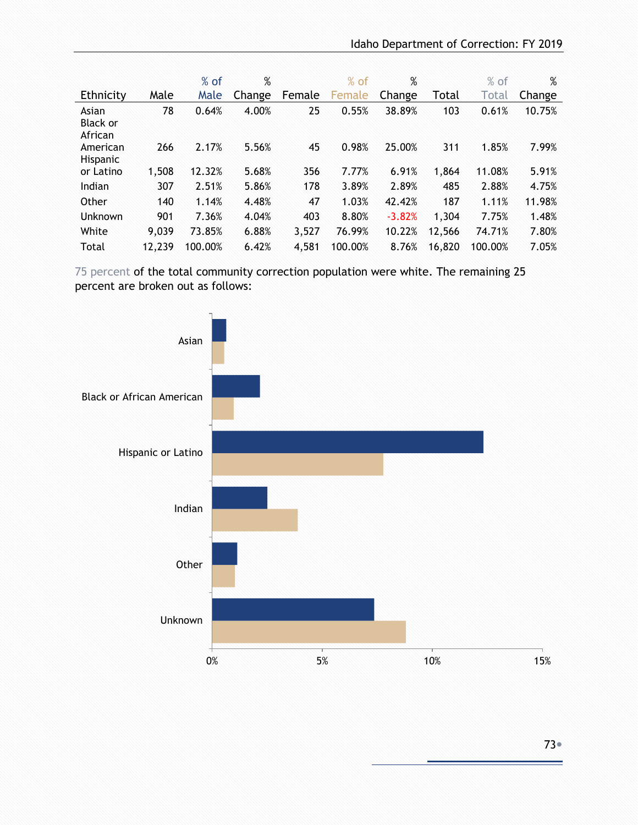|                                     |        | $%$ of  | %      |        | $%$ of  | %        |        | $%$ of       | %      |
|-------------------------------------|--------|---------|--------|--------|---------|----------|--------|--------------|--------|
| Ethnicity                           | Male   | Male    | Change | Female | Female  | Change   | Total  | <b>Total</b> | Change |
| Asian<br><b>Black or</b><br>African | 78     | 0.64%   | 4.00%  | 25     | 0.55%   | 38.89%   | 103    | 0.61%        | 10.75% |
| American<br><b>Hispanic</b>         | 266    | 2.17%   | 5.56%  | 45     | 0.98%   | 25.00%   | 311    | 1.85%        | 7.99%  |
| or Latino                           | 1,508  | 12.32%  | 5.68%  | 356    | 7.77%   | 6.91%    | 1,864  | 11.08%       | 5.91%  |
| Indian                              | 307    | 2.51%   | 5.86%  | 178    | 3.89%   | 2.89%    | 485    | 2.88%        | 4.75%  |
| Other                               | 140    | 1.14%   | 4.48%  | 47     | 1.03%   | 42.42%   | 187    | 1.11%        | 11.98% |
| <b>Unknown</b>                      | 901    | 7.36%   | 4.04%  | 403    | 8.80%   | $-3.82%$ | 1,304  | 7.75%        | 1.48%  |
| White                               | 9,039  | 73.85%  | 6.88%  | 3,527  | 76.99%  | 10.22%   | 12,566 | 74.71%       | 7.80%  |
| Total                               | 12,239 | 100.00% | 6.42%  | 4,581  | 100.00% | 8.76%    | 16,820 | 100.00%      | 7.05%  |

 75 percent of the total community correction population were white. The remaining 25 percent are broken out as follows:

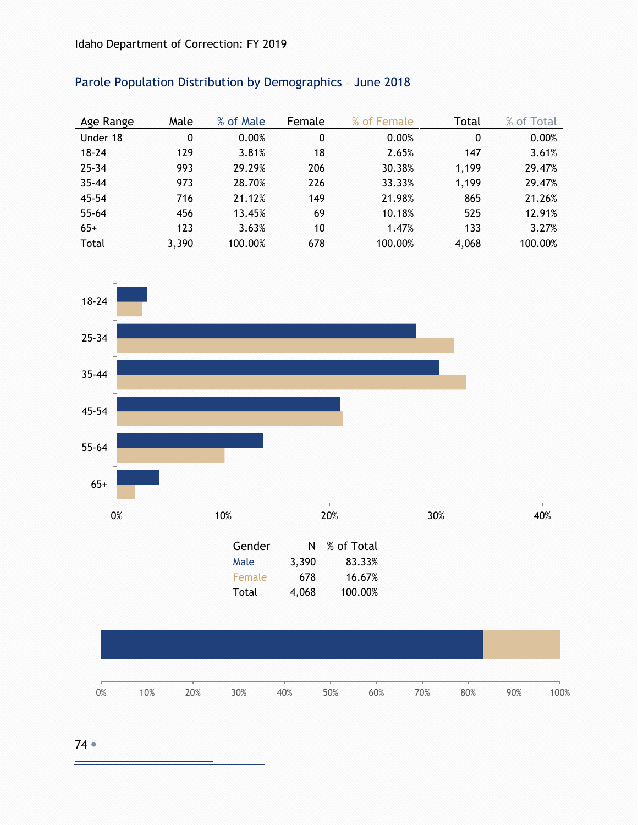| Age Range | Male  | % of Male | Female | % of Female | Total | % of Total |
|-----------|-------|-----------|--------|-------------|-------|------------|
| Under 18  | 0     | 0.00%     | 0      | 0.00%       | 0     | 0.00%      |
| $18 - 24$ | 129   | 3.81%     | 18     | 2.65%       | 147   | 3.61%      |
| $25 - 34$ | 993   | 29.29%    | 206    | 30.38%      | 1,199 | 29.47%     |
| $35 - 44$ | 973   | 28.70%    | 226    | 33.33%      | 1,199 | 29.47%     |
| $45 - 54$ | 716   | 21.12%    | 149    | 21.98%      | 865   | 21.26%     |
| $55 - 64$ | 456   | 13.45%    | 69     | 10.18%      | 525   | 12.91%     |
| $65+$     | 123   | 3.63%     | 10     | 1.47%       | 133   | 3.27%      |
| Total     | 3,390 | 100.00%   | 678    | 100.00%     | 4,068 | 100.00%    |

## Parole Population Distribution by Demographics – June 2018



| Female | 678   | 16.67%  |
|--------|-------|---------|
| Total  | 4,068 | 100.00% |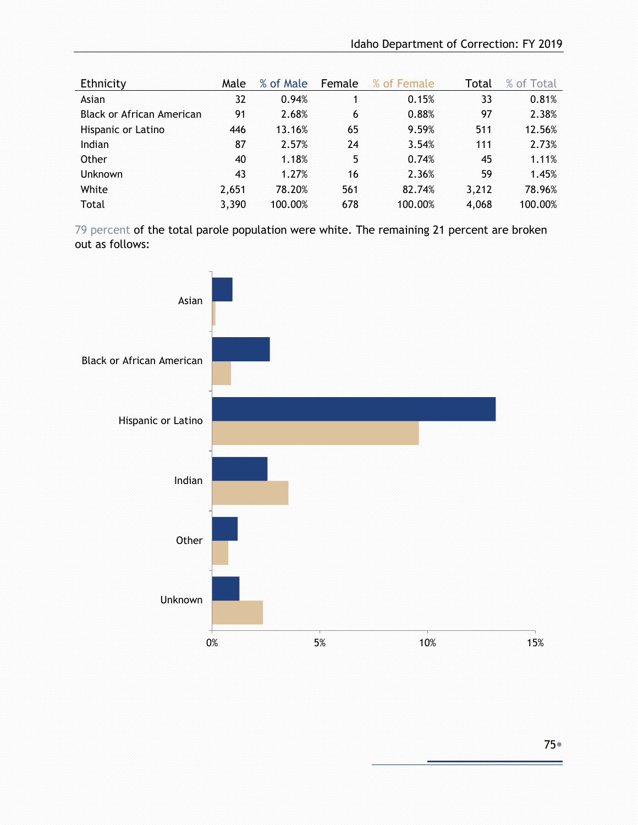| Ethnicity                 | Male  | % of Male | Female | % of Female | Total | % of Total |
|---------------------------|-------|-----------|--------|-------------|-------|------------|
| Asian                     | 32    | 0.94%     |        | 0.15%       | 33    | 0.81%      |
| Black or African American | 91    | 2.68%     | 6      | 0.88%       | 97    | 2.38%      |
| Hispanic or Latino        | 446   | 13.16%    | 65     | 9.59%       | 511   | 12.56%     |
| Indian                    | 87    | 2.57%     | 24     | 3.54%       | 111   | 2.73%      |
| Other                     | 40    | 1.18%     | 5      | 0.74%       | 45    | 1.11%      |
| <b>Unknown</b>            | 43    | 1.27%     | 16     | 2.36%       | 59    | 1.45%      |
| White                     | 2,651 | 78.20%    | 561    | 82.74%      | 3,212 | 78.96%     |
| Total                     | 3,390 | 100.00%   | 678    | 100.00%     | 4,068 | 100.00%    |

79 percent of the total parole population were white. The remaining 21 percent are broken out as follows:

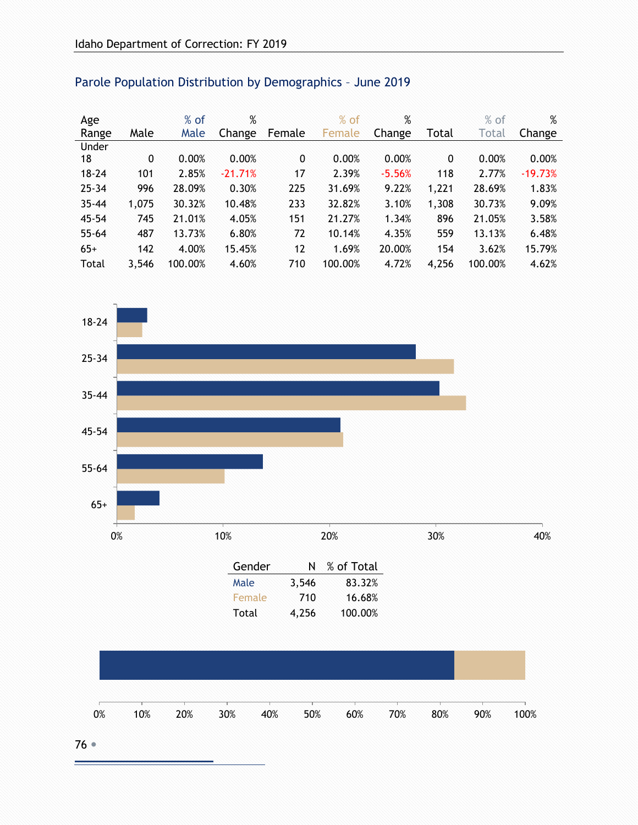| Age       |       | $%$ of  | %         |              | $%$ of  | %        |       | $%$ of  | %         |
|-----------|-------|---------|-----------|--------------|---------|----------|-------|---------|-----------|
| Range     | Male  | Male    | Change    | Female       | Female  | Change   | Total | Total   | Change    |
| Under     |       |         |           |              |         |          |       |         |           |
| 18        | 0     | 0.00%   | 0.00%     | $\mathbf{0}$ | 0.00%   | 0.00%    | 0     | 0.00%   | 0.00%     |
| $18 - 24$ | 101   | 2.85%   | $-21.71%$ | 17           | 2.39%   | $-5.56%$ | 118   | 2.77%   | $-19.73%$ |
| $25 - 34$ | 996   | 28.09%  | 0.30%     | 225          | 31.69%  | 9.22%    | 1,221 | 28.69%  | 1.83%     |
| $35 - 44$ | 1,075 | 30.32%  | 10.48%    | 233          | 32.82%  | 3.10%    | 1,308 | 30.73%  | 9.09%     |
| $45 - 54$ | 745   | 21.01%  | 4.05%     | 151          | 21.27%  | 1.34%    | 896   | 21.05%  | 3.58%     |
| $55 - 64$ | 487   | 13.73%  | 6.80%     | 72           | 10.14%  | 4.35%    | 559   | 13.13%  | 6.48%     |
| $65+$     | 142   | 4.00%   | 15.45%    | 12           | 1.69%   | 20.00%   | 154   | 3.62%   | 15.79%    |
| Total     | 3,546 | 100.00% | 4.60%     | 710          | 100.00% | 4.72%    | 4,256 | 100.00% | 4.62%     |

## Parole Population Distribution by Demographics – June 2019

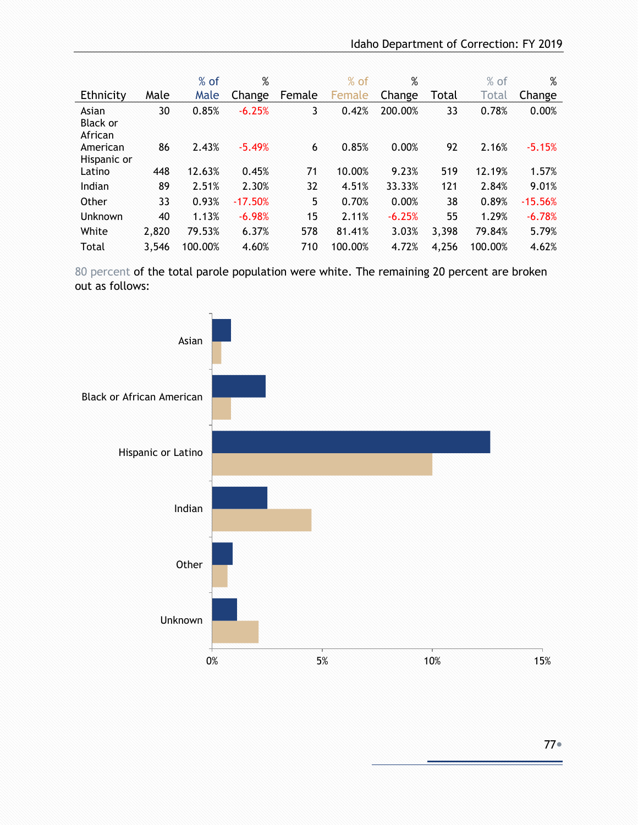|                                     |       | $%$ of  | %         |             | $%$ of  | %        |       | $%$ of  | %         |
|-------------------------------------|-------|---------|-----------|-------------|---------|----------|-------|---------|-----------|
| Ethnicity                           | Male  | Male    | Change    | Female      | Female  | Change   | Total | Total   | Change    |
| Asian<br><b>Black or</b><br>African | 30    | 0.85%   | $-6.25%$  | $3^{\circ}$ | 0.42%   | 200.00%  | 33    | 0.78%   | 0.00%     |
| American<br>Hispanic or             | 86    | 2.43%   | $-5.49%$  | 6           | 0.85%   | 0.00%    | 92    | 2.16%   | $-5.15%$  |
| Latino                              | 448   | 12.63%  | 0.45%     | 71          | 10.00%  | 9.23%    | 519   | 12.19%  | 1.57%     |
| Indian                              | 89    | 2.51%   | 2.30%     | 32          | 4.51%   | 33.33%   | 121   | 2.84%   | 9.01%     |
| Other                               | 33    | 0.93%   | $-17.50%$ | 5           | 0.70%   | 0.00%    | 38    | 0.89%   | $-15.56%$ |
| <b>Unknown</b>                      | 40    | 1.13%   | $-6.98%$  | 15          | 2.11%   | $-6.25%$ | 55    | 1.29%   | $-6.78%$  |
| White                               | 2,820 | 79.53%  | 6.37%     | 578         | 81.41%  | 3.03%    | 3,398 | 79.84%  | 5.79%     |
| Total                               | 3.546 | 100.00% | 4.60%     | 710         | 100.00% | 4.72%    | 4,256 | 100.00% | 4.62%     |

80 percent of the total parole population were white. The remaining 20 percent are broken out as follows:

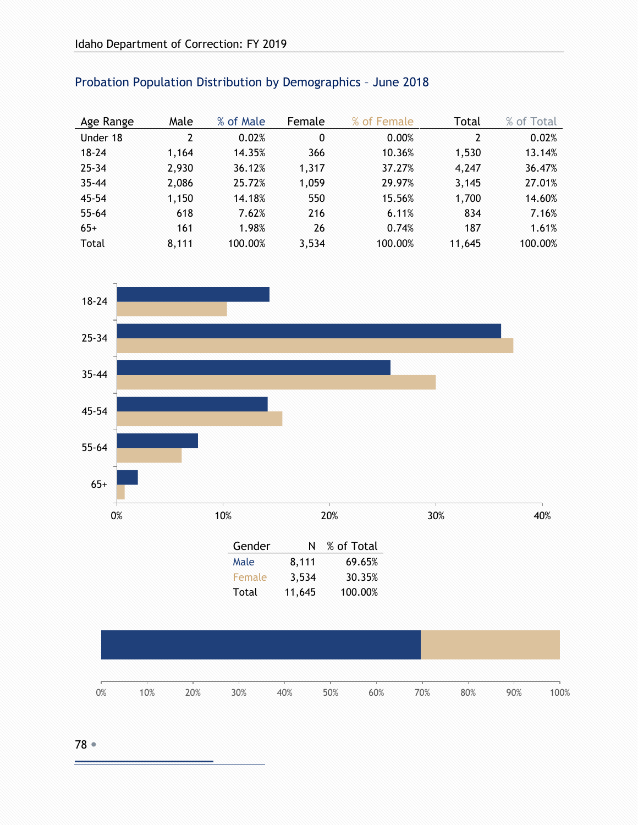| Age Range | Male  | % of Male | Female | % of Female | Total  | % of Total |
|-----------|-------|-----------|--------|-------------|--------|------------|
| Under 18  | 2     | 0.02%     | 0      | 0.00%       | 2      | 0.02%      |
| $18 - 24$ | 1,164 | 14.35%    | 366    | 10.36%      | 1,530  | 13.14%     |
| $25 - 34$ | 2,930 | 36.12%    | 1,317  | 37.27%      | 4,247  | 36.47%     |
| $35 - 44$ | 2,086 | 25.72%    | 1,059  | 29.97%      | 3,145  | 27.01%     |
| $45 - 54$ | 1,150 | 14.18%    | 550    | 15.56%      | 1,700  | 14.60%     |
| $55 - 64$ | 618   | 7.62%     | 216    | 6.11%       | 834    | 7.16%      |
| $65+$     | 161   | 1.98%     | 26     | 0.74%       | 187    | 1.61%      |
| Total     | 8,111 | 100.00%   | 3,534  | 100.00%     | 11,645 | 100.00%    |

## Probation Population Distribution by Demographics – June 2018



|  | $0\%$ $10\%$ $20\%$ $30\%$ $40\%$ $50\%$ $60\%$ $70\%$ $80\%$ $90\%$ $100\%$ |  |  |  |  |
|--|------------------------------------------------------------------------------|--|--|--|--|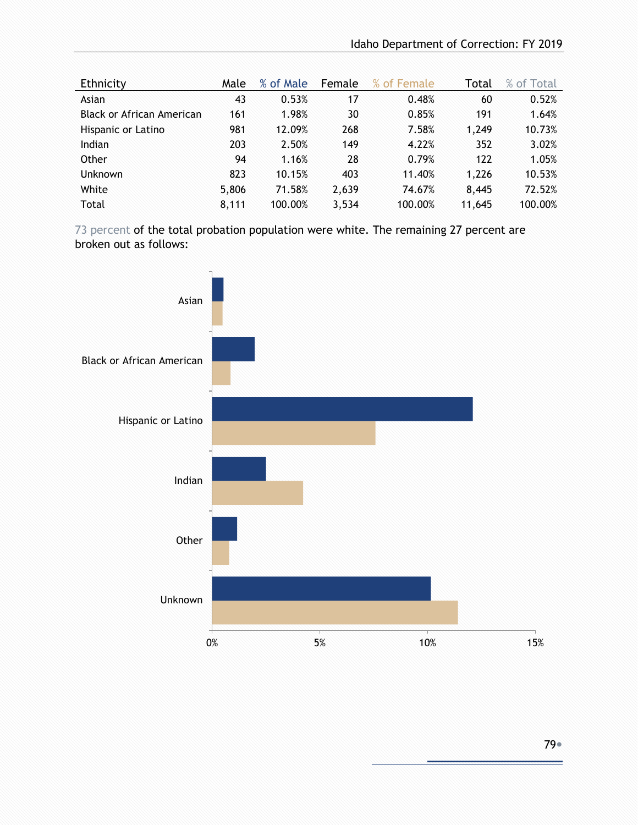| Ethnicity                 | Male  | % of Male | Female | % of Female | Total  | % of Total |
|---------------------------|-------|-----------|--------|-------------|--------|------------|
| Asian                     | 43    | 0.53%     | 17     | 0.48%       | 60     | 0.52%      |
| Black or African American | 161   | 1.98%     | 30     | 0.85%       | 191    | 1.64%      |
| Hispanic or Latino        | 981   | 12.09%    | 268    | 7.58%       | 1,249  | 10.73%     |
| Indian                    | 203   | 2.50%     | 149    | 4.22%       | 352    | 3.02%      |
| Other                     | 94    | 1.16%     | 28     | 0.79%       | 122    | 1.05%      |
| <b>Unknown</b>            | 823   | 10.15%    | 403    | 11.40%      | 1,226  | 10.53%     |
| White                     | 5,806 | 71.58%    | 2,639  | 74.67%      | 8,445  | 72.52%     |
| Total                     | 8,111 | 100.00%   | 3,534  | 100.00%     | 11,645 | 100.00%    |

73 percent of the total probation population were white. The remaining 27 percent are broken out as follows:

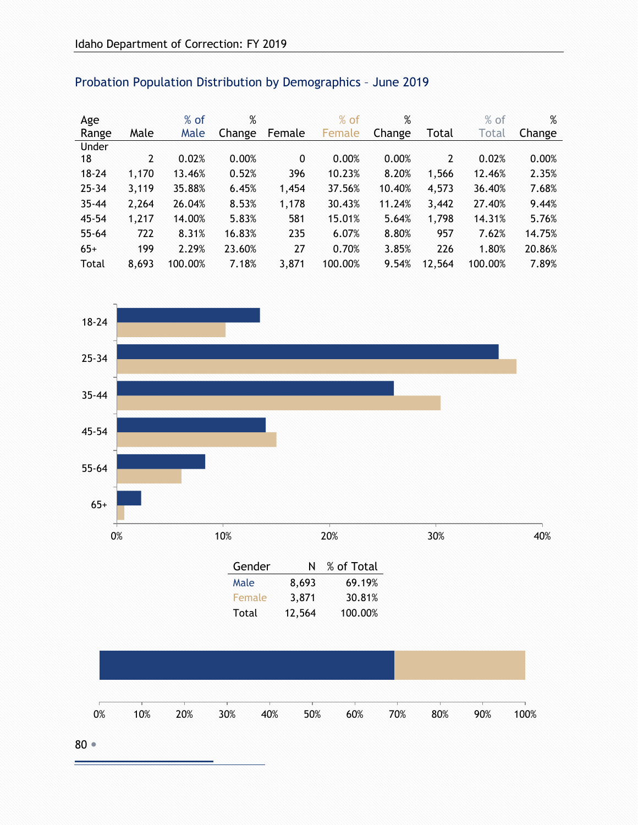| Age       |                | $%$ of  | %      |              | $%$ of  | %      |        | $%$ of  | %      |
|-----------|----------------|---------|--------|--------------|---------|--------|--------|---------|--------|
| Range     | Male           | Male    | Change | Female       | Female  | Change | Total  | Total   | Change |
| Under     |                |         |        |              |         |        |        |         |        |
| 18        | $\overline{2}$ | 0.02%   | 0.00%  | $\mathbf{0}$ | 0.00%   | 0.00%  | 2      | 0.02%   | 0.00%  |
| $18 - 24$ | 1,170          | 13.46%  | 0.52%  | 396          | 10.23%  | 8.20%  | 1,566  | 12.46%  | 2.35%  |
| $25 - 34$ | 3,119          | 35.88%  | 6.45%  | 1,454        | 37.56%  | 10.40% | 4,573  | 36.40%  | 7.68%  |
| $35 - 44$ | 2,264          | 26.04%  | 8.53%  | 1,178        | 30.43%  | 11.24% | 3,442  | 27.40%  | 9.44%  |
| $45 - 54$ | 1,217          | 14.00%  | 5.83%  | 581          | 15.01%  | 5.64%  | 1,798  | 14.31%  | 5.76%  |
| $55 - 64$ | 722            | 8.31%   | 16.83% | 235          | 6.07%   | 8.80%  | 957    | 7.62%   | 14.75% |
| $65+$     | 199            | 2.29%   | 23.60% | 27           | 0.70%   | 3.85%  | 226    | 1.80%   | 20.86% |
| Total     | 8,693          | 100.00% | 7.18%  | 3,871        | 100.00% | 9.54%  | 12,564 | 100.00% | 7.89%  |

## Probation Population Distribution by Demographics – June 2019

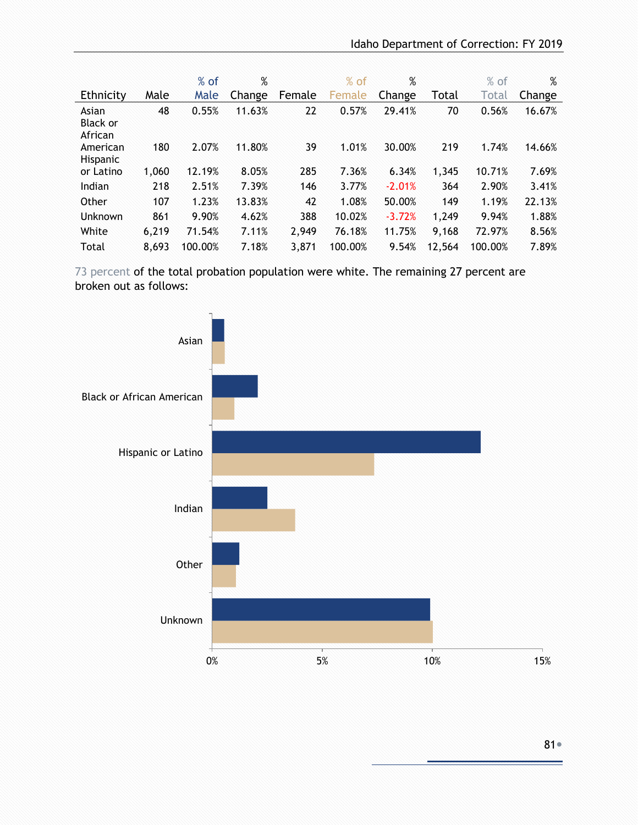|                                     |       | $%$ of  | %      |        | $%$ of  | %        |        | $%$ of  | %      |
|-------------------------------------|-------|---------|--------|--------|---------|----------|--------|---------|--------|
| Ethnicity                           | Male  | Male    | Change | Female | Female  | Change   | Total  | Total   | Change |
| Asian<br><b>Black or</b><br>African | 48    | 0.55%   | 11.63% | 22     | 0.57%   | 29.41%   | 70     | 0.56%   | 16.67% |
| American<br>Hispanic                | 180   | 2.07%   | 11.80% | 39     | 1.01%   | 30.00%   | 219    | 1.74%   | 14.66% |
| or Latino                           | 1,060 | 12.19%  | 8.05%  | 285    | 7.36%   | 6.34%    | 1,345  | 10.71%  | 7.69%  |
| Indian                              | 218   | 2.51%   | 7.39%  | 146    | 3.77%   | $-2.01%$ | 364    | 2.90%   | 3.41%  |
| Other                               | 107   | 1.23%   | 13.83% | 42     | 1.08%   | 50.00%   | 149    | 1.19%   | 22.13% |
| Unknown                             | 861   | 9.90%   | 4.62%  | 388    | 10.02%  | $-3.72%$ | 1,249  | 9.94%   | 1.88%  |
| White                               | 6,219 | 71.54%  | 7.11%  | 2,949  | 76.18%  | 11.75%   | 9,168  | 72.97%  | 8.56%  |
| Total                               | 8,693 | 100.00% | 7.18%  | 3,871  | 100.00% | 9.54%    | 12,564 | 100.00% | 7.89%  |

73 percent of the total probation population were white. The remaining 27 percent are broken out as follows:

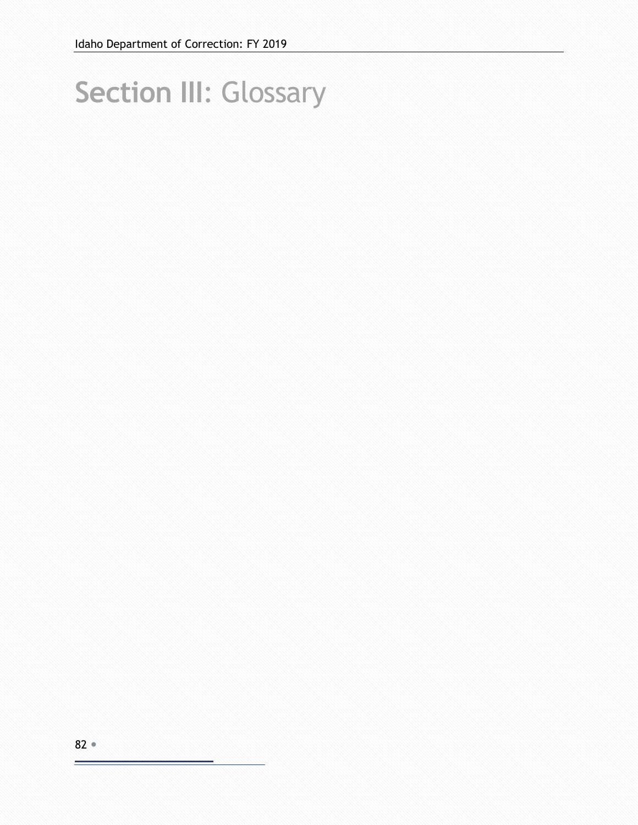# **Section III**: Glossary